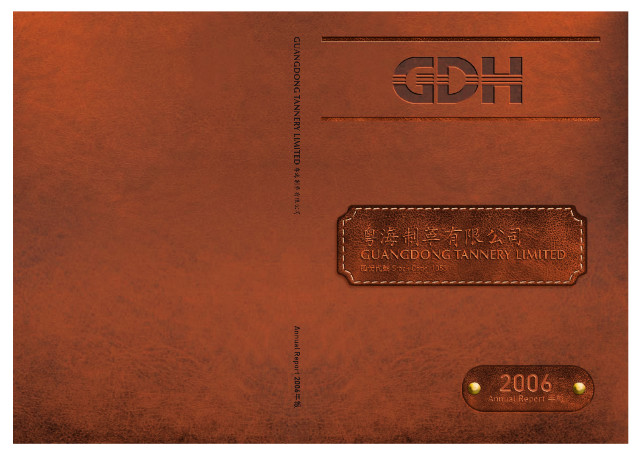

尊海制革有限公司 **GUANGDONG TANNERY LIMITED** 股份代號 Stock Dode: 1058

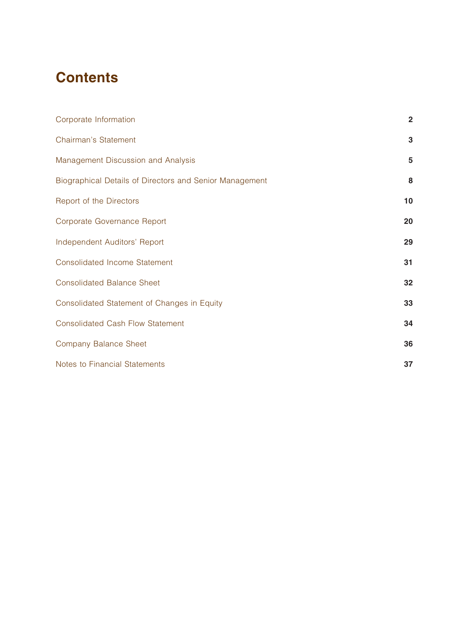# **Contents**

| Corporate Information                                   | $\overline{2}$ |
|---------------------------------------------------------|----------------|
| <b>Chairman's Statement</b>                             | 3              |
| Management Discussion and Analysis                      | 5              |
| Biographical Details of Directors and Senior Management | 8              |
| Report of the Directors                                 | 10             |
| Corporate Governance Report                             | 20             |
| Independent Auditors' Report                            | 29             |
| <b>Consolidated Income Statement</b>                    | 31             |
| <b>Consolidated Balance Sheet</b>                       | 32             |
| Consolidated Statement of Changes in Equity             | 33             |
| <b>Consolidated Cash Flow Statement</b>                 | 34             |
| <b>Company Balance Sheet</b>                            | 36             |
| <b>Notes to Financial Statements</b>                    | 37             |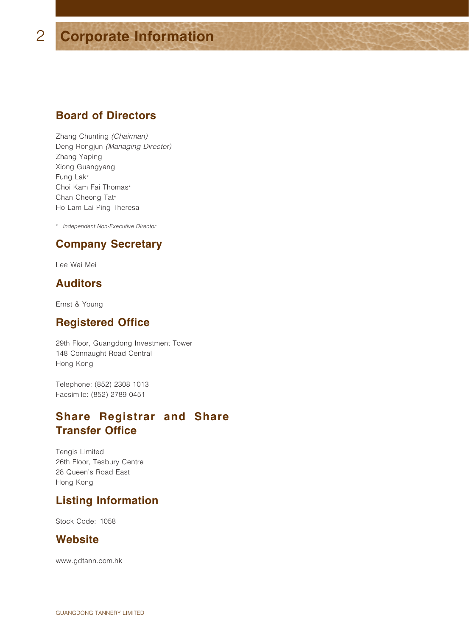### Board of Directors

Zhang Chunting (Chairman) Deng Rongjun (Managing Director) Zhang Yaping Xiong Guangyang Fung Lak\* Choi Kam Fai Thomas\* Chan Cheong Tat\* Ho Lam Lai Ping Theresa

\* Independent Non-Executive Director

# Company Secretary

Lee Wai Mei

## Auditors

Ernst & Young

### Registered Office

29th Floor, Guangdong Investment Tower 148 Connaught Road Central Hong Kong

Telephone: (852) 2308 1013 Facsimile: (852) 2789 0451

# Share Registrar and Share Transfer Office

Tengis Limited 26th Floor, Tesbury Centre 28 Queen's Road East Hong Kong

## Listing Information

Stock Code: 1058

### **Website**

www.gdtann.com.hk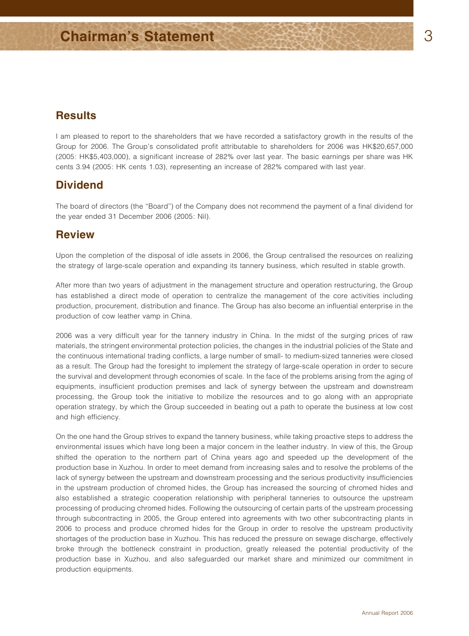I am pleased to report to the shareholders that we have recorded a satisfactory growth in the results of the Group for 2006. The Group's consolidated profit attributable to shareholders for 2006 was HK\$20,657,000 (2005: HK\$5,403,000), a significant increase of 282% over last year. The basic earnings per share was HK cents 3.94 (2005: HK cents 1.03), representing an increase of 282% compared with last year.

# **Dividend**

The board of directors (the "Board") of the Company does not recommend the payment of a final dividend for the year ended 31 December 2006 (2005: Nil).

## **Review**

Upon the completion of the disposal of idle assets in 2006, the Group centralised the resources on realizing the strategy of large-scale operation and expanding its tannery business, which resulted in stable growth.

After more than two years of adjustment in the management structure and operation restructuring, the Group has established a direct mode of operation to centralize the management of the core activities including production, procurement, distribution and finance. The Group has also become an influential enterprise in the production of cow leather vamp in China.

2006 was a very difficult year for the tannery industry in China. In the midst of the surging prices of raw materials, the stringent environmental protection policies, the changes in the industrial policies of the State and the continuous international trading conflicts, a large number of small- to medium-sized tanneries were closed as a result. The Group had the foresight to implement the strategy of large-scale operation in order to secure the survival and development through economies of scale. In the face of the problems arising from the aging of equipments, insufficient production premises and lack of synergy between the upstream and downstream processing, the Group took the initiative to mobilize the resources and to go along with an appropriate operation strategy, by which the Group succeeded in beating out a path to operate the business at low cost and high efficiency.

On the one hand the Group strives to expand the tannery business, while taking proactive steps to address the environmental issues which have long been a major concern in the leather industry. In view of this, the Group shifted the operation to the northern part of China years ago and speeded up the development of the production base in Xuzhou. In order to meet demand from increasing sales and to resolve the problems of the lack of synergy between the upstream and downstream processing and the serious productivity insufficiencies in the upstream production of chromed hides, the Group has increased the sourcing of chromed hides and also established a strategic cooperation relationship with peripheral tanneries to outsource the upstream processing of producing chromed hides. Following the outsourcing of certain parts of the upstream processing through subcontracting in 2005, the Group entered into agreements with two other subcontracting plants in 2006 to process and produce chromed hides for the Group in order to resolve the upstream productivity shortages of the production base in Xuzhou. This has reduced the pressure on sewage discharge, effectively broke through the bottleneck constraint in production, greatly released the potential productivity of the production base in Xuzhou, and also safeguarded our market share and minimized our commitment in production equipments.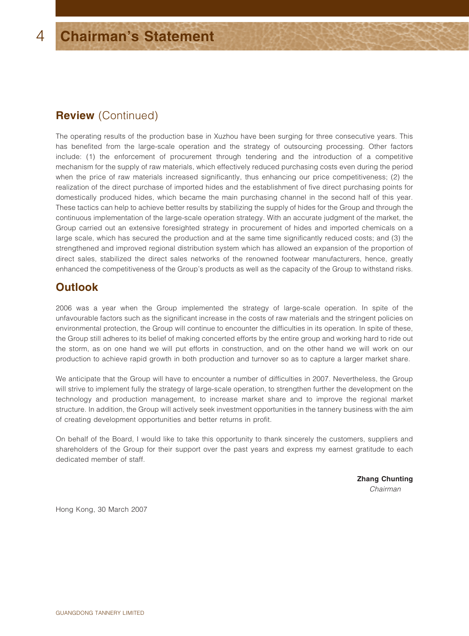# Review (Continued)

The operating results of the production base in Xuzhou have been surging for three consecutive years. This has benefited from the large-scale operation and the strategy of outsourcing processing. Other factors include: (1) the enforcement of procurement through tendering and the introduction of a competitive mechanism for the supply of raw materials, which effectively reduced purchasing costs even during the period when the price of raw materials increased significantly, thus enhancing our price competitiveness; (2) the realization of the direct purchase of imported hides and the establishment of five direct purchasing points for domestically produced hides, which became the main purchasing channel in the second half of this year. These tactics can help to achieve better results by stabilizing the supply of hides for the Group and through the continuous implementation of the large-scale operation strategy. With an accurate judgment of the market, the Group carried out an extensive foresighted strategy in procurement of hides and imported chemicals on a large scale, which has secured the production and at the same time significantly reduced costs; and (3) the strengthened and improved regional distribution system which has allowed an expansion of the proportion of direct sales, stabilized the direct sales networks of the renowned footwear manufacturers, hence, greatly enhanced the competitiveness of the Group's products as well as the capacity of the Group to withstand risks.

### **Outlook**

2006 was a year when the Group implemented the strategy of large-scale operation. In spite of the unfavourable factors such as the significant increase in the costs of raw materials and the stringent policies on environmental protection, the Group will continue to encounter the difficulties in its operation. In spite of these, the Group still adheres to its belief of making concerted efforts by the entire group and working hard to ride out the storm, as on one hand we will put efforts in construction, and on the other hand we will work on our production to achieve rapid growth in both production and turnover so as to capture a larger market share.

We anticipate that the Group will have to encounter a number of difficulties in 2007. Nevertheless, the Group will strive to implement fully the strategy of large-scale operation, to strengthen further the development on the technology and production management, to increase market share and to improve the regional market structure. In addition, the Group will actively seek investment opportunities in the tannery business with the aim of creating development opportunities and better returns in profit.

On behalf of the Board, I would like to take this opportunity to thank sincerely the customers, suppliers and shareholders of the Group for their support over the past years and express my earnest gratitude to each dedicated member of staff.

> Zhang Chunting Chairman

Hong Kong, 30 March 2007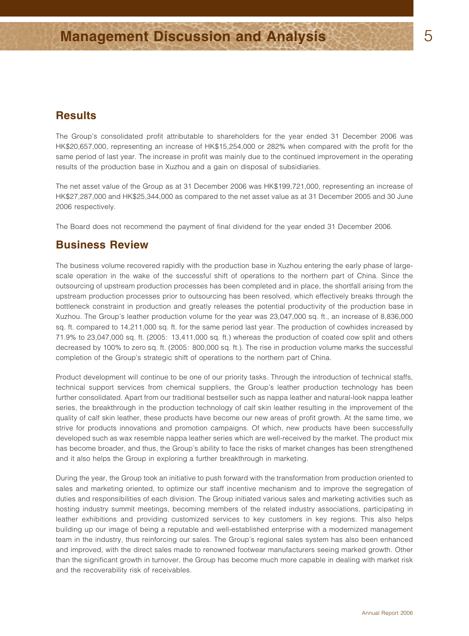# **Results**

The Group's consolidated profit attributable to shareholders for the year ended 31 December 2006 was HK\$20,657,000, representing an increase of HK\$15,254,000 or 282% when compared with the profit for the same period of last year. The increase in profit was mainly due to the continued improvement in the operating results of the production base in Xuzhou and a gain on disposal of subsidiaries.

The net asset value of the Group as at 31 December 2006 was HK\$199,721,000, representing an increase of HK\$27,287,000 and HK\$25,344,000 as compared to the net asset value as at 31 December 2005 and 30 June 2006 respectively.

The Board does not recommend the payment of final dividend for the year ended 31 December 2006.

## Business Review

The business volume recovered rapidly with the production base in Xuzhou entering the early phase of largescale operation in the wake of the successful shift of operations to the northern part of China. Since the outsourcing of upstream production processes has been completed and in place, the shortfall arising from the upstream production processes prior to outsourcing has been resolved, which effectively breaks through the bottleneck constraint in production and greatly releases the potential productivity of the production base in Xuzhou. The Group's leather production volume for the year was 23,047,000 sq. ft., an increase of 8,836,000 sq. ft. compared to 14,211,000 sq. ft. for the same period last year. The production of cowhides increased by 71.9% to 23,047,000 sq. ft. (2005: 13,411,000 sq. ft.) whereas the production of coated cow split and others decreased by 100% to zero sq. ft. (2005: 800,000 sq. ft.). The rise in production volume marks the successful completion of the Group's strategic shift of operations to the northern part of China.

Product development will continue to be one of our priority tasks. Through the introduction of technical staffs, technical support services from chemical suppliers, the Group's leather production technology has been further consolidated. Apart from our traditional bestseller such as nappa leather and natural-look nappa leather series, the breakthrough in the production technology of calf skin leather resulting in the improvement of the quality of calf skin leather, these products have become our new areas of profit growth. At the same time, we strive for products innovations and promotion campaigns. Of which, new products have been successfully developed such as wax resemble nappa leather series which are well-received by the market. The product mix has become broader, and thus, the Group's ability to face the risks of market changes has been strengthened and it also helps the Group in exploring a further breakthrough in marketing.

During the year, the Group took an initiative to push forward with the transformation from production oriented to sales and marketing oriented, to optimize our staff incentive mechanism and to improve the segregation of duties and responsibilities of each division. The Group initiated various sales and marketing activities such as hosting industry summit meetings, becoming members of the related industry associations, participating in leather exhibitions and providing customized services to key customers in key regions. This also helps building up our image of being a reputable and well-established enterprise with a modernized management team in the industry, thus reinforcing our sales. The Group's regional sales system has also been enhanced and improved, with the direct sales made to renowned footwear manufacturers seeing marked growth. Other than the significant growth in turnover, the Group has become much more capable in dealing with market risk and the recoverability risk of receivables.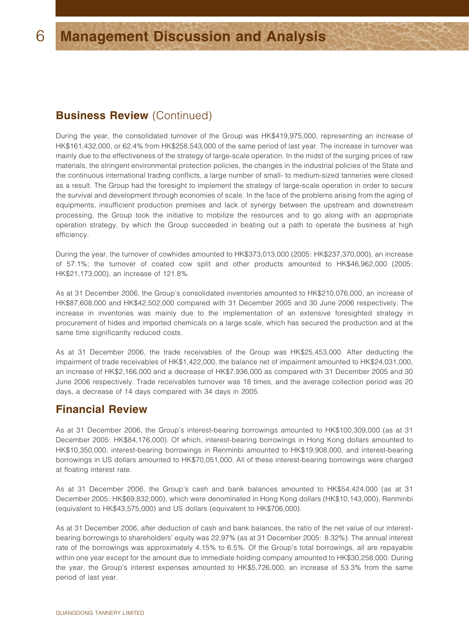## **Business Review (Continued)**

During the year, the consolidated turnover of the Group was HK\$419,975,000, representing an increase of HK\$161,432,000, or 62.4% from HK\$258,543,000 of the same period of last year. The increase in turnover was mainly due to the effectiveness of the strategy of large-scale operation. In the midst of the surging prices of raw materials, the stringent environmental protection policies, the changes in the industrial policies of the State and the continuous international trading conflicts, a large number of small- to medium-sized tanneries were closed as a result. The Group had the foresight to implement the strategy of large-scale operation in order to secure the survival and development through economies of scale. In the face of the problems arising from the aging of equipments, insufficient production premises and lack of synergy between the upstream and downstream processing, the Group took the initiative to mobilize the resources and to go along with an appropriate operation strategy, by which the Group succeeded in beating out a path to operate the business at high efficiency.

During the year, the turnover of cowhides amounted to HK\$373,013,000 (2005: HK\$237,370,000), an increase of 57.1%; the turnover of coated cow split and other products amounted to HK\$46,962,000 (2005: HK\$21,173,000), an increase of 121.8%.

As at 31 December 2006, the Group's consolidated inventories amounted to HK\$210,076,000, an increase of HK\$87,608,000 and HK\$42,502,000 compared with 31 December 2005 and 30 June 2006 respectively. The increase in inventories was mainly due to the implementation of an extensive foresighted strategy in procurement of hides and imported chemicals on a large scale, which has secured the production and at the same time significantly reduced costs.

As at 31 December 2006, the trade receivables of the Group was HK\$25,453,000. After deducting the impairment of trade receivables of HK\$1,422,000, the balance net of impairment amounted to HK\$24,031,000, an increase of HK\$2,166,000 and a decrease of HK\$7,936,000 as compared with 31 December 2005 and 30 June 2006 respectively. Trade receivables turnover was 18 times, and the average collection period was 20 days, a decrease of 14 days compared with 34 days in 2005.

### Financial Review

As at 31 December 2006, the Group's interest-bearing borrowings amounted to HK\$100,309,000 (as at 31 December 2005: HK\$84,176,000). Of which, interest-bearing borrowings in Hong Kong dollars amounted to HK\$10,350,000, interest-bearing borrowings in Renminbi amounted to HK\$19,908,000, and interest-bearing borrowings in US dollars amounted to HK\$70,051,000. All of these interest-bearing borrowings were charged at floating interest rate.

As at 31 December 2006, the Group's cash and bank balances amounted to HK\$54,424,000 (as at 31 December 2005: HK\$69,832,000), which were denominated in Hong Kong dollars (HK\$10,143,000), Renminbi (equivalent to HK\$43,575,000) and US dollars (equivalent to HK\$706,000).

As at 31 December 2006, after deduction of cash and bank balances, the ratio of the net value of our interestbearing borrowings to shareholders' equity was 22.97% (as at 31 December 2005: 8.32%). The annual interest rate of the borrowings was approximately 4.15% to 6.5%. Of the Group's total borrowings, all are repayable within one year except for the amount due to immediate holding company amounted to HK\$30,258,000. During the year, the Group's interest expenses amounted to HK\$5,726,000, an increase of 53.3% from the same period of last year.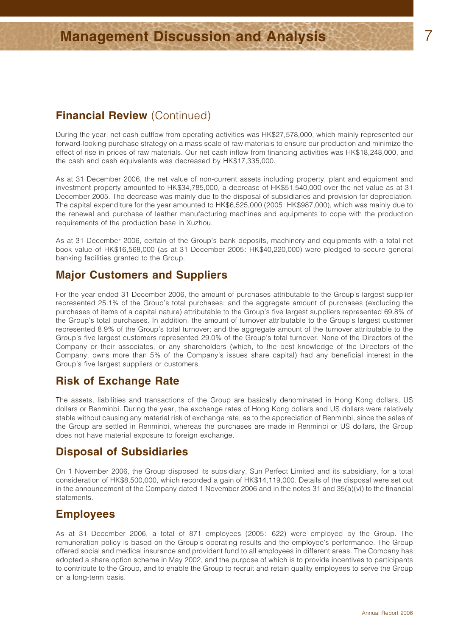# **Financial Review (Continued)**

During the year, net cash outflow from operating activities was HK\$27,578,000, which mainly represented our forward-looking purchase strategy on a mass scale of raw materials to ensure our production and minimize the effect of rise in prices of raw materials. Our net cash inflow from financing activities was HK\$18,248,000, and the cash and cash equivalents was decreased by HK\$17,335,000.

As at 31 December 2006, the net value of non-current assets including property, plant and equipment and investment property amounted to HK\$34,785,000, a decrease of HK\$51,540,000 over the net value as at 31 December 2005. The decrease was mainly due to the disposal of subsidiaries and provision for depreciation. The capital expenditure for the year amounted to HK\$6,525,000 (2005: HK\$987,000), which was mainly due to the renewal and purchase of leather manufacturing machines and equipments to cope with the production requirements of the production base in Xuzhou.

As at 31 December 2006, certain of the Group's bank deposits, machinery and equipments with a total net book value of HK\$16,568,000 (as at 31 December 2005: HK\$40,220,000) were pledged to secure general banking facilities granted to the Group.

## Major Customers and Suppliers

For the year ended 31 December 2006, the amount of purchases attributable to the Group's largest supplier represented 25.1% of the Group's total purchases; and the aggregate amount of purchases (excluding the purchases of items of a capital nature) attributable to the Group's five largest suppliers represented 69.8% of the Group's total purchases. In addition, the amount of turnover attributable to the Group's largest customer represented 8.9% of the Group's total turnover; and the aggregate amount of the turnover attributable to the Group's five largest customers represented 29.0% of the Group's total turnover. None of the Directors of the Company or their associates, or any shareholders (which, to the best knowledge of the Directors of the Company, owns more than 5% of the Company's issues share capital) had any beneficial interest in the Group's five largest suppliers or customers.

## Risk of Exchange Rate

The assets, liabilities and transactions of the Group are basically denominated in Hong Kong dollars, US dollars or Renminbi. During the year, the exchange rates of Hong Kong dollars and US dollars were relatively stable without causing any material risk of exchange rate; as to the appreciation of Renminbi, since the sales of the Group are settled in Renminbi, whereas the purchases are made in Renminbi or US dollars, the Group does not have material exposure to foreign exchange.

## Disposal of Subsidiaries

On 1 November 2006, the Group disposed its subsidiary, Sun Perfect Limited and its subsidiary, for a total consideration of HK\$8,500,000, which recorded a gain of HK\$14,119,000. Details of the disposal were set out in the announcement of the Company dated 1 November 2006 and in the notes 31 and 35(a)(vi) to the financial statements.

## Employees

As at 31 December 2006, a total of 871 employees (2005: 622) were employed by the Group. The remuneration policy is based on the Group's operating results and the employee's performance. The Group offered social and medical insurance and provident fund to all employees in different areas. The Company has adopted a share option scheme in May 2002, and the purpose of which is to provide incentives to participants to contribute to the Group, and to enable the Group to recruit and retain quality employees to serve the Group on a long-term basis.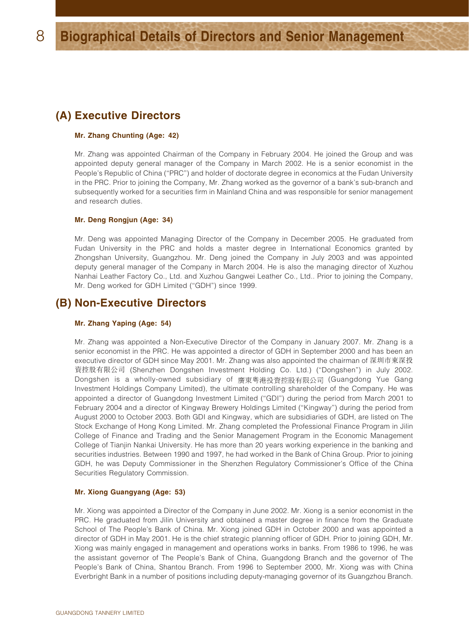# (A) Executive Directors

#### Mr. Zhang Chunting (Age: 42)

Mr. Zhang was appointed Chairman of the Company in February 2004. He joined the Group and was appointed deputy general manager of the Company in March 2002. He is a senior economist in the People's Republic of China (''PRC'') and holder of doctorate degree in economics at the Fudan University in the PRC. Prior to joining the Company, Mr. Zhang worked as the governor of a bank's sub-branch and subsequently worked for a securities firm in Mainland China and was responsible for senior management and research duties.

#### Mr. Deng Rongjun (Age: 34)

Mr. Deng was appointed Managing Director of the Company in December 2005. He graduated from Fudan University in the PRC and holds a master degree in International Economics granted by Zhongshan University, Guangzhou. Mr. Deng joined the Company in July 2003 and was appointed deputy general manager of the Company in March 2004. He is also the managing director of Xuzhou Nanhai Leather Factory Co., Ltd. and Xuzhou Gangwei Leather Co., Ltd.. Prior to joining the Company, Mr. Deng worked for GDH Limited (''GDH'') since 1999.

#### (B) Non-Executive Directors

#### Mr. Zhang Yaping (Age: 54)

Mr. Zhang was appointed a Non-Executive Director of the Company in January 2007. Mr. Zhang is a senior economist in the PRC. He was appointed a director of GDH in September 2000 and has been an executive director of GDH since May 2001. Mr. Zhang was also appointed the chairman of 深圳市東深投 資控股有限公司 (Shenzhen Dongshen Investment Holding Co. Ltd.) (''Dongshen'') in July 2002. Dongshen is a wholly-owned subsidiary of 廣東粵港投資控股有限公司 (Guangdong Yue Gang Investment Holdings Company Limited), the ultimate controlling shareholder of the Company. He was appointed a director of Guangdong Investment Limited (''GDI'') during the period from March 2001 to February 2004 and a director of Kingway Brewery Holdings Limited (''Kingway'') during the period from August 2000 to October 2003. Both GDI and Kingway, which are subsidiaries of GDH, are listed on The Stock Exchange of Hong Kong Limited. Mr. Zhang completed the Professional Finance Program in Jilin College of Finance and Trading and the Senior Management Program in the Economic Management College of Tianjin Nankai University. He has more than 20 years working experience in the banking and securities industries. Between 1990 and 1997, he had worked in the Bank of China Group. Prior to joining GDH, he was Deputy Commissioner in the Shenzhen Regulatory Commissioner's Office of the China Securities Regulatory Commission.

#### Mr. Xiong Guangyang (Age: 53)

Mr. Xiong was appointed a Director of the Company in June 2002. Mr. Xiong is a senior economist in the PRC. He graduated from Jilin University and obtained a master degree in finance from the Graduate School of The People's Bank of China. Mr. Xiong joined GDH in October 2000 and was appointed a director of GDH in May 2001. He is the chief strategic planning officer of GDH. Prior to joining GDH, Mr. Xiong was mainly engaged in management and operations works in banks. From 1986 to 1996, he was the assistant governor of The People's Bank of China, Guangdong Branch and the governor of The People's Bank of China, Shantou Branch. From 1996 to September 2000, Mr. Xiong was with China Everbright Bank in a number of positions including deputy-managing governor of its Guangzhou Branch.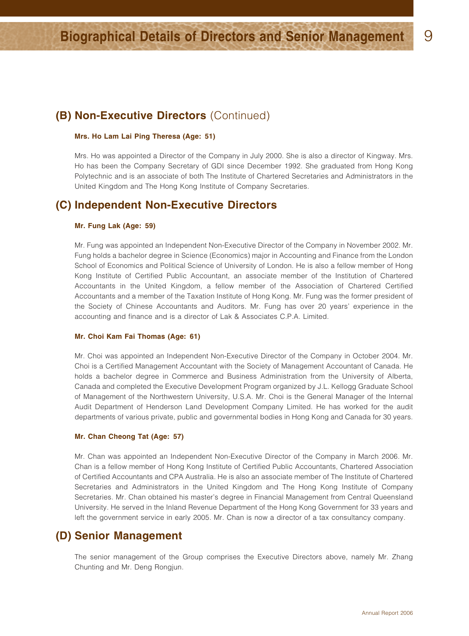## (B) Non-Executive Directors (Continued)

#### Mrs. Ho Lam Lai Ping Theresa (Age: 51)

Mrs. Ho was appointed a Director of the Company in July 2000. She is also a director of Kingway. Mrs. Ho has been the Company Secretary of GDI since December 1992. She graduated from Hong Kong Polytechnic and is an associate of both The Institute of Chartered Secretaries and Administrators in the United Kingdom and The Hong Kong Institute of Company Secretaries.

#### (C) Independent Non-Executive Directors

#### Mr. Fung Lak (Age: 59)

Mr. Fung was appointed an Independent Non-Executive Director of the Company in November 2002. Mr. Fung holds a bachelor degree in Science (Economics) major in Accounting and Finance from the London School of Economics and Political Science of University of London. He is also a fellow member of Hong Kong Institute of Certified Public Accountant, an associate member of the Institution of Chartered Accountants in the United Kingdom, a fellow member of the Association of Chartered Certified Accountants and a member of the Taxation Institute of Hong Kong. Mr. Fung was the former president of the Society of Chinese Accountants and Auditors. Mr. Fung has over 20 years' experience in the accounting and finance and is a director of Lak & Associates C.P.A. Limited.

#### Mr. Choi Kam Fai Thomas (Age: 61)

Mr. Choi was appointed an Independent Non-Executive Director of the Company in October 2004. Mr. Choi is a Certified Management Accountant with the Society of Management Accountant of Canada. He holds a bachelor degree in Commerce and Business Administration from the University of Alberta, Canada and completed the Executive Development Program organized by J.L. Kellogg Graduate School of Management of the Northwestern University, U.S.A. Mr. Choi is the General Manager of the Internal Audit Department of Henderson Land Development Company Limited. He has worked for the audit departments of various private, public and governmental bodies in Hong Kong and Canada for 30 years.

#### Mr. Chan Cheong Tat (Age: 57)

Mr. Chan was appointed an Independent Non-Executive Director of the Company in March 2006. Mr. Chan is a fellow member of Hong Kong Institute of Certified Public Accountants, Chartered Association of Certified Accountants and CPA Australia. He is also an associate member of The Institute of Chartered Secretaries and Administrators in the United Kingdom and The Hong Kong Institute of Company Secretaries. Mr. Chan obtained his master's degree in Financial Management from Central Queensland University. He served in the Inland Revenue Department of the Hong Kong Government for 33 years and left the government service in early 2005. Mr. Chan is now a director of a tax consultancy company.

#### (D) Senior Management

The senior management of the Group comprises the Executive Directors above, namely Mr. Zhang Chunting and Mr. Deng Rongjun.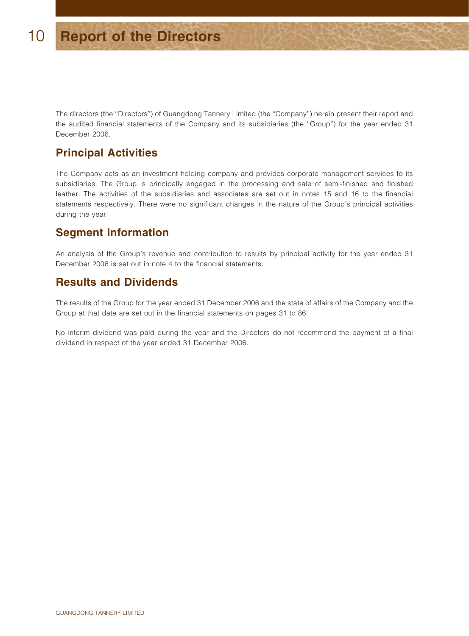The directors (the ''Directors'') of Guangdong Tannery Limited (the ''Company'') herein present their report and the audited financial statements of the Company and its subsidiaries (the "Group") for the year ended 31 December 2006.

# Principal Activities

The Company acts as an investment holding company and provides corporate management services to its subsidiaries. The Group is principally engaged in the processing and sale of semi-finished and finished leather. The activities of the subsidiaries and associates are set out in notes 15 and 16 to the financial statements respectively. There were no significant changes in the nature of the Group's principal activities during the year.

# Segment Information

An analysis of the Group's revenue and contribution to results by principal activity for the year ended 31 December 2006 is set out in note 4 to the financial statements.

# Results and Dividends

The results of the Group for the year ended 31 December 2006 and the state of affairs of the Company and the Group at that date are set out in the financial statements on pages 31 to 86.

No interim dividend was paid during the year and the Directors do not recommend the payment of a final dividend in respect of the year ended 31 December 2006.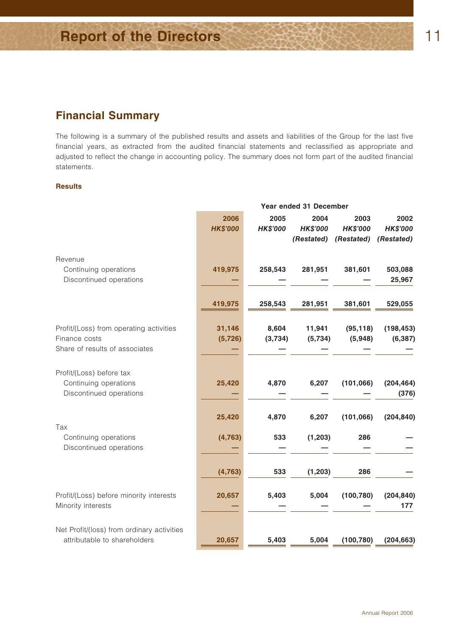# Financial Summary

The following is a summary of the published results and assets and liabilities of the Group for the last five financial years, as extracted from the audited financial statements and reclassified as appropriate and adjusted to reflect the change in accounting policy. The summary does not form part of the audited financial statements.

#### Results

|                                                                                            | Year ended 31 December         |                         |                                       |                                       |                                       |  |  |
|--------------------------------------------------------------------------------------------|--------------------------------|-------------------------|---------------------------------------|---------------------------------------|---------------------------------------|--|--|
|                                                                                            | 2006<br><b>HK\$'000</b>        | 2005<br><b>HK\$'000</b> | 2004<br><b>HK\$'000</b><br>(Restated) | 2003<br><b>HK\$'000</b><br>(Restated) | 2002<br><b>HK\$'000</b><br>(Restated) |  |  |
| Revenue<br>Continuing operations<br>Discontinued operations                                | 419,975                        | 258,543                 | 281,951                               | 381,601                               | 503,088<br>25,967                     |  |  |
|                                                                                            | 419,975                        | 258,543                 | 281,951                               | 381,601                               | 529,055                               |  |  |
| Profit/(Loss) from operating activities<br>Finance costs<br>Share of results of associates | 31,146<br>(5, 726)             | 8,604<br>(3,734)        | 11,941<br>(5,734)                     | (95, 118)<br>(5,948)                  | (198, 453)<br>(6, 387)                |  |  |
| Profit/(Loss) before tax<br>Continuing operations<br>Discontinued operations               | 25,420                         | 4,870                   | 6,207                                 | (101, 066)                            | (204, 464)<br>(376)                   |  |  |
| Tax<br>Continuing operations<br>Discontinued operations                                    | 25,420<br>(4, 763)<br>(4, 763) | 4,870<br>533<br>533     | 6,207<br>(1, 203)<br>(1, 203)         | (101, 066)<br>286<br>286              | (204, 840)                            |  |  |
| Profit/(Loss) before minority interests<br>Minority interests                              | 20,657                         | 5,403                   | 5,004                                 | (100, 780)                            | (204, 840)<br>177                     |  |  |
| Net Profit/(loss) from ordinary activities<br>attributable to shareholders                 | 20,657                         | 5,403                   | 5,004                                 | (100, 780)                            | (204, 663)                            |  |  |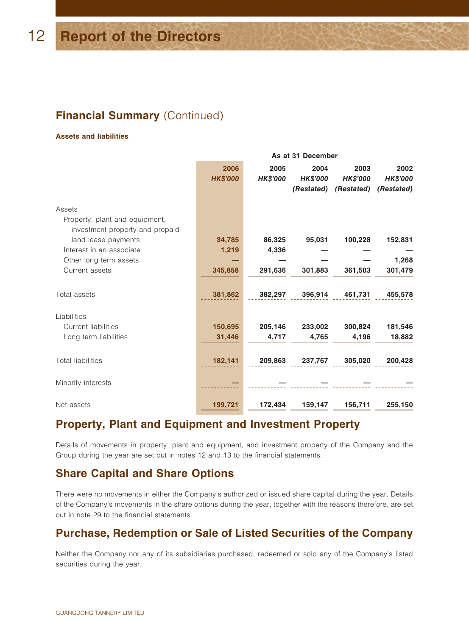# **Financial Summary (Continued)**

#### Assets and liabilities

|                                 | As at 31 December |                 |                 |                 |                 |  |  |
|---------------------------------|-------------------|-----------------|-----------------|-----------------|-----------------|--|--|
|                                 | 2006              | 2005            | 2004            | 2003            | 2002            |  |  |
|                                 | <b>HK\$'000</b>   | <b>HK\$'000</b> | <b>HK\$'000</b> | <b>HK\$'000</b> | <b>HK\$'000</b> |  |  |
|                                 |                   |                 | (Restated)      | (Restated)      | (Restated)      |  |  |
|                                 |                   |                 |                 |                 |                 |  |  |
| Assets                          |                   |                 |                 |                 |                 |  |  |
| Property, plant and equipment,  |                   |                 |                 |                 |                 |  |  |
| investment property and prepaid |                   |                 |                 |                 |                 |  |  |
| land lease payments             | 34,785            | 86,325          | 95,031          | 100,228         | 152,831         |  |  |
| Interest in an associate        | 1,219             | 4,336           |                 |                 |                 |  |  |
| Other long term assets          |                   |                 |                 |                 | 1,268           |  |  |
| Current assets                  | 345,858           | 291,636         | 301,883         | 361,503         | 301,479         |  |  |
|                                 |                   |                 |                 |                 |                 |  |  |
| Total assets                    | 381,862           | 382,297         | 396,914         | 461,731         | 455,578         |  |  |
|                                 |                   |                 |                 |                 |                 |  |  |
| Liabilities                     |                   |                 |                 |                 |                 |  |  |
| <b>Current liabilities</b>      | 150,695           | 205,146         | 233,002         | 300,824         | 181,546         |  |  |
| Long term liabilities           | 31,446            | 4,717           | 4,765           | 4,196           | 18,882          |  |  |
|                                 |                   |                 |                 |                 |                 |  |  |
|                                 |                   |                 |                 |                 |                 |  |  |
| <b>Total liabilities</b>        | 182,141           | 209,863         | 237,767         | 305,020         | 200,428         |  |  |
|                                 |                   |                 |                 |                 |                 |  |  |
| Minority interests              |                   |                 |                 |                 |                 |  |  |
|                                 |                   |                 |                 |                 |                 |  |  |
| Net assets                      | 199,721           | 172,434         | 159,147         | 156,711         | 255,150         |  |  |

## Property, Plant and Equipment and Investment Property

Details of movements in property, plant and equipment, and investment property of the Company and the Group during the year are set out in notes 12 and 13 to the financial statements.

### Share Capital and Share Options

There were no movements in either the Company's authorized or issued share capital during the year. Details of the Company's movements in the share options during the year, together with the reasons therefore, are set out in note 29 to the financial statements.

# Purchase, Redemption or Sale of Listed Securities of the Company

Neither the Company nor any of its subsidiaries purchased, redeemed or sold any of the Company's listed securities during the year.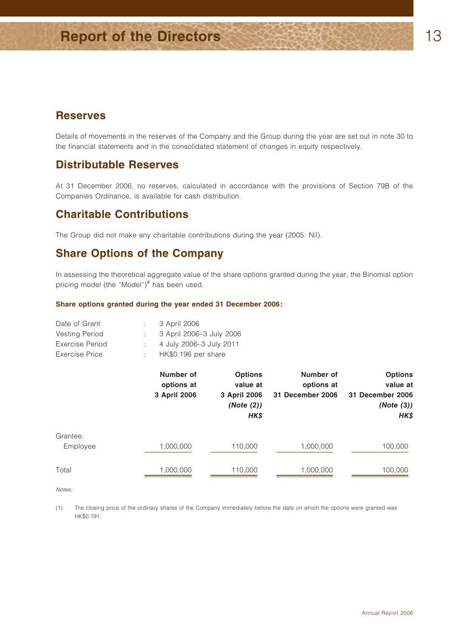# **Reserves**

Details of movements in the reserves of the Company and the Group during the year are set out in note 30 to the financial statements and in the consolidated statement of changes in equity respectively.

# Distributable Reserves

At 31 December 2006, no reserves, calculated in accordance with the provisions of Section 79B of the Companies Ordinance, is available for cash distribution.

# Charitable Contributions

The Group did not make any charitable contributions during the year (2005: Nil).

# Share Options of the Company

In assessing the theoretical aggregate value of the share options granted during the year, the Binomial option pricing model (the "Model")<sup>#</sup> has been used.

#### Share options granted during the year ended 31 December 2006:

| Date of Grant   | 3 April 2006             |
|-----------------|--------------------------|
| Vesting Period  | 3 April 2006-3 July 2006 |
| Exercise Period | 4 July 2006-3 July 2011  |
| Exercise Price  | HK\$0.196 per share      |

|                      | Number of<br>options at<br>3 April 2006 | <b>Options</b><br>value at<br>3 April 2006<br>(Note (2))<br>HK\$ | Number of<br>options at<br>31 December 2006 | <b>Options</b><br>value at<br>31 December 2006<br>(Note (3))<br>HK\$ |
|----------------------|-----------------------------------------|------------------------------------------------------------------|---------------------------------------------|----------------------------------------------------------------------|
| Grantee:<br>Employee | 1,000,000                               | 110,000                                                          | 1,000,000                                   | 100,000                                                              |
| Total                | 1,000,000                               | 110,000                                                          | 1,000,000                                   | 100,000                                                              |

Notes:

(1) The closing price of the ordinary shares of the Company immediately before the date on which the options were granted was HK\$0.191.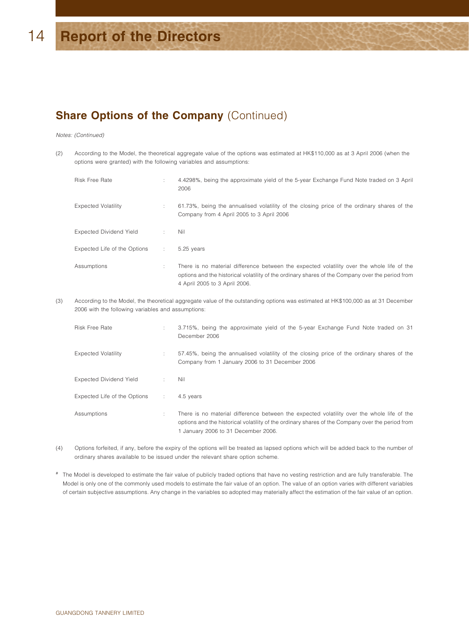# **Share Options of the Company (Continued)**

#### Notes: (Continued)

(2) According to the Model, the theoretical aggregate value of the options was estimated at HK\$110,000 as at 3 April 2006 (when the options were granted) with the following variables and assumptions:

|     | <b>Risk Free Rate</b>                                                                                                                                                                   |                      | 4.4298%, being the approximate yield of the 5-year Exchange Fund Note traded on 3 April<br>2006                                                                                                                                       |  |  |  |  |
|-----|-----------------------------------------------------------------------------------------------------------------------------------------------------------------------------------------|----------------------|---------------------------------------------------------------------------------------------------------------------------------------------------------------------------------------------------------------------------------------|--|--|--|--|
|     | <b>Expected Volatility</b>                                                                                                                                                              | ÷                    | 61.73%, being the annualised volatility of the closing price of the ordinary shares of the<br>Company from 4 April 2005 to 3 April 2006                                                                                               |  |  |  |  |
|     | <b>Expected Dividend Yield</b>                                                                                                                                                          | ÷                    | Nil                                                                                                                                                                                                                                   |  |  |  |  |
|     | Expected Life of the Options                                                                                                                                                            | $\ddot{\phantom{a}}$ | 5.25 years                                                                                                                                                                                                                            |  |  |  |  |
|     | Assumptions                                                                                                                                                                             | ÷                    | There is no material difference between the expected volatility over the whole life of the<br>options and the historical volatility of the ordinary shares of the Company over the period from<br>4 April 2005 to 3 April 2006.       |  |  |  |  |
| (3) | According to the Model, the theoretical aggregate value of the outstanding options was estimated at HK\$100,000 as at 31 December<br>2006 with the following variables and assumptions: |                      |                                                                                                                                                                                                                                       |  |  |  |  |
|     | <b>Risk Free Rate</b>                                                                                                                                                                   | ÷                    | 3.715%, being the approximate yield of the 5-year Exchange Fund Note traded on 31<br>December 2006                                                                                                                                    |  |  |  |  |
|     | <b>Expected Volatility</b>                                                                                                                                                              | ÷                    | 57.45%, being the annualised volatility of the closing price of the ordinary shares of the<br>Company from 1 January 2006 to 31 December 2006                                                                                         |  |  |  |  |
|     | <b>Expected Dividend Yield</b>                                                                                                                                                          | ÷                    | Nil                                                                                                                                                                                                                                   |  |  |  |  |
|     | Expected Life of the Options                                                                                                                                                            | $\ddot{\phantom{a}}$ | 4.5 years                                                                                                                                                                                                                             |  |  |  |  |
|     | Assumptions                                                                                                                                                                             | ÷                    | There is no material difference between the expected volatility over the whole life of the<br>options and the historical volatility of the ordinary shares of the Company over the period from<br>1 January 2006 to 31 December 2006. |  |  |  |  |

- (4) Options forfeited, if any, before the expiry of the options will be treated as lapsed options which will be added back to the number of ordinary shares available to be issued under the relevant share option scheme.
- # The Model is developed to estimate the fair value of publicly traded options that have no vesting restriction and are fully transferable. The Model is only one of the commonly used models to estimate the fair value of an option. The value of an option varies with different variables of certain subjective assumptions. Any change in the variables so adopted may materially affect the estimation of the fair value of an option.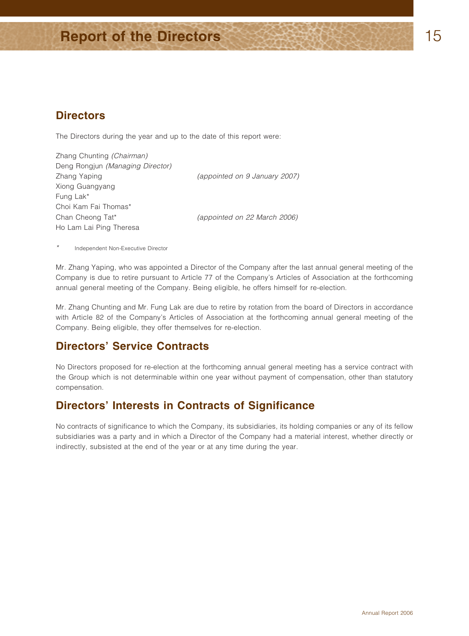# Report of the Directors **15** and 15

# **Directors**

The Directors during the year and up to the date of this report were:

| Zhang Chunting (Chairman)        |                               |
|----------------------------------|-------------------------------|
| Deng Rongjun (Managing Director) |                               |
| Zhang Yaping                     | (appointed on 9 January 2007) |
| Xiong Guangyang                  |                               |
| Fung Lak*                        |                               |
| Choi Kam Fai Thomas*             |                               |
| Chan Cheong Tat*                 | (appointed on 22 March 2006)  |
| Ho Lam Lai Ping Theresa          |                               |

\* Independent Non-Executive Director

Mr. Zhang Yaping, who was appointed a Director of the Company after the last annual general meeting of the Company is due to retire pursuant to Article 77 of the Company's Articles of Association at the forthcoming annual general meeting of the Company. Being eligible, he offers himself for re-election.

Mr. Zhang Chunting and Mr. Fung Lak are due to retire by rotation from the board of Directors in accordance with Article 82 of the Company's Articles of Association at the forthcoming annual general meeting of the Company. Being eligible, they offer themselves for re-election.

# Directors' Service Contracts

No Directors proposed for re-election at the forthcoming annual general meeting has a service contract with the Group which is not determinable within one year without payment of compensation, other than statutory compensation.

# Directors' Interests in Contracts of Significance

No contracts of significance to which the Company, its subsidiaries, its holding companies or any of its fellow subsidiaries was a party and in which a Director of the Company had a material interest, whether directly or indirectly, subsisted at the end of the year or at any time during the year.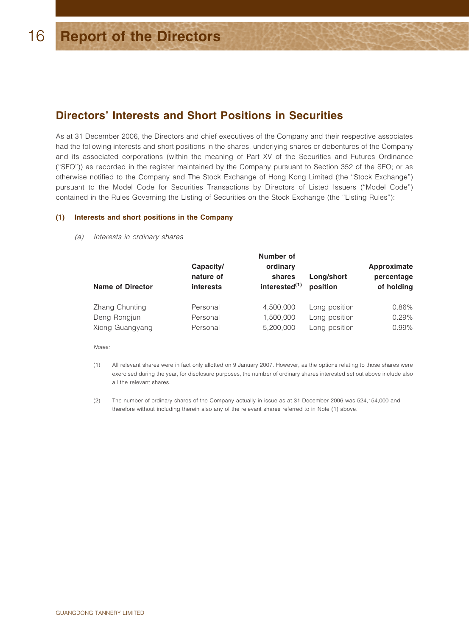### Directors' Interests and Short Positions in Securities

As at 31 December 2006, the Directors and chief executives of the Company and their respective associates had the following interests and short positions in the shares, underlying shares or debentures of the Company and its associated corporations (within the meaning of Part XV of the Securities and Futures Ordinance (''SFO'')) as recorded in the register maintained by the Company pursuant to Section 352 of the SFO; or as otherwise notified to the Company and The Stock Exchange of Hong Kong Limited (the ''Stock Exchange'') pursuant to the Model Code for Securities Transactions by Directors of Listed Issuers (''Model Code'') contained in the Rules Governing the Listing of Securities on the Stock Exchange (the "Listing Rules"):

#### (1) Interests and short positions in the Company

(a) Interests in ordinary shares

| <b>Name of Director</b> | Capacity/<br>nature of<br><b>interests</b> | ordinary<br>shares<br>interested <sup>(1)</sup> | Long/short<br>position | Approximate<br>percentage<br>of holding |
|-------------------------|--------------------------------------------|-------------------------------------------------|------------------------|-----------------------------------------|
| Zhang Chunting          | Personal                                   | 4.500.000                                       | Long position          | 0.86%                                   |
| Deng Rongjun            | Personal                                   | 1,500,000                                       | Long position          | 0.29%                                   |
| Xiong Guangyang         | Personal                                   | 5,200,000                                       | Long position          | 0.99%                                   |

Notes:

(1) All relevant shares were in fact only allotted on 9 January 2007. However, as the options relating to those shares were exercised during the year, for disclosure purposes, the number of ordinary shares interested set out above include also all the relevant shares.

(2) The number of ordinary shares of the Company actually in issue as at 31 December 2006 was 524,154,000 and therefore without including therein also any of the relevant shares referred to in Note (1) above.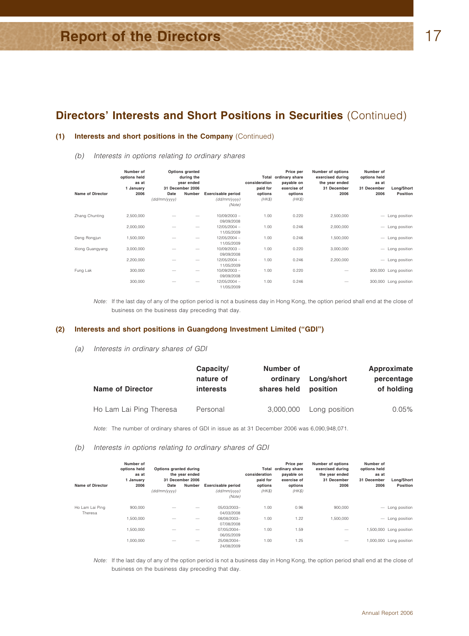# Directors' Interests and Short Positions in Securities (Continued)

#### (1) Interests and short positions in the Company (Continued)

(b) Interests in options relating to ordinary shares

|                         | Number of<br>options held<br>as at<br>1 January | Options granted<br>31 December 2006 | during the<br>year ended |                                                     | Total<br>consideration<br>paid for | Price per<br>ordinary share<br>payable on<br>exercise of | Number of options<br>exercised during<br>the year ended<br>31 December | Number of<br>options held<br>as at<br>31 December | Long/Short            |
|-------------------------|-------------------------------------------------|-------------------------------------|--------------------------|-----------------------------------------------------|------------------------------------|----------------------------------------------------------|------------------------------------------------------------------------|---------------------------------------------------|-----------------------|
| <b>Name of Director</b> | 2006                                            | Date<br>(dd/mm/yyyy)                | Number                   | <b>Exercisable period</b><br>(dd/mm/yyyy)<br>(Note) | options<br>(HKS)                   | options<br>(HK\$)                                        | 2006                                                                   | 2006                                              | <b>Position</b>       |
| Zhang Chunting          | 2,500,000                                       |                                     |                          | $10/09/2003 -$<br>09/09/2008                        | 1.00                               | 0.220                                                    | 2,500,000                                                              |                                                   | - Long position       |
|                         | 2,000,000                                       |                                     |                          | $12/05/2004 -$<br>11/05/2009                        | 1.00                               | 0.246                                                    | 2,000,000                                                              |                                                   | - Long position       |
| Deng Rongjun            | 1,500,000                                       |                                     |                          | 12/05/2004 -<br>11/05/2009                          | 1.00                               | 0.246                                                    | 1,500,000                                                              |                                                   | - Long position       |
| Xiong Guangyang         | 3,000,000                                       |                                     |                          | $10/09/2003 -$<br>09/09/2008                        | 1.00                               | 0.220                                                    | 3,000,000                                                              |                                                   | - Long position       |
|                         | 2,200,000                                       |                                     |                          | 12/05/2004 -<br>11/05/2009                          | 1.00                               | 0.246                                                    | 2,200,000                                                              |                                                   | - Long position       |
| Fung Lak                | 300,000                                         |                                     |                          | $10/09/2003 -$<br>09/09/2008                        | 1.00                               | 0.220                                                    |                                                                        |                                                   | 300,000 Long position |
|                         | 300,000                                         |                                     |                          | $12/05/2004 -$<br>11/05/2009                        | 1.00                               | 0.246                                                    |                                                                        |                                                   | 300,000 Long position |

Note: If the last day of any of the option period is not a business day in Hong Kong, the option period shall end at the close of business on the business day preceding that day.

#### (2) Interests and short positions in Guangdong Investment Limited (''GDI'')

(a) Interests in ordinary shares of GDI

| <b>Name of Director</b> | Capacity/<br>nature of<br><i>interests</i> | Number of<br>ordinary<br>shares held | Long/short<br>position | Approximate<br>percentage<br>of holding |
|-------------------------|--------------------------------------------|--------------------------------------|------------------------|-----------------------------------------|
| Ho Lam Lai Ping Theresa | Personal                                   | 3.000.000                            | Long position          | 0.05%                                   |

Note: The number of ordinary shares of GDI in issue as at 31 December 2006 was 6,090,948,071.

#### (b) Interests in options relating to ordinary shares of GDI

|                            | Number of<br>options held<br>as at<br>I January | Options granted during<br>31 December 2006 | the year ended |                                                     | Total<br>consideration<br>paid for | Price per<br>ordinary share<br>payable on<br>exercise of | Number of options<br>exercised during<br>the year ended<br>31 December | Number of<br>options held<br>as at<br>31 December | Long/Short              |
|----------------------------|-------------------------------------------------|--------------------------------------------|----------------|-----------------------------------------------------|------------------------------------|----------------------------------------------------------|------------------------------------------------------------------------|---------------------------------------------------|-------------------------|
| Name of Director           | 2006                                            | Date<br>(dd/mm/yyyy)                       | Number         | <b>Exercisable period</b><br>(dd/mm/yyyy)<br>(Note) | options<br>(HKS)                   | options<br>(HKS)                                         | 2006                                                                   | 2006                                              | Position                |
| Ho Lam Lai Ping<br>Theresa | 900,000                                         |                                            |                | 05/03/2003-<br>04/03/2008                           | 1.00                               | 0.96                                                     | 900.000                                                                |                                                   | - Long position         |
|                            | 1,500,000                                       |                                            |                | 08/08/2003-<br>07/08/2008                           | 1.00                               | 1.22                                                     | 1,500,000                                                              |                                                   | - Long position         |
|                            | 1,500,000                                       |                                            |                | 07/05/2004-<br>06/05/2009                           | 1.00                               | 1.59                                                     |                                                                        |                                                   | 1,500,000 Long position |
|                            | 1,000,000                                       |                                            |                | 25/08/2004-<br>24/08/2009                           | 1.00                               | 1.25                                                     | -                                                                      |                                                   | 1,000,000 Long position |

Note: If the last day of any of the option period is not a business day in Hong Kong, the option period shall end at the close of business on the business day preceding that day.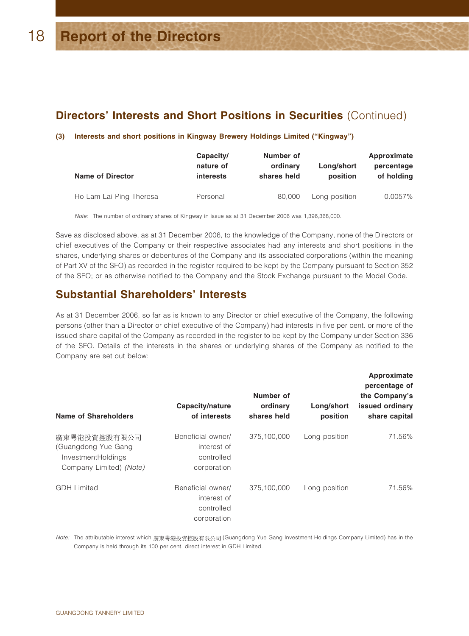### Directors' Interests and Short Positions in Securities (Continued)

#### (3) Interests and short positions in Kingway Brewery Holdings Limited (''Kingway'')

| <b>Name of Director</b> | Capacity/<br>nature of<br><i>interests</i> | Number of<br>ordinary<br>shares held | Long/short<br>position | Approximate<br>percentage<br>of holding |
|-------------------------|--------------------------------------------|--------------------------------------|------------------------|-----------------------------------------|
| Ho Lam Lai Ping Theresa | Personal                                   | 80.000                               | Long position          | 0.0057%                                 |

Note: The number of ordinary shares of Kingway in issue as at 31 December 2006 was 1,396,368,000.

Save as disclosed above, as at 31 December 2006, to the knowledge of the Company, none of the Directors or chief executives of the Company or their respective associates had any interests and short positions in the shares, underlying shares or debentures of the Company and its associated corporations (within the meaning of Part XV of the SFO) as recorded in the register required to be kept by the Company pursuant to Section 352 of the SFO; or as otherwise notified to the Company and the Stock Exchange pursuant to the Model Code.

### Substantial Shareholders' Interests

As at 31 December 2006, so far as is known to any Director or chief executive of the Company, the following persons (other than a Director or chief executive of the Company) had interests in five per cent. or more of the issued share capital of the Company as recorded in the register to be kept by the Company under Section 336 of the SFO. Details of the interests in the shares or underlying shares of the Company as notified to the Company are set out below:

| Name of Shareholders                                                                 | Capacity/nature<br>of interests                               | Number of<br>ordinary<br>shares held | Long/short<br>position | Approximate<br>percentage of<br>the Company's<br>issued ordinary<br>share capital |
|--------------------------------------------------------------------------------------|---------------------------------------------------------------|--------------------------------------|------------------------|-----------------------------------------------------------------------------------|
| 廣東粤港投資控股有限公司<br>(Guangdong Yue Gang<br>InvestmentHoldings<br>Company Limited) (Note) | Beneficial owner/<br>interest of<br>controlled<br>corporation | 375.100.000                          | Long position          | 71.56%                                                                            |
| <b>GDH</b> Limited                                                                   | Beneficial owner/<br>interest of<br>controlled<br>corporation | 375.100.000                          | Long position          | 71.56%                                                                            |

Note: The attributable interest which 廣東粵港投資控股有限公司 (Guangdong Yue Gang Investment Holdings Company Limited) has in the Company is held through its 100 per cent. direct interest in GDH Limited.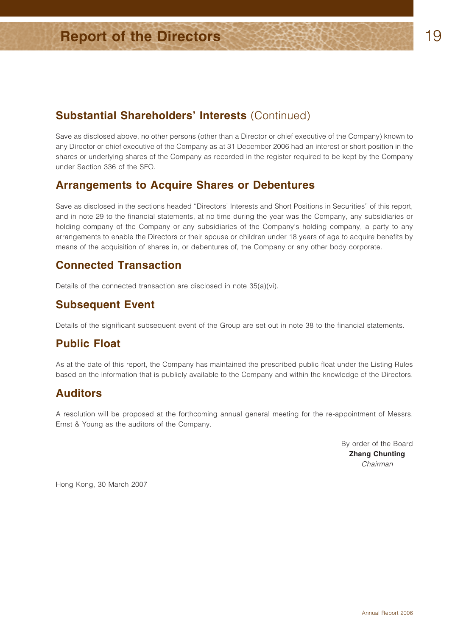Save as disclosed above, no other persons (other than a Director or chief executive of the Company) known to any Director or chief executive of the Company as at 31 December 2006 had an interest or short position in the shares or underlying shares of the Company as recorded in the register required to be kept by the Company under Section 336 of the SFO.

## Arrangements to Acquire Shares or Debentures

Save as disclosed in the sections headed ''Directors' Interests and Short Positions in Securities'' of this report, and in note 29 to the financial statements, at no time during the year was the Company, any subsidiaries or holding company of the Company or any subsidiaries of the Company's holding company, a party to any arrangements to enable the Directors or their spouse or children under 18 years of age to acquire benefits by means of the acquisition of shares in, or debentures of, the Company or any other body corporate.

# Connected Transaction

Details of the connected transaction are disclosed in note 35(a)(vi).

# Subsequent Event

Details of the significant subsequent event of the Group are set out in note 38 to the financial statements.

# Public Float

As at the date of this report, the Company has maintained the prescribed public float under the Listing Rules based on the information that is publicly available to the Company and within the knowledge of the Directors.

## Auditors

A resolution will be proposed at the forthcoming annual general meeting for the re-appointment of Messrs. Ernst & Young as the auditors of the Company.

> By order of the Board Zhang Chunting Chairman

Hong Kong, 30 March 2007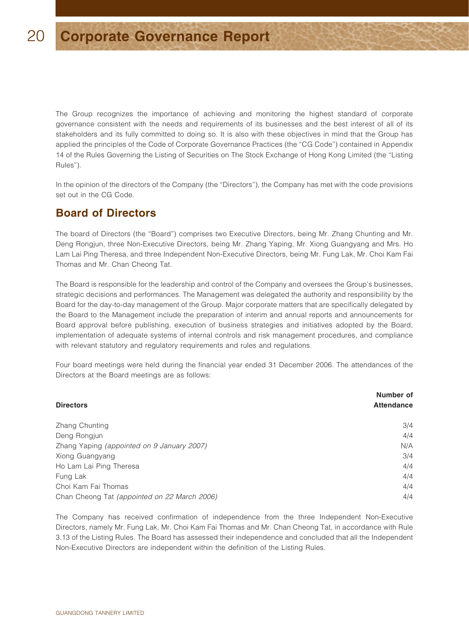The Group recognizes the importance of achieving and monitoring the highest standard of corporate governance consistent with the needs and requirements of its businesses and the best interest of all of its stakeholders and its fully committed to doing so. It is also with these objectives in mind that the Group has applied the principles of the Code of Corporate Governance Practices (the ''CG Code'') contained in Appendix 14 of the Rules Governing the Listing of Securities on The Stock Exchange of Hong Kong Limited (the ''Listing Rules'').

In the opinion of the directors of the Company (the ''Directors''), the Company has met with the code provisions set out in the CG Code.

### Board of Directors

The board of Directors (the ''Board'') comprises two Executive Directors, being Mr. Zhang Chunting and Mr. Deng Rongjun, three Non-Executive Directors, being Mr. Zhang Yaping, Mr. Xiong Guangyang and Mrs. Ho Lam Lai Ping Theresa, and three Independent Non-Executive Directors, being Mr. Fung Lak, Mr. Choi Kam Fai Thomas and Mr. Chan Cheong Tat.

The Board is responsible for the leadership and control of the Company and oversees the Group's businesses, strategic decisions and performances. The Management was delegated the authority and responsibility by the Board for the day-to-day management of the Group. Major corporate matters that are specifically delegated by the Board to the Management include the preparation of interim and annual reports and announcements for Board approval before publishing, execution of business strategies and initiatives adopted by the Board, implementation of adequate systems of internal controls and risk management procedures, and compliance with relevant statutory and regulatory requirements and rules and regulations.

Four board meetings were held during the financial year ended 31 December 2006. The attendances of the Directors at the Board meetings are as follows:

| <b>Directors</b>                             | Number of<br><b>Attendance</b> |
|----------------------------------------------|--------------------------------|
|                                              |                                |
| Zhang Chunting                               | 3/4                            |
| Deng Rongjun                                 | 4/4                            |
| Zhang Yaping (appointed on 9 January 2007)   | N/A                            |
| Xiong Guangyang                              | 3/4                            |
| Ho Lam Lai Ping Theresa                      | 4/4                            |
| Fung Lak                                     | 4/4                            |
| Choi Kam Fai Thomas                          | 4/4                            |
| Chan Cheong Tat (appointed on 22 March 2006) | 4/4                            |

The Company has received confirmation of independence from the three Independent Non-Executive Directors, namely Mr. Fung Lak, Mr. Choi Kam Fai Thomas and Mr. Chan Cheong Tat, in accordance with Rule 3.13 of the Listing Rules. The Board has assessed their independence and concluded that all the Independent Non-Executive Directors are independent within the definition of the Listing Rules.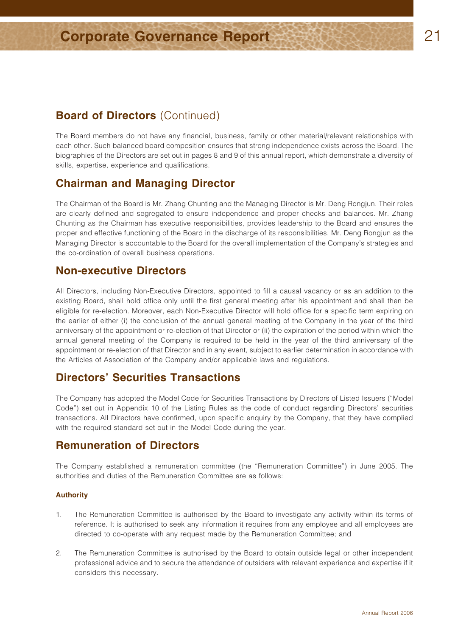# **Board of Directors (Continued)**

The Board members do not have any financial, business, family or other material/relevant relationships with each other. Such balanced board composition ensures that strong independence exists across the Board. The biographies of the Directors are set out in pages 8 and 9 of this annual report, which demonstrate a diversity of skills, expertise, experience and qualifications.

### Chairman and Managing Director

The Chairman of the Board is Mr. Zhang Chunting and the Managing Director is Mr. Deng Rongjun. Their roles are clearly defined and segregated to ensure independence and proper checks and balances. Mr. Zhang Chunting as the Chairman has executive responsibilities, provides leadership to the Board and ensures the proper and effective functioning of the Board in the discharge of its responsibilities. Mr. Deng Rongjun as the Managing Director is accountable to the Board for the overall implementation of the Company's strategies and the co-ordination of overall business operations.

#### Non-executive Directors

All Directors, including Non-Executive Directors, appointed to fill a causal vacancy or as an addition to the existing Board, shall hold office only until the first general meeting after his appointment and shall then be eligible for re-election. Moreover, each Non-Executive Director will hold office for a specific term expiring on the earlier of either (i) the conclusion of the annual general meeting of the Company in the year of the third anniversary of the appointment or re-election of that Director or (ii) the expiration of the period within which the annual general meeting of the Company is required to be held in the year of the third anniversary of the appointment or re-election of that Director and in any event, subject to earlier determination in accordance with the Articles of Association of the Company and/or applicable laws and regulations.

## Directors' Securities Transactions

The Company has adopted the Model Code for Securities Transactions by Directors of Listed Issuers (''Model Code'') set out in Appendix 10 of the Listing Rules as the code of conduct regarding Directors' securities transactions. All Directors have confirmed, upon specific enquiry by the Company, that they have complied with the required standard set out in the Model Code during the year.

## Remuneration of Directors

The Company established a remuneration committee (the ''Remuneration Committee'') in June 2005. The authorities and duties of the Remuneration Committee are as follows:

#### Authority

- 1. The Remuneration Committee is authorised by the Board to investigate any activity within its terms of reference. It is authorised to seek any information it requires from any employee and all employees are directed to co-operate with any request made by the Remuneration Committee; and
- 2. The Remuneration Committee is authorised by the Board to obtain outside legal or other independent professional advice and to secure the attendance of outsiders with relevant experience and expertise if it considers this necessary.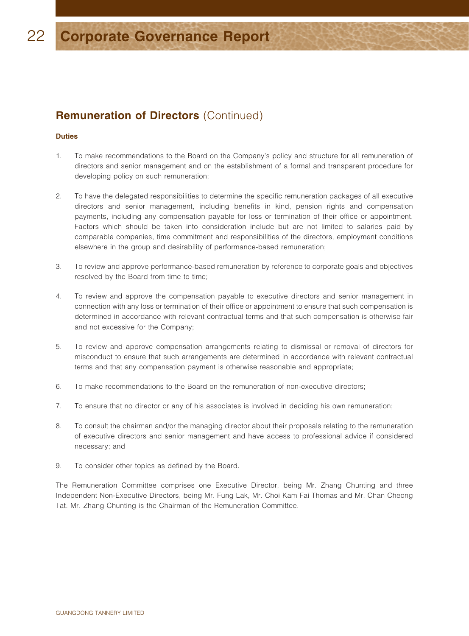# **Remuneration of Directors (Continued)**

#### Duties

- 1. To make recommendations to the Board on the Company's policy and structure for all remuneration of directors and senior management and on the establishment of a formal and transparent procedure for developing policy on such remuneration;
- 2. To have the delegated responsibilities to determine the specific remuneration packages of all executive directors and senior management, including benefits in kind, pension rights and compensation payments, including any compensation payable for loss or termination of their office or appointment. Factors which should be taken into consideration include but are not limited to salaries paid by comparable companies, time commitment and responsibilities of the directors, employment conditions elsewhere in the group and desirability of performance-based remuneration;
- 3. To review and approve performance-based remuneration by reference to corporate goals and objectives resolved by the Board from time to time;
- 4. To review and approve the compensation payable to executive directors and senior management in connection with any loss or termination of their office or appointment to ensure that such compensation is determined in accordance with relevant contractual terms and that such compensation is otherwise fair and not excessive for the Company;
- 5. To review and approve compensation arrangements relating to dismissal or removal of directors for misconduct to ensure that such arrangements are determined in accordance with relevant contractual terms and that any compensation payment is otherwise reasonable and appropriate;
- 6. To make recommendations to the Board on the remuneration of non-executive directors;
- 7. To ensure that no director or any of his associates is involved in deciding his own remuneration;
- 8. To consult the chairman and/or the managing director about their proposals relating to the remuneration of executive directors and senior management and have access to professional advice if considered necessary; and
- 9. To consider other topics as defined by the Board.

The Remuneration Committee comprises one Executive Director, being Mr. Zhang Chunting and three Independent Non-Executive Directors, being Mr. Fung Lak, Mr. Choi Kam Fai Thomas and Mr. Chan Cheong Tat. Mr. Zhang Chunting is the Chairman of the Remuneration Committee.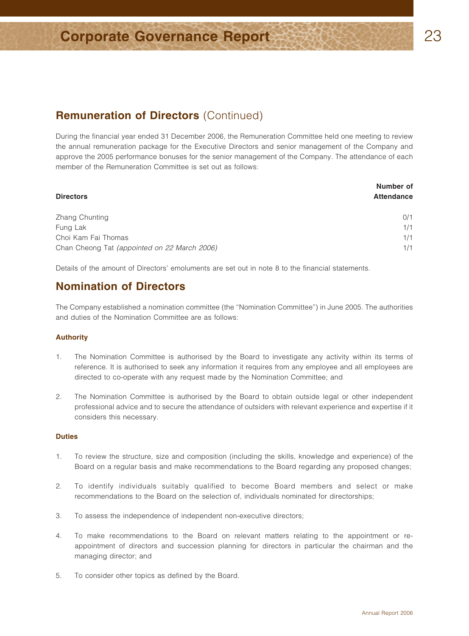# **Remuneration of Directors (Continued)**

During the financial year ended 31 December 2006, the Remuneration Committee held one meeting to review the annual remuneration package for the Executive Directors and senior management of the Company and approve the 2005 performance bonuses for the senior management of the Company. The attendance of each member of the Remuneration Committee is set out as follows:

|                                              | Number of         |
|----------------------------------------------|-------------------|
| <b>Directors</b>                             | <b>Attendance</b> |
| Zhang Chunting                               | 0/1               |
| Fung Lak                                     | 1/1               |
| Choi Kam Fai Thomas                          | 1/1               |
| Chan Cheong Tat (appointed on 22 March 2006) | 1/1               |

Details of the amount of Directors' emoluments are set out in note 8 to the financial statements.

# Nomination of Directors

The Company established a nomination committee (the ''Nomination Committee'') in June 2005. The authorities and duties of the Nomination Committee are as follows:

#### Authority

- 1. The Nomination Committee is authorised by the Board to investigate any activity within its terms of reference. It is authorised to seek any information it requires from any employee and all employees are directed to co-operate with any request made by the Nomination Committee; and
- 2. The Nomination Committee is authorised by the Board to obtain outside legal or other independent professional advice and to secure the attendance of outsiders with relevant experience and expertise if it considers this necessary.

#### **Duties**

- 1. To review the structure, size and composition (including the skills, knowledge and experience) of the Board on a regular basis and make recommendations to the Board regarding any proposed changes;
- 2. To identify individuals suitably qualified to become Board members and select or make recommendations to the Board on the selection of, individuals nominated for directorships;
- 3. To assess the independence of independent non-executive directors;
- 4. To make recommendations to the Board on relevant matters relating to the appointment or reappointment of directors and succession planning for directors in particular the chairman and the managing director; and
- 5. To consider other topics as defined by the Board.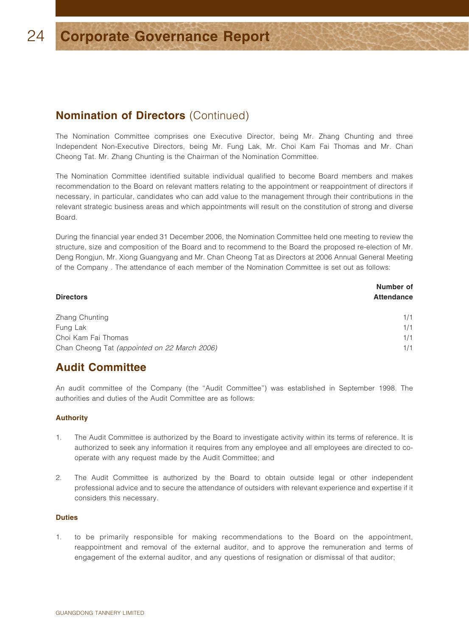# **Nomination of Directors (Continued)**

The Nomination Committee comprises one Executive Director, being Mr. Zhang Chunting and three Independent Non-Executive Directors, being Mr. Fung Lak, Mr. Choi Kam Fai Thomas and Mr. Chan Cheong Tat. Mr. Zhang Chunting is the Chairman of the Nomination Committee.

The Nomination Committee identified suitable individual qualified to become Board members and makes recommendation to the Board on relevant matters relating to the appointment or reappointment of directors if necessary, in particular, candidates who can add value to the management through their contributions in the relevant strategic business areas and which appointments will result on the constitution of strong and diverse Board.

During the financial year ended 31 December 2006, the Nomination Committee held one meeting to review the structure, size and composition of the Board and to recommend to the Board the proposed re-election of Mr. Deng Rongjun, Mr. Xiong Guangyang and Mr. Chan Cheong Tat as Directors at 2006 Annual General Meeting of the Company . The attendance of each member of the Nomination Committee is set out as follows:

| <b>Directors</b>                             | Number of<br><b>Attendance</b> |
|----------------------------------------------|--------------------------------|
| Zhang Chunting                               | 1/1                            |
| Fung Lak                                     | 1/1                            |
| Choi Kam Fai Thomas                          | 1/1                            |
| Chan Cheong Tat (appointed on 22 March 2006) | 1/1                            |

# Audit Committee

An audit committee of the Company (the ''Audit Committee'') was established in September 1998. The authorities and duties of the Audit Committee are as follows:

#### Authority

- 1. The Audit Committee is authorized by the Board to investigate activity within its terms of reference. It is authorized to seek any information it requires from any employee and all employees are directed to cooperate with any request made by the Audit Committee; and
- 2. The Audit Committee is authorized by the Board to obtain outside legal or other independent professional advice and to secure the attendance of outsiders with relevant experience and expertise if it considers this necessary.

#### **Duties**

1. to be primarily responsible for making recommendations to the Board on the appointment, reappointment and removal of the external auditor, and to approve the remuneration and terms of engagement of the external auditor, and any questions of resignation or dismissal of that auditor;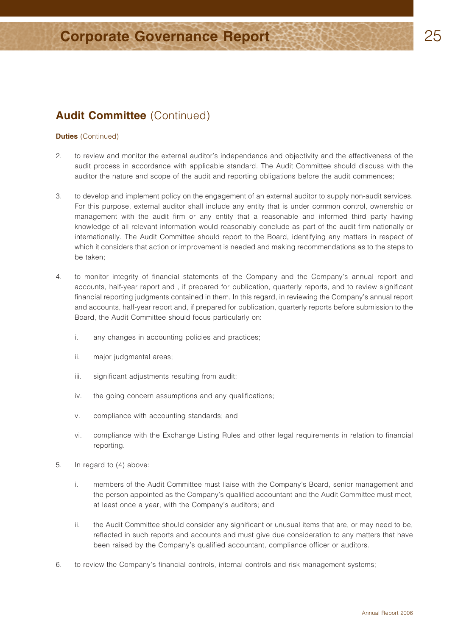#### **Duties** (Continued)

- 2. to review and monitor the external auditor's independence and objectivity and the effectiveness of the audit process in accordance with applicable standard. The Audit Committee should discuss with the auditor the nature and scope of the audit and reporting obligations before the audit commences;
- 3. to develop and implement policy on the engagement of an external auditor to supply non-audit services. For this purpose, external auditor shall include any entity that is under common control, ownership or management with the audit firm or any entity that a reasonable and informed third party having knowledge of all relevant information would reasonably conclude as part of the audit firm nationally or internationally. The Audit Committee should report to the Board, identifying any matters in respect of which it considers that action or improvement is needed and making recommendations as to the steps to be taken;
- 4. to monitor integrity of financial statements of the Company and the Company's annual report and accounts, half-year report and , if prepared for publication, quarterly reports, and to review significant financial reporting judgments contained in them. In this regard, in reviewing the Company's annual report and accounts, half-year report and, if prepared for publication, quarterly reports before submission to the Board, the Audit Committee should focus particularly on:
	- i. any changes in accounting policies and practices;
	- ii. major judgmental areas;
	- iii. significant adjustments resulting from audit;
	- iv. the going concern assumptions and any qualifications;
	- v. compliance with accounting standards; and
	- vi. compliance with the Exchange Listing Rules and other legal requirements in relation to financial reporting.
- 5. In regard to (4) above:
	- i. members of the Audit Committee must liaise with the Company's Board, senior management and the person appointed as the Company's qualified accountant and the Audit Committee must meet, at least once a year, with the Company's auditors; and
	- ii. the Audit Committee should consider any significant or unusual items that are, or may need to be, reflected in such reports and accounts and must give due consideration to any matters that have been raised by the Company's qualified accountant, compliance officer or auditors.
- 6. to review the Company's financial controls, internal controls and risk management systems;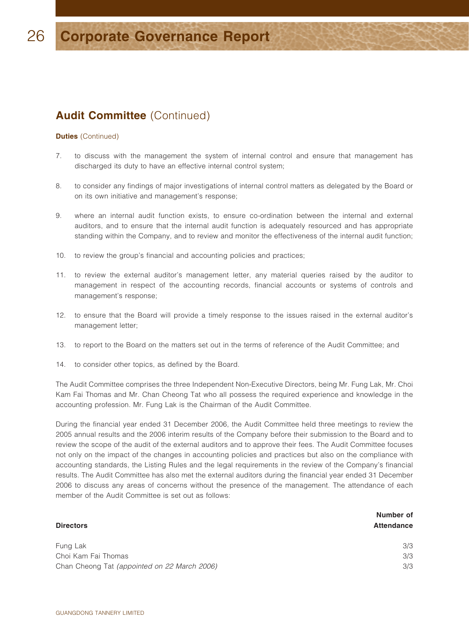# Audit Committee (Continued)

#### **Duties** (Continued)

- 7. to discuss with the management the system of internal control and ensure that management has discharged its duty to have an effective internal control system;
- 8. to consider any findings of major investigations of internal control matters as delegated by the Board or on its own initiative and management's response;
- 9. where an internal audit function exists, to ensure co-ordination between the internal and external auditors, and to ensure that the internal audit function is adequately resourced and has appropriate standing within the Company, and to review and monitor the effectiveness of the internal audit function;
- 10. to review the group's financial and accounting policies and practices;
- 11. to review the external auditor's management letter, any material queries raised by the auditor to management in respect of the accounting records, financial accounts or systems of controls and management's response;
- 12. to ensure that the Board will provide a timely response to the issues raised in the external auditor's management letter;
- 13. to report to the Board on the matters set out in the terms of reference of the Audit Committee; and
- 14. to consider other topics, as defined by the Board.

The Audit Committee comprises the three Independent Non-Executive Directors, being Mr. Fung Lak, Mr. Choi Kam Fai Thomas and Mr. Chan Cheong Tat who all possess the required experience and knowledge in the accounting profession. Mr. Fung Lak is the Chairman of the Audit Committee.

During the financial year ended 31 December 2006, the Audit Committee held three meetings to review the 2005 annual results and the 2006 interim results of the Company before their submission to the Board and to review the scope of the audit of the external auditors and to approve their fees. The Audit Committee focuses not only on the impact of the changes in accounting policies and practices but also on the compliance with accounting standards, the Listing Rules and the legal requirements in the review of the Company's financial results. The Audit Committee has also met the external auditors during the financial year ended 31 December 2006 to discuss any areas of concerns without the presence of the management. The attendance of each member of the Audit Committee is set out as follows:

|                                              | Number of         |
|----------------------------------------------|-------------------|
| <b>Directors</b>                             | <b>Attendance</b> |
| Fung Lak                                     | 3/3               |
| Choi Kam Fai Thomas                          | 3/3               |
| Chan Cheong Tat (appointed on 22 March 2006) | 3/3               |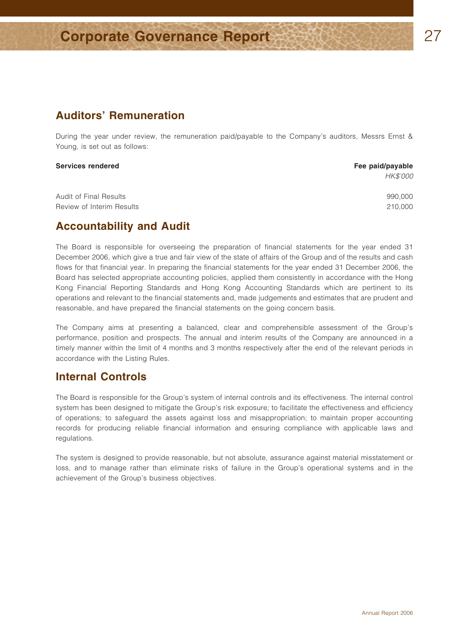# Auditors' Remuneration

During the year under review, the remuneration paid/payable to the Company's auditors, Messrs Ernst & Young, is set out as follows:

| <b>Services rendered</b>  | Fee paid/payable<br><b>HK\$'000</b> |
|---------------------------|-------------------------------------|
| Audit of Final Results    | 990,000                             |
| Review of Interim Results | 210,000                             |

### Accountability and Audit

The Board is responsible for overseeing the preparation of financial statements for the year ended 31 December 2006, which give a true and fair view of the state of affairs of the Group and of the results and cash flows for that financial year. In preparing the financial statements for the year ended 31 December 2006, the Board has selected appropriate accounting policies, applied them consistently in accordance with the Hong Kong Financial Reporting Standards and Hong Kong Accounting Standards which are pertinent to its operations and relevant to the financial statements and, made judgements and estimates that are prudent and reasonable, and have prepared the financial statements on the going concern basis.

The Company aims at presenting a balanced, clear and comprehensible assessment of the Group's performance, position and prospects. The annual and interim results of the Company are announced in a timely manner within the limit of 4 months and 3 months respectively after the end of the relevant periods in accordance with the Listing Rules.

## Internal Controls

The Board is responsible for the Group's system of internal controls and its effectiveness. The internal control system has been designed to mitigate the Group's risk exposure; to facilitate the effectiveness and efficiency of operations; to safeguard the assets against loss and misappropriation; to maintain proper accounting records for producing reliable financial information and ensuring compliance with applicable laws and regulations.

The system is designed to provide reasonable, but not absolute, assurance against material misstatement or loss, and to manage rather than eliminate risks of failure in the Group's operational systems and in the achievement of the Group's business objectives.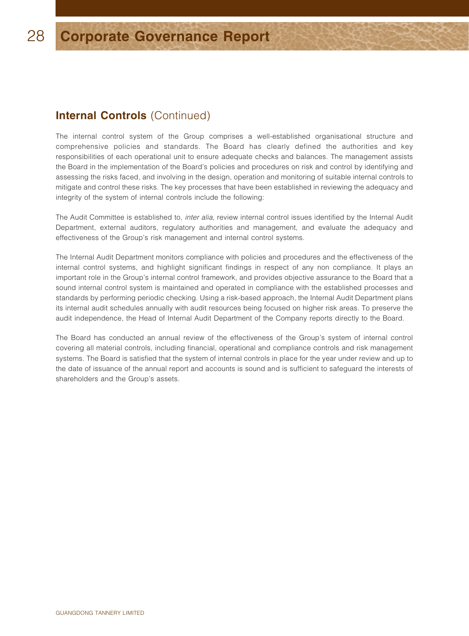## **Internal Controls (Continued)**

The internal control system of the Group comprises a well-established organisational structure and comprehensive policies and standards. The Board has clearly defined the authorities and key responsibilities of each operational unit to ensure adequate checks and balances. The management assists the Board in the implementation of the Board's policies and procedures on risk and control by identifying and assessing the risks faced, and involving in the design, operation and monitoring of suitable internal controls to mitigate and control these risks. The key processes that have been established in reviewing the adequacy and integrity of the system of internal controls include the following:

The Audit Committee is established to, inter alia, review internal control issues identified by the Internal Audit Department, external auditors, regulatory authorities and management, and evaluate the adequacy and effectiveness of the Group's risk management and internal control systems.

The Internal Audit Department monitors compliance with policies and procedures and the effectiveness of the internal control systems, and highlight significant findings in respect of any non compliance. It plays an important role in the Group's internal control framework, and provides objective assurance to the Board that a sound internal control system is maintained and operated in compliance with the established processes and standards by performing periodic checking. Using a risk-based approach, the Internal Audit Department plans its internal audit schedules annually with audit resources being focused on higher risk areas. To preserve the audit independence, the Head of Internal Audit Department of the Company reports directly to the Board.

The Board has conducted an annual review of the effectiveness of the Group's system of internal control covering all material controls, including financial, operational and compliance controls and risk management systems. The Board is satisfied that the system of internal controls in place for the year under review and up to the date of issuance of the annual report and accounts is sound and is sufficient to safeguard the interests of shareholders and the Group's assets.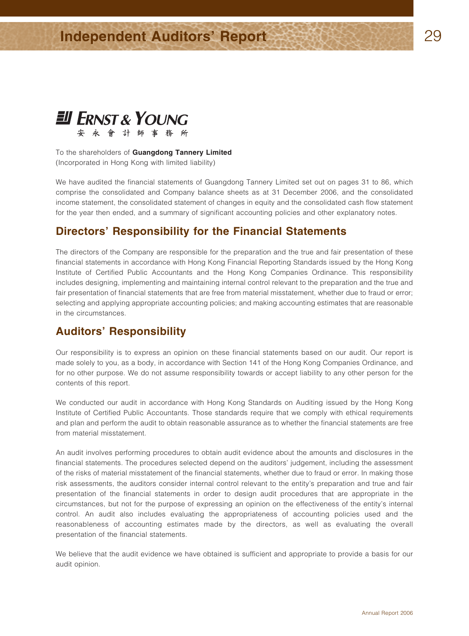

To the shareholders of Guangdong Tannery Limited (Incorporated in Hong Kong with limited liability)

We have audited the financial statements of Guangdong Tannery Limited set out on pages 31 to 86, which comprise the consolidated and Company balance sheets as at 31 December 2006, and the consolidated income statement, the consolidated statement of changes in equity and the consolidated cash flow statement for the year then ended, and a summary of significant accounting policies and other explanatory notes.

# Directors' Responsibility for the Financial Statements

The directors of the Company are responsible for the preparation and the true and fair presentation of these financial statements in accordance with Hong Kong Financial Reporting Standards issued by the Hong Kong Institute of Certified Public Accountants and the Hong Kong Companies Ordinance. This responsibility includes designing, implementing and maintaining internal control relevant to the preparation and the true and fair presentation of financial statements that are free from material misstatement, whether due to fraud or error; selecting and applying appropriate accounting policies; and making accounting estimates that are reasonable in the circumstances.

## Auditors' Responsibility

Our responsibility is to express an opinion on these financial statements based on our audit. Our report is made solely to you, as a body, in accordance with Section 141 of the Hong Kong Companies Ordinance, and for no other purpose. We do not assume responsibility towards or accept liability to any other person for the contents of this report.

We conducted our audit in accordance with Hong Kong Standards on Auditing issued by the Hong Kong Institute of Certified Public Accountants. Those standards require that we comply with ethical requirements and plan and perform the audit to obtain reasonable assurance as to whether the financial statements are free from material misstatement.

An audit involves performing procedures to obtain audit evidence about the amounts and disclosures in the financial statements. The procedures selected depend on the auditors' judgement, including the assessment of the risks of material misstatement of the financial statements, whether due to fraud or error. In making those risk assessments, the auditors consider internal control relevant to the entity's preparation and true and fair presentation of the financial statements in order to design audit procedures that are appropriate in the circumstances, but not for the purpose of expressing an opinion on the effectiveness of the entity's internal control. An audit also includes evaluating the appropriateness of accounting policies used and the reasonableness of accounting estimates made by the directors, as well as evaluating the overall presentation of the financial statements.

We believe that the audit evidence we have obtained is sufficient and appropriate to provide a basis for our audit opinion.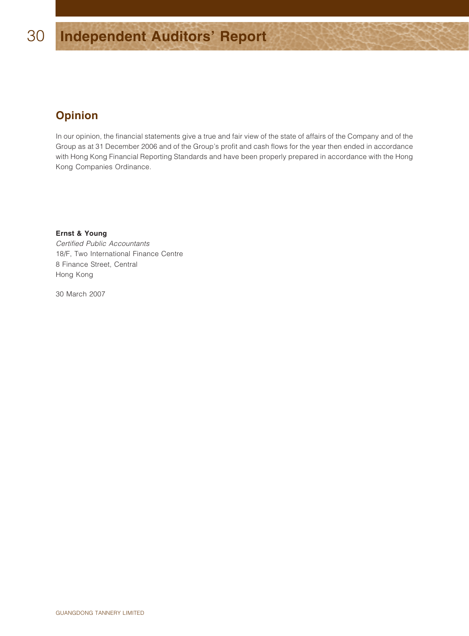# Opinion

In our opinion, the financial statements give a true and fair view of the state of affairs of the Company and of the Group as at 31 December 2006 and of the Group's profit and cash flows for the year then ended in accordance with Hong Kong Financial Reporting Standards and have been properly prepared in accordance with the Hong Kong Companies Ordinance.

Ernst & Young Certified Public Accountants 18/F, Two International Finance Centre 8 Finance Street, Central Hong Kong

30 March 2007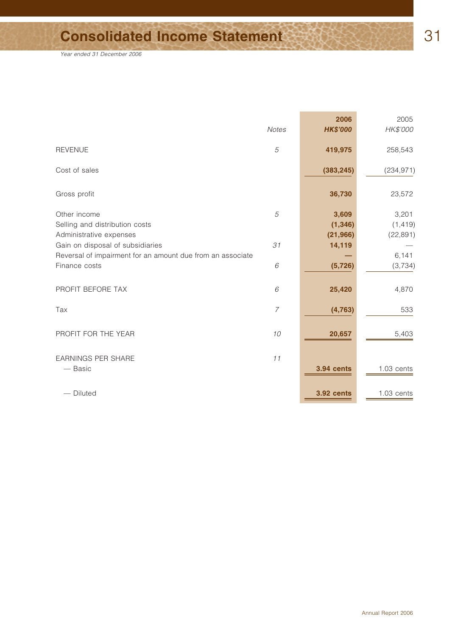# Consolidated Income Statement 31

Year ended 31 December 2006

|                                                            | Notes          | 2006<br><b>HK\$'000</b> | 2005<br>HK\$'000 |
|------------------------------------------------------------|----------------|-------------------------|------------------|
|                                                            |                |                         |                  |
| <b>REVENUE</b>                                             | 5              | 419,975                 | 258,543          |
| Cost of sales                                              |                | (383, 245)              | (234, 971)       |
| Gross profit                                               |                | 36,730                  | 23,572           |
| Other income                                               | 5              | 3,609                   | 3,201            |
| Selling and distribution costs<br>Administrative expenses  |                | (1, 346)<br>(21, 966)   | (1, 419)         |
| Gain on disposal of subsidiaries                           | 31             | 14,119                  | (22, 891)        |
| Reversal of impairment for an amount due from an associate |                |                         | 6,141            |
| Finance costs                                              | 6              | (5, 726)                | (3,734)          |
| PROFIT BEFORE TAX                                          | 6              | 25,420                  | 4,870            |
| Tax                                                        | $\overline{7}$ | (4, 763)                | 533              |
| PROFIT FOR THE YEAR                                        | 10             | 20,657                  | 5,403            |
| <b>EARNINGS PER SHARE</b>                                  | 11             |                         |                  |
| — Basic                                                    |                | <b>3.94 cents</b>       | $1.03$ cents     |
| - Diluted                                                  |                | <b>3.92 cents</b>       | $1.03$ cents     |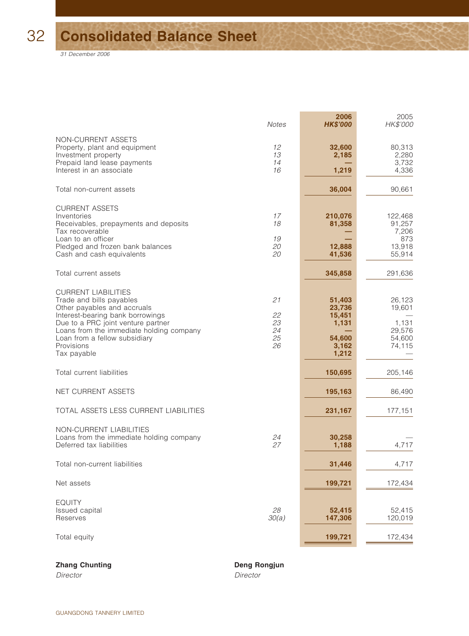# 32 Consolidated Balance Sheet

31 December 2006

|                                                                                                                                                                                                                                                                           | <b>Notes</b>                     | 2006<br><b>HK\$'000</b>                                         | 2005<br>HK\$'000                                        |
|---------------------------------------------------------------------------------------------------------------------------------------------------------------------------------------------------------------------------------------------------------------------------|----------------------------------|-----------------------------------------------------------------|---------------------------------------------------------|
| NON-CURRENT ASSETS<br>Property, plant and equipment<br>Investment property<br>Prepaid land lease payments<br>Interest in an associate                                                                                                                                     | 12<br>13<br>14<br>16             | 32,600<br>2,185<br>1,219                                        | 80,313<br>2,280<br>3,732<br>4,336                       |
| Total non-current assets                                                                                                                                                                                                                                                  |                                  | 36,004                                                          | 90,661                                                  |
| <b>CURRENT ASSETS</b><br>Inventories<br>Receivables, prepayments and deposits<br>Tax recoverable<br>Loan to an officer<br>Pledged and frozen bank balances<br>Cash and cash equivalents                                                                                   | 17<br>18<br>19<br>20<br>20       | 210,076<br>81,358<br>12,888<br>41,536                           | 122,468<br>91,257<br>7,206<br>873<br>13,918<br>55,914   |
| Total current assets                                                                                                                                                                                                                                                      |                                  | 345,858                                                         | 291,636                                                 |
| <b>CURRENT LIABILITIES</b><br>Trade and bills payables<br>Other payables and accruals<br>Interest-bearing bank borrowings<br>Due to a PRC joint venture partner<br>Loans from the immediate holding company<br>Loan from a fellow subsidiary<br>Provisions<br>Tax payable | 21<br>22<br>23<br>24<br>25<br>26 | 51,403<br>23,736<br>15,451<br>1,131<br>54,600<br>3,162<br>1,212 | 26,123<br>19,601<br>1,131<br>29,576<br>54,600<br>74,115 |
| Total current liabilities                                                                                                                                                                                                                                                 |                                  | 150,695                                                         | 205,146                                                 |
| NET CURRENT ASSETS                                                                                                                                                                                                                                                        |                                  | 195,163                                                         | 86,490                                                  |
| TOTAL ASSETS LESS CURRENT LIABILITIES                                                                                                                                                                                                                                     |                                  | 231,167                                                         | 177,151                                                 |
| NON-CURRENT LIABILITIES<br>Loans from the immediate holding company<br>Deferred tax liabilities                                                                                                                                                                           | 24<br>27                         | 30,258<br>1,188                                                 | 4,717                                                   |
| Total non-current liabilities                                                                                                                                                                                                                                             |                                  | 31,446                                                          | 4,717                                                   |
| Net assets                                                                                                                                                                                                                                                                |                                  | 199,721                                                         | 172,434                                                 |
| <b>EQUITY</b><br>Issued capital<br>Reserves                                                                                                                                                                                                                               | 28<br>30(a)                      | 52,415<br>147,306                                               | 52,415<br>120,019                                       |
| Total equity                                                                                                                                                                                                                                                              |                                  | 199,721                                                         | 172,434                                                 |

#### Zhang Chunting **Deng Rongjun**

Director **Director** Director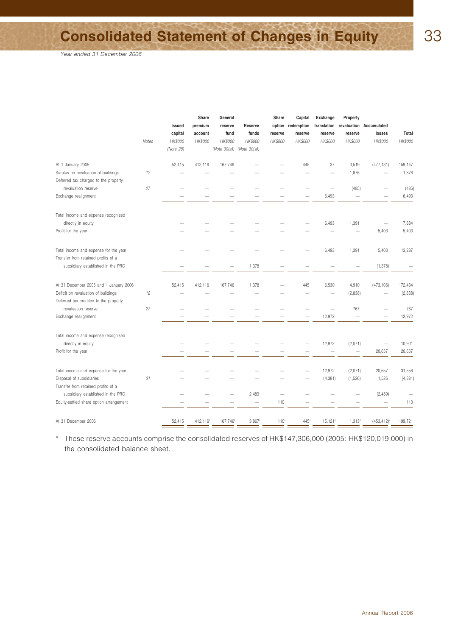Consolidated Statement of Changes in Equity 33

|                                                                              | Notes | Issued<br>capital<br><b>HK\$000</b><br>(Note 28) | Share<br>premium<br>account<br>HK\$000 | General<br>reserve<br>fund<br><b>HK\$000</b><br>(Note 30(a)) (Note 30(a)) | Reserve<br>funds<br>HK\$000 | Share<br>reserve<br>HK\$000 | Capital<br>option redemption<br>reserve<br>HK\$000 | Exchange<br>translation<br>reserve<br>HK\$000 | Property<br>reserve<br><b>HK\$000</b> | revaluation Accumulated<br>losses<br>HK\$000 | Total<br><b>HK\$000</b> |
|------------------------------------------------------------------------------|-------|--------------------------------------------------|----------------------------------------|---------------------------------------------------------------------------|-----------------------------|-----------------------------|----------------------------------------------------|-----------------------------------------------|---------------------------------------|----------------------------------------------|-------------------------|
| At 1 January 2005                                                            |       | 52,415                                           | 412,116                                | 167,746                                                                   |                             |                             | 445                                                | 37                                            | 3,519                                 | (477, 131)                                   | 159,147                 |
| Surplus on revaluation of buildings<br>Deferred tax charged to the property  | 12    |                                                  |                                        |                                                                           |                             |                             |                                                    | $\overline{\phantom{0}}$                      | 1,876                                 |                                              | 1,876                   |
| revaluation reserve                                                          | 27    |                                                  |                                        |                                                                           |                             |                             |                                                    | $\overline{\phantom{0}}$                      | (485)                                 |                                              | (485)                   |
| Exchange realignment                                                         |       |                                                  |                                        |                                                                           |                             |                             |                                                    | 6,493                                         |                                       |                                              | 6,493                   |
| Total income and expense recognised                                          |       |                                                  |                                        |                                                                           |                             |                             |                                                    |                                               |                                       |                                              |                         |
| directly in equity                                                           |       |                                                  |                                        |                                                                           |                             |                             |                                                    | 6,493                                         | 1,391                                 |                                              | 7,884                   |
| Profit for the year                                                          |       |                                                  |                                        |                                                                           |                             |                             |                                                    |                                               |                                       | 5,403                                        | 5,403                   |
| Total income and expense for the year<br>Transfer from retained profits of a |       |                                                  |                                        |                                                                           |                             |                             |                                                    | 6,493                                         | 1,391                                 | 5,403                                        | 13,287                  |
| subsidiary established in the PRC                                            |       |                                                  |                                        |                                                                           | 1,378                       |                             |                                                    |                                               |                                       | (1,378)                                      |                         |
| At 31 December 2005 and 1 January 2006                                       |       | 52,415                                           | 412,116                                | 167,746                                                                   | 1,378                       |                             | 445                                                | 6,530                                         | 4,910                                 | (473, 106)                                   | 172,434                 |
| Deficit on revaluation of buildings<br>Deferred tax credited to the property | 12    |                                                  |                                        |                                                                           |                             |                             |                                                    |                                               | (2,838)                               |                                              | (2,838)                 |
| revaluation reserve                                                          | 27    |                                                  |                                        |                                                                           |                             |                             |                                                    |                                               | 767                                   |                                              | 767                     |
| Exchange realignment                                                         |       |                                                  |                                        |                                                                           |                             |                             |                                                    | 12,972                                        |                                       |                                              | 12,972                  |
| Total income and expense recognised                                          |       |                                                  |                                        |                                                                           |                             |                             |                                                    |                                               |                                       |                                              |                         |
| directly in equity                                                           |       |                                                  |                                        |                                                                           |                             |                             |                                                    | 12,972                                        | (2,071)                               |                                              | 10,901                  |
| Profit for the year                                                          |       |                                                  |                                        |                                                                           |                             |                             |                                                    |                                               | $\overline{\phantom{m}}$              | 20,657                                       | 20,657                  |
| Total income and expense for the year                                        |       |                                                  |                                        |                                                                           |                             |                             |                                                    | 12,972                                        | (2,071)                               | 20,657                                       | 31,558                  |
| Disposal of subsidiaries<br>Transfer from retained profits of a              | 31    |                                                  |                                        |                                                                           |                             |                             |                                                    | (4, 381)                                      | (1,526)                               | 1,526                                        | (4, 381)                |
| subsidiary established in the PRC                                            |       |                                                  |                                        |                                                                           | 2,489                       |                             |                                                    |                                               |                                       | (2,489)                                      |                         |
| Equity-settled share option arrangement                                      |       |                                                  |                                        |                                                                           |                             | 110                         |                                                    |                                               |                                       |                                              | 110                     |
|                                                                              |       |                                                  |                                        |                                                                           |                             |                             |                                                    |                                               |                                       |                                              |                         |

\* These reserve accounts comprise the consolidated reserves of HK\$147,306,000 (2005: HK\$120,019,000) in the consolidated balance sheet.

At 31 December 2006 52,415 412,116\* 167,746\* 3,867\* 110\* 445\* 15,121\* 1,313\* (453,412)\* 199,721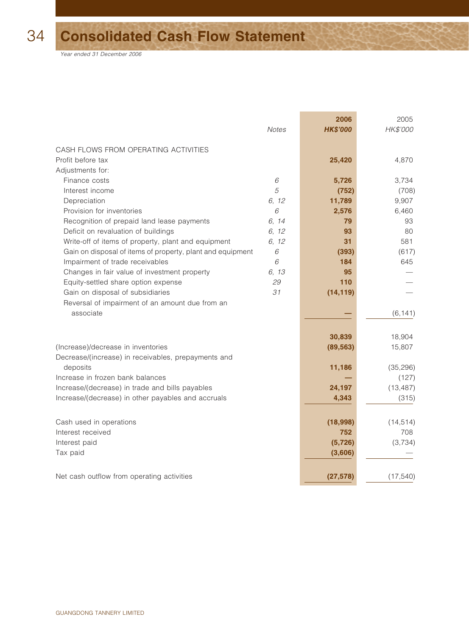# 34 Consolidated Cash Flow Statement

Year ended 31 December 2006

|                                                            |              | 2006            | 2005      |
|------------------------------------------------------------|--------------|-----------------|-----------|
|                                                            | <b>Notes</b> | <b>HK\$'000</b> | HK\$'000  |
|                                                            |              |                 |           |
| CASH FLOWS FROM OPERATING ACTIVITIES                       |              |                 |           |
| Profit before tax                                          |              | 25,420          | 4,870     |
| Adjustments for:                                           |              |                 |           |
| Finance costs                                              | 6            | 5,726           | 3,734     |
| Interest income                                            | 5            | (752)           | (708)     |
| Depreciation                                               | 6, 12        | 11,789          | 9,907     |
| Provision for inventories                                  | 6            | 2,576           | 6,460     |
| Recognition of prepaid land lease payments                 | 6, 14        | 79              | 93        |
| Deficit on revaluation of buildings                        | 6, 12        | 93              | 80        |
| Write-off of items of property, plant and equipment        | 6, 12        | 31              | 581       |
| Gain on disposal of items of property, plant and equipment | 6            | (393)           | (617)     |
| Impairment of trade receivables                            | 6            | 184             | 645       |
| Changes in fair value of investment property               | 6, 13        | 95              |           |
| Equity-settled share option expense                        | 29           | 110             |           |
| Gain on disposal of subsidiaries                           | 31           | (14, 119)       |           |
| Reversal of impairment of an amount due from an            |              |                 |           |
| associate                                                  |              |                 | (6, 141)  |
|                                                            |              |                 |           |
|                                                            |              | 30,839          | 18,904    |
| (Increase)/decrease in inventories                         |              | (89, 563)       | 15,807    |
| Decrease/(increase) in receivables, prepayments and        |              |                 |           |
| deposits                                                   |              | 11,186          | (35, 296) |
| Increase in frozen bank balances                           |              |                 | (127)     |
| Increase/(decrease) in trade and bills payables            |              | 24,197          | (13, 487) |
| Increase/(decrease) in other payables and accruals         |              | 4,343           | (315)     |
|                                                            |              |                 |           |
|                                                            |              |                 |           |
| Cash used in operations                                    |              | (18,998)        | (14, 514) |
| Interest received                                          |              | 752             | 708       |
| Interest paid                                              |              | (5, 726)        | (3,734)   |
| Tax paid                                                   |              | (3,606)         |           |
|                                                            |              |                 |           |
| Net cash outflow from operating activities                 |              | (27, 578)       | (17, 540) |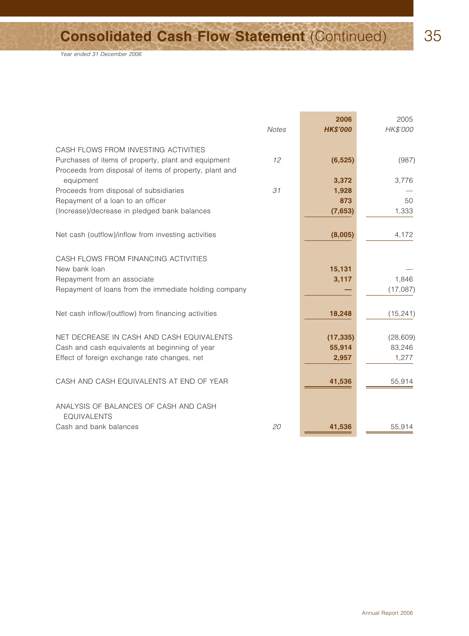Consolidated Cash Flow Statement (Continued) 35

**Contract Contract Contract Contract** 

|                                                                                                |              | 2006                | 2005      |
|------------------------------------------------------------------------------------------------|--------------|---------------------|-----------|
|                                                                                                | <b>Notes</b> | <b>HK\$'000</b>     | HK\$'000  |
| CASH FLOWS FROM INVESTING ACTIVITIES                                                           |              |                     |           |
| Purchases of items of property, plant and equipment                                            | 12           | (6, 525)            | (987)     |
| Proceeds from disposal of items of property, plant and                                         |              |                     |           |
| equipment                                                                                      |              | 3,372               | 3,776     |
| Proceeds from disposal of subsidiaries                                                         | 31           | 1,928               |           |
| Repayment of a loan to an officer                                                              |              | 873                 | 50        |
| (Increase)/decrease in pledged bank balances                                                   |              | (7,653)             | 1,333     |
|                                                                                                |              |                     |           |
| Net cash (outflow)/inflow from investing activities                                            |              | (8,005)             | 4,172     |
|                                                                                                |              |                     |           |
| CASH FLOWS FROM FINANCING ACTIVITIES                                                           |              |                     |           |
| New bank loan                                                                                  |              | 15,131              |           |
| Repayment from an associate                                                                    |              | 3,117               | 1,846     |
| Repayment of loans from the immediate holding company                                          |              |                     | (17,087)  |
|                                                                                                |              |                     |           |
| Net cash inflow/(outflow) from financing activities                                            |              | 18,248              | (15, 241) |
| NET DECREASE IN CASH AND CASH EQUIVALENTS                                                      |              |                     | (28, 609) |
|                                                                                                |              | (17, 335)<br>55,914 | 83,246    |
| Cash and cash equivalents at beginning of year<br>Effect of foreign exchange rate changes, net |              |                     | 1,277     |
|                                                                                                |              | 2,957               |           |
| CASH AND CASH EQUIVALENTS AT END OF YEAR                                                       |              | 41,536              | 55,914    |
|                                                                                                |              |                     |           |
| ANALYSIS OF BALANCES OF CASH AND CASH<br><b>EQUIVALENTS</b>                                    |              |                     |           |
| Cash and bank balances                                                                         | 20           | 41,536              | 55,914    |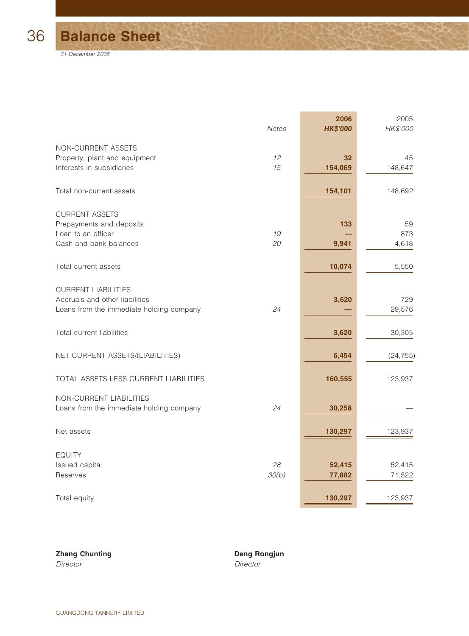|                                                                                                          | <b>Notes</b> | 2006<br><b>HK\$'000</b> | 2005<br>HK\$'000   |
|----------------------------------------------------------------------------------------------------------|--------------|-------------------------|--------------------|
| NON-CURRENT ASSETS<br>Property, plant and equipment<br>Interests in subsidiaries                         | 12<br>15     | 32<br>154,069           | 45<br>148,647      |
| Total non-current assets                                                                                 |              | 154,101                 | 148,692            |
| <b>CURRENT ASSETS</b><br>Prepayments and deposits<br>Loan to an officer<br>Cash and bank balances        | 19<br>20     | 133<br>9,941            | 59<br>873<br>4,618 |
| Total current assets                                                                                     |              | 10,074                  | 5,550              |
| <b>CURRENT LIABILITIES</b><br>Accruals and other liabilities<br>Loans from the immediate holding company | 24           | 3,620                   | 729<br>29,576      |
| Total current liabilities                                                                                |              | 3,620                   | 30,305             |
| NET CURRENT ASSETS/(LIABILITIES)                                                                         |              | 6,454                   | (24, 755)          |
| TOTAL ASSETS LESS CURRENT LIABILITIES                                                                    |              | 160,555                 | 123,937            |
| NON-CURRENT LIABILITIES<br>Loans from the immediate holding company                                      | 24           | 30,258                  |                    |
| Net assets                                                                                               |              | 130,297                 | 123,937            |
| <b>EQUITY</b><br>Issued capital<br>Reserves                                                              | 28<br>30(b)  | 52,415<br>77,882        | 52,415<br>71,522   |
| Total equity                                                                                             |              | 130,297                 | 123,937            |

Zhang Chunting **Deng Rongjun** 

Director **Director** Director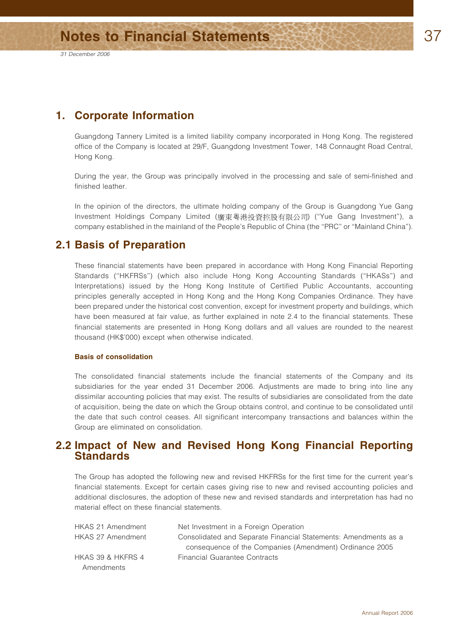## 1. Corporate Information

Guangdong Tannery Limited is a limited liability company incorporated in Hong Kong. The registered office of the Company is located at 29/F, Guangdong Investment Tower, 148 Connaught Road Central, Hong Kong.

During the year, the Group was principally involved in the processing and sale of semi-finished and finished leather.

In the opinion of the directors, the ultimate holding company of the Group is Guangdong Yue Gang Investment Holdings Company Limited ( f ) 唐東粵港投資控股有限公司) ("Yue Gang Investment"), a company established in the mainland of the People's Republic of China (the ''PRC'' or ''Mainland China'').

### 2.1 Basis of Preparation

These financial statements have been prepared in accordance with Hong Kong Financial Reporting Standards (''HKFRSs'') (which also include Hong Kong Accounting Standards (''HKASs'') and Interpretations) issued by the Hong Kong Institute of Certified Public Accountants, accounting principles generally accepted in Hong Kong and the Hong Kong Companies Ordinance. They have been prepared under the historical cost convention, except for investment property and buildings, which have been measured at fair value, as further explained in note 2.4 to the financial statements. These financial statements are presented in Hong Kong dollars and all values are rounded to the nearest thousand (HK\$'000) except when otherwise indicated.

### Basis of consolidation

The consolidated financial statements include the financial statements of the Company and its subsidiaries for the year ended 31 December 2006. Adjustments are made to bring into line any dissimilar accounting policies that may exist. The results of subsidiaries are consolidated from the date of acquisition, being the date on which the Group obtains control, and continue to be consolidated until the date that such control ceases. All significant intercompany transactions and balances within the Group are eliminated on consolidation.

### 2.2 Impact of New and Revised Hong Kong Financial Reporting **Standards**

The Group has adopted the following new and revised HKFRSs for the first time for the current year's financial statements. Except for certain cases giving rise to new and revised accounting policies and additional disclosures, the adoption of these new and revised standards and interpretation has had no material effect on these financial statements.

| HKAS 21 Amendment | Net Investment in a Foreign Operation                           |
|-------------------|-----------------------------------------------------------------|
| HKAS 27 Amendment | Consolidated and Separate Financial Statements: Amendments as a |
|                   | consequence of the Companies (Amendment) Ordinance 2005         |
| HKAS 39 & HKFRS 4 | Financial Guarantee Contracts                                   |
| Amendments        |                                                                 |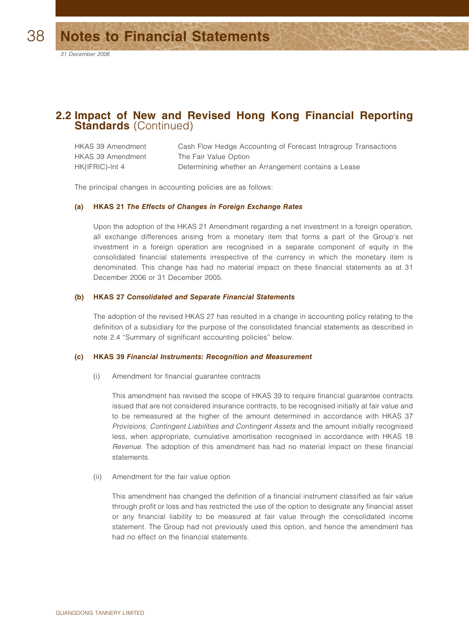31 December 2006

### 2.2 Impact of New and Revised Hong Kong Financial Reporting **Standards** (Continued)

| HKAS 39 Amendment | Cash Flow Hedge Accounting of Forecast Intragroup Transactions |
|-------------------|----------------------------------------------------------------|
| HKAS 39 Amendment | The Fair Value Option                                          |
| HK(IFRIC)-Int 4   | Determining whether an Arrangement contains a Lease            |

The principal changes in accounting policies are as follows:

#### (a) HKAS 21 The Effects of Changes in Foreign Exchange Rates

Upon the adoption of the HKAS 21 Amendment regarding a net investment in a foreign operation, all exchange differences arising from a monetary item that forms a part of the Group's net investment in a foreign operation are recognised in a separate component of equity in the consolidated financial statements irrespective of the currency in which the monetary item is denominated. This change has had no material impact on these financial statements as at 31 December 2006 or 31 December 2005.

#### (b) HKAS 27 Consolidated and Separate Financial Statements

The adoption of the revised HKAS 27 has resulted in a change in accounting policy relating to the definition of a subsidiary for the purpose of the consolidated financial statements as described in note 2.4 ''Summary of significant accounting policies'' below.

#### (c) HKAS 39 Financial Instruments: Recognition and Measurement

(i) Amendment for financial guarantee contracts

This amendment has revised the scope of HKAS 39 to require financial guarantee contracts issued that are not considered insurance contracts, to be recognised initially at fair value and to be remeasured at the higher of the amount determined in accordance with HKAS 37 Provisions, Contingent Liabilities and Contingent Assets and the amount initially recognised less, when appropriate, cumulative amortisation recognised in accordance with HKAS 18 Revenue. The adoption of this amendment has had no material impact on these financial statements.

(ii) Amendment for the fair value option

This amendment has changed the definition of a financial instrument classified as fair value through profit or loss and has restricted the use of the option to designate any financial asset or any financial liability to be measured at fair value through the consolidated income statement. The Group had not previously used this option, and hence the amendment has had no effect on the financial statements.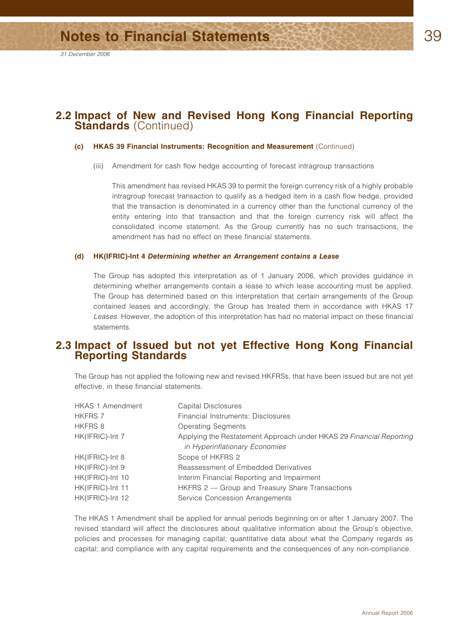### 2.2 Impact of New and Revised Hong Kong Financial Reporting **Standards** (Continued)

#### (c) HKAS 39 Financial Instruments: Recognition and Measurement (Continued)

(iii) Amendment for cash flow hedge accounting of forecast intragroup transactions

This amendment has revised HKAS 39 to permit the foreign currency risk of a highly probable intragroup forecast transaction to qualify as a hedged item in a cash flow hedge, provided that the transaction is denominated in a currency other than the functional currency of the entity entering into that transaction and that the foreign currency risk will affect the consolidated income statement. As the Group currently has no such transactions, the amendment has had no effect on these financial statements.

#### (d) HK(IFRIC)-Int 4 Determining whether an Arrangement contains a Lease

The Group has adopted this interpretation as of 1 January 2006, which provides guidance in determining whether arrangements contain a lease to which lease accounting must be applied. The Group has determined based on this interpretation that certain arrangements of the Group contained leases and accordingly, the Group has treated them in accordance with HKAS 17 Leases. However, the adoption of this interpretation has had no material impact on these financial statements.

### 2.3 Impact of Issued but not yet Effective Hong Kong Financial Reporting Standards

The Group has not applied the following new and revised HKFRSs, that have been issued but are not yet effective, in these financial statements.

| HKAS 1 Amendment | Capital Disclosures                                                 |
|------------------|---------------------------------------------------------------------|
| HKFRS 7          | Financial Instruments: Disclosures                                  |
| <b>HKFRS 8</b>   | Operating Segments                                                  |
| HK(IFRIC)-Int 7  | Applying the Restatement Approach under HKAS 29 Financial Reporting |
|                  | in Hyperinflationary Economies                                      |
| HK(IFRIC)-Int 8  | Scope of HKFRS 2                                                    |
| HK(IFRIC)-Int 9  | Reassessment of Embedded Derivatives                                |
| HK(IFRIC)-Int 10 | Interim Financial Reporting and Impairment                          |
| HK(IFRIC)-Int 11 | HKFRS 2 – Group and Treasury Share Transactions                     |
| HK(IFRIC)-Int 12 | Service Concession Arrangements                                     |

The HKAS 1 Amendment shall be applied for annual periods beginning on or after 1 January 2007. The revised standard will affect the disclosures about qualitative information about the Group's objective, policies and processes for managing capital; quantitative data about what the Company regards as capital; and compliance with any capital requirements and the consequences of any non-compliance.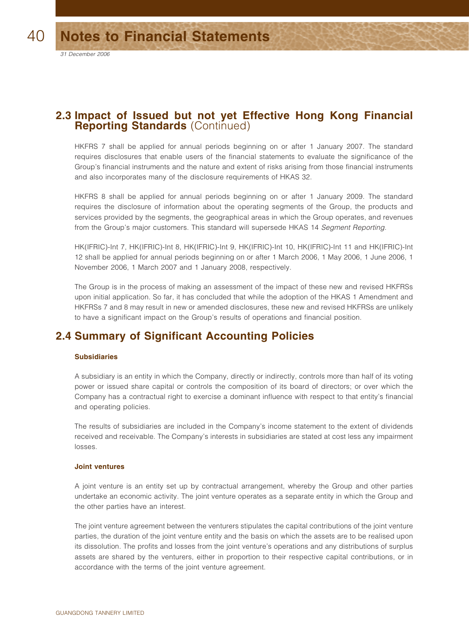### 2.3 Impact of Issued but not yet Effective Hong Kong Financial Reporting Standards (Continued)

HKFRS 7 shall be applied for annual periods beginning on or after 1 January 2007. The standard requires disclosures that enable users of the financial statements to evaluate the significance of the Group's financial instruments and the nature and extent of risks arising from those financial instruments and also incorporates many of the disclosure requirements of HKAS 32.

HKFRS 8 shall be applied for annual periods beginning on or after 1 January 2009. The standard requires the disclosure of information about the operating segments of the Group, the products and services provided by the segments, the geographical areas in which the Group operates, and revenues from the Group's major customers. This standard will supersede HKAS 14 Segment Reporting.

HK(IFRIC)-Int 7, HK(IFRIC)-Int 8, HK(IFRIC)-Int 9, HK(IFRIC)-Int 10, HK(IFRIC)-Int 11 and HK(IFRIC)-Int 12 shall be applied for annual periods beginning on or after 1 March 2006, 1 May 2006, 1 June 2006, 1 November 2006, 1 March 2007 and 1 January 2008, respectively.

The Group is in the process of making an assessment of the impact of these new and revised HKFRSs upon initial application. So far, it has concluded that while the adoption of the HKAS 1 Amendment and HKFRSs 7 and 8 may result in new or amended disclosures, these new and revised HKFRSs are unlikely to have a significant impact on the Group's results of operations and financial position.

### 2.4 Summary of Significant Accounting Policies

#### **Subsidiaries**

A subsidiary is an entity in which the Company, directly or indirectly, controls more than half of its voting power or issued share capital or controls the composition of its board of directors; or over which the Company has a contractual right to exercise a dominant influence with respect to that entity's financial and operating policies.

The results of subsidiaries are included in the Company's income statement to the extent of dividends received and receivable. The Company's interests in subsidiaries are stated at cost less any impairment losses.

#### Joint ventures

A joint venture is an entity set up by contractual arrangement, whereby the Group and other parties undertake an economic activity. The joint venture operates as a separate entity in which the Group and the other parties have an interest.

The joint venture agreement between the venturers stipulates the capital contributions of the joint venture parties, the duration of the joint venture entity and the basis on which the assets are to be realised upon its dissolution. The profits and losses from the joint venture's operations and any distributions of surplus assets are shared by the venturers, either in proportion to their respective capital contributions, or in accordance with the terms of the joint venture agreement.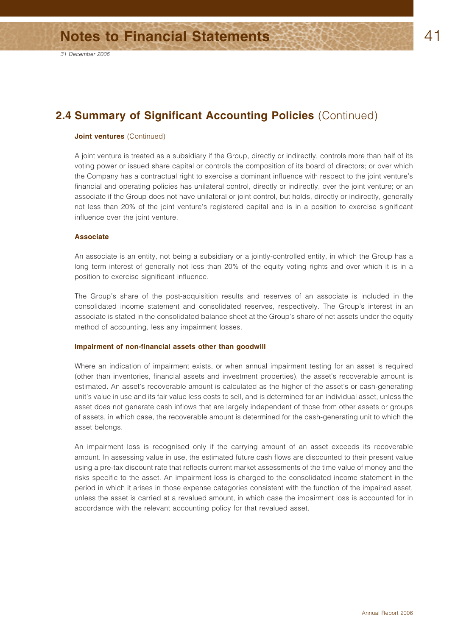#### Joint ventures (Continued)

A joint venture is treated as a subsidiary if the Group, directly or indirectly, controls more than half of its voting power or issued share capital or controls the composition of its board of directors; or over which the Company has a contractual right to exercise a dominant influence with respect to the joint venture's financial and operating policies has unilateral control, directly or indirectly, over the joint venture; or an associate if the Group does not have unilateral or joint control, but holds, directly or indirectly, generally not less than 20% of the joint venture's registered capital and is in a position to exercise significant influence over the joint venture.

#### Associate

An associate is an entity, not being a subsidiary or a jointly-controlled entity, in which the Group has a long term interest of generally not less than 20% of the equity voting rights and over which it is in a position to exercise significant influence.

The Group's share of the post-acquisition results and reserves of an associate is included in the consolidated income statement and consolidated reserves, respectively. The Group's interest in an associate is stated in the consolidated balance sheet at the Group's share of net assets under the equity method of accounting, less any impairment losses.

#### Impairment of non-financial assets other than goodwill

Where an indication of impairment exists, or when annual impairment testing for an asset is required (other than inventories, financial assets and investment properties), the asset's recoverable amount is estimated. An asset's recoverable amount is calculated as the higher of the asset's or cash-generating unit's value in use and its fair value less costs to sell, and is determined for an individual asset, unless the asset does not generate cash inflows that are largely independent of those from other assets or groups of assets, in which case, the recoverable amount is determined for the cash-generating unit to which the asset belongs.

An impairment loss is recognised only if the carrying amount of an asset exceeds its recoverable amount. In assessing value in use, the estimated future cash flows are discounted to their present value using a pre-tax discount rate that reflects current market assessments of the time value of money and the risks specific to the asset. An impairment loss is charged to the consolidated income statement in the period in which it arises in those expense categories consistent with the function of the impaired asset, unless the asset is carried at a revalued amount, in which case the impairment loss is accounted for in accordance with the relevant accounting policy for that revalued asset.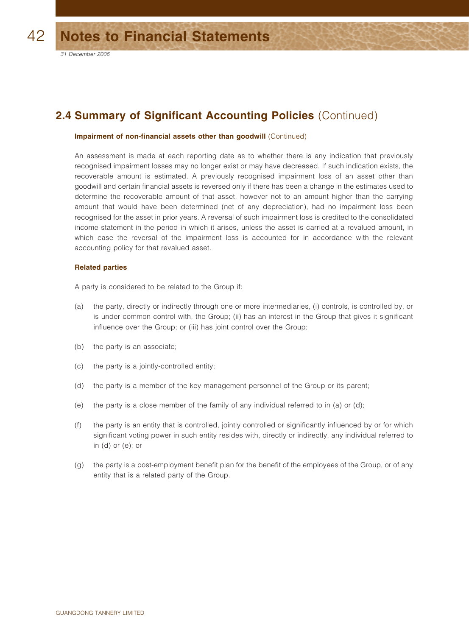#### Impairment of non-financial assets other than goodwill (Continued)

An assessment is made at each reporting date as to whether there is any indication that previously recognised impairment losses may no longer exist or may have decreased. If such indication exists, the recoverable amount is estimated. A previously recognised impairment loss of an asset other than goodwill and certain financial assets is reversed only if there has been a change in the estimates used to determine the recoverable amount of that asset, however not to an amount higher than the carrying amount that would have been determined (net of any depreciation), had no impairment loss been recognised for the asset in prior years. A reversal of such impairment loss is credited to the consolidated income statement in the period in which it arises, unless the asset is carried at a revalued amount, in which case the reversal of the impairment loss is accounted for in accordance with the relevant accounting policy for that revalued asset.

#### Related parties

A party is considered to be related to the Group if:

- (a) the party, directly or indirectly through one or more intermediaries, (i) controls, is controlled by, or is under common control with, the Group; (ii) has an interest in the Group that gives it significant influence over the Group; or (iii) has joint control over the Group;
- (b) the party is an associate;
- (c) the party is a jointly-controlled entity;
- (d) the party is a member of the key management personnel of the Group or its parent;
- (e) the party is a close member of the family of any individual referred to in (a) or (d);
- (f) the party is an entity that is controlled, jointly controlled or significantly influenced by or for which significant voting power in such entity resides with, directly or indirectly, any individual referred to in (d) or (e); or
- (g) the party is a post-employment benefit plan for the benefit of the employees of the Group, or of any entity that is a related party of the Group.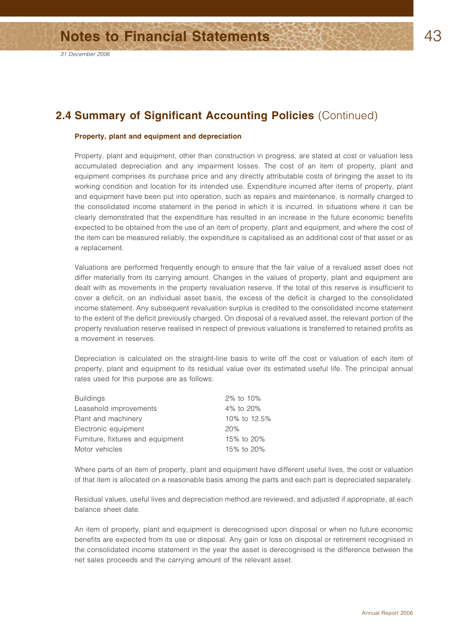### 2.4 Summary of Significant Accounting Policies (Continued)

#### Property, plant and equipment and depreciation

Property, plant and equipment, other than construction in progress, are stated at cost or valuation less accumulated depreciation and any impairment losses. The cost of an item of property, plant and equipment comprises its purchase price and any directly attributable costs of bringing the asset to its working condition and location for its intended use. Expenditure incurred after items of property, plant and equipment have been put into operation, such as repairs and maintenance, is normally charged to the consolidated income statement in the period in which it is incurred. In situations where it can be clearly demonstrated that the expenditure has resulted in an increase in the future economic benefits expected to be obtained from the use of an item of property, plant and equipment, and where the cost of the item can be measured reliably, the expenditure is capitalised as an additional cost of that asset or as a replacement.

Valuations are performed frequently enough to ensure that the fair value of a revalued asset does not differ materially from its carrying amount. Changes in the values of property, plant and equipment are dealt with as movements in the property revaluation reserve. If the total of this reserve is insufficient to cover a deficit, on an individual asset basis, the excess of the deficit is charged to the consolidated income statement. Any subsequent revaluation surplus is credited to the consolidated income statement to the extent of the deficit previously charged. On disposal of a revalued asset, the relevant portion of the property revaluation reserve realised in respect of previous valuations is transferred to retained profits as a movement in reserves.

Depreciation is calculated on the straight-line basis to write off the cost or valuation of each item of property, plant and equipment to its residual value over its estimated useful life. The principal annual rates used for this purpose are as follows:

| <b>Buildings</b>                  | 2% to 10%    |
|-----------------------------------|--------------|
| Leasehold improvements            | 4% to 20%    |
| Plant and machinery               | 10% to 12.5% |
| Electronic equipment              | 20%          |
| Furniture, fixtures and equipment | 15% to 20%   |
| Motor vehicles                    | 15% to 20%   |

Where parts of an item of property, plant and equipment have different useful lives, the cost or valuation of that item is allocated on a reasonable basis among the parts and each part is depreciated separately.

Residual values, useful lives and depreciation method are reviewed, and adjusted if appropriate, at each balance sheet date.

An item of property, plant and equipment is derecognised upon disposal or when no future economic benefits are expected from its use or disposal. Any gain or loss on disposal or retirement recognised in the consolidated income statement in the year the asset is derecognised is the difference between the net sales proceeds and the carrying amount of the relevant asset.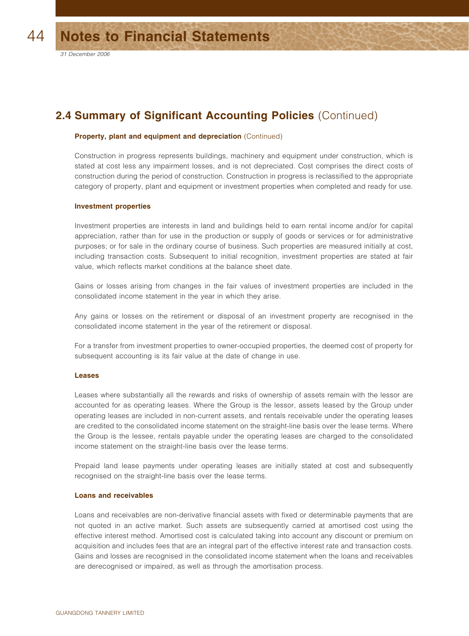#### Property, plant and equipment and depreciation (Continued)

Construction in progress represents buildings, machinery and equipment under construction, which is stated at cost less any impairment losses, and is not depreciated. Cost comprises the direct costs of construction during the period of construction. Construction in progress is reclassified to the appropriate category of property, plant and equipment or investment properties when completed and ready for use.

#### Investment properties

Investment properties are interests in land and buildings held to earn rental income and/or for capital appreciation, rather than for use in the production or supply of goods or services or for administrative purposes; or for sale in the ordinary course of business. Such properties are measured initially at cost, including transaction costs. Subsequent to initial recognition, investment properties are stated at fair value, which reflects market conditions at the balance sheet date.

Gains or losses arising from changes in the fair values of investment properties are included in the consolidated income statement in the year in which they arise.

Any gains or losses on the retirement or disposal of an investment property are recognised in the consolidated income statement in the year of the retirement or disposal.

For a transfer from investment properties to owner-occupied properties, the deemed cost of property for subsequent accounting is its fair value at the date of change in use.

#### Leases

Leases where substantially all the rewards and risks of ownership of assets remain with the lessor are accounted for as operating leases. Where the Group is the lessor, assets leased by the Group under operating leases are included in non-current assets, and rentals receivable under the operating leases are credited to the consolidated income statement on the straight-line basis over the lease terms. Where the Group is the lessee, rentals payable under the operating leases are charged to the consolidated income statement on the straight-line basis over the lease terms.

Prepaid land lease payments under operating leases are initially stated at cost and subsequently recognised on the straight-line basis over the lease terms.

#### Loans and receivables

Loans and receivables are non-derivative financial assets with fixed or determinable payments that are not quoted in an active market. Such assets are subsequently carried at amortised cost using the effective interest method. Amortised cost is calculated taking into account any discount or premium on acquisition and includes fees that are an integral part of the effective interest rate and transaction costs. Gains and losses are recognised in the consolidated income statement when the loans and receivables are derecognised or impaired, as well as through the amortisation process.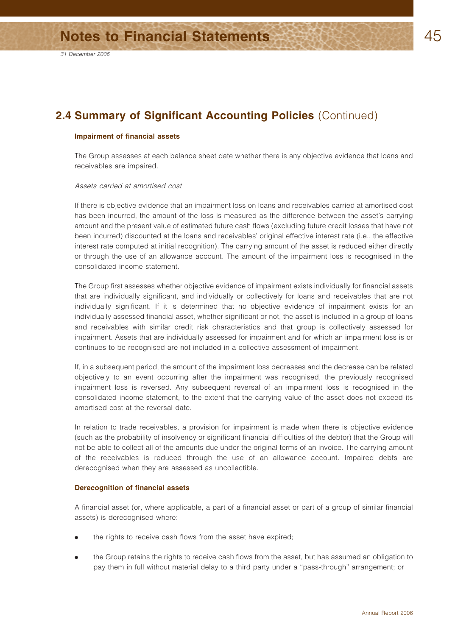### 2.4 Summary of Significant Accounting Policies (Continued)

#### Impairment of financial assets

The Group assesses at each balance sheet date whether there is any objective evidence that loans and receivables are impaired.

#### Assets carried at amortised cost

If there is objective evidence that an impairment loss on loans and receivables carried at amortised cost has been incurred, the amount of the loss is measured as the difference between the asset's carrying amount and the present value of estimated future cash flows (excluding future credit losses that have not been incurred) discounted at the loans and receivables' original effective interest rate (i.e., the effective interest rate computed at initial recognition). The carrying amount of the asset is reduced either directly or through the use of an allowance account. The amount of the impairment loss is recognised in the consolidated income statement.

The Group first assesses whether objective evidence of impairment exists individually for financial assets that are individually significant, and individually or collectively for loans and receivables that are not individually significant. If it is determined that no objective evidence of impairment exists for an individually assessed financial asset, whether significant or not, the asset is included in a group of loans and receivables with similar credit risk characteristics and that group is collectively assessed for impairment. Assets that are individually assessed for impairment and for which an impairment loss is or continues to be recognised are not included in a collective assessment of impairment.

If, in a subsequent period, the amount of the impairment loss decreases and the decrease can be related objectively to an event occurring after the impairment was recognised, the previously recognised impairment loss is reversed. Any subsequent reversal of an impairment loss is recognised in the consolidated income statement, to the extent that the carrying value of the asset does not exceed its amortised cost at the reversal date.

In relation to trade receivables, a provision for impairment is made when there is objective evidence (such as the probability of insolvency or significant financial difficulties of the debtor) that the Group will not be able to collect all of the amounts due under the original terms of an invoice. The carrying amount of the receivables is reduced through the use of an allowance account. Impaired debts are derecognised when they are assessed as uncollectible.

#### Derecognition of financial assets

A financial asset (or, where applicable, a part of a financial asset or part of a group of similar financial assets) is derecognised where:

- the rights to receive cash flows from the asset have expired;
- the Group retains the rights to receive cash flows from the asset, but has assumed an obligation to pay them in full without material delay to a third party under a ''pass-through'' arrangement; or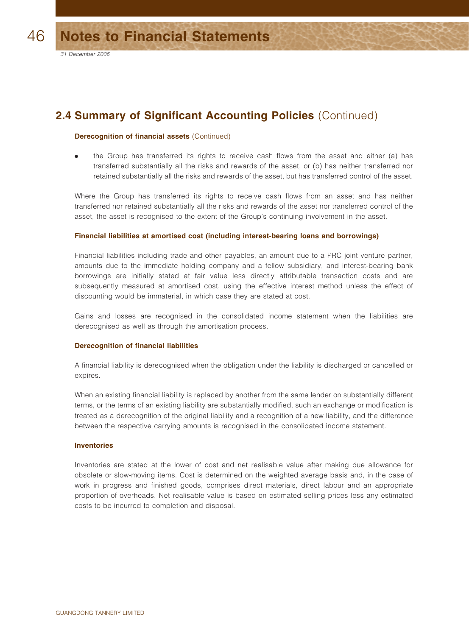#### **Derecognition of financial assets (Continued)**

. the Group has transferred its rights to receive cash flows from the asset and either (a) has transferred substantially all the risks and rewards of the asset, or (b) has neither transferred nor retained substantially all the risks and rewards of the asset, but has transferred control of the asset.

Where the Group has transferred its rights to receive cash flows from an asset and has neither transferred nor retained substantially all the risks and rewards of the asset nor transferred control of the asset, the asset is recognised to the extent of the Group's continuing involvement in the asset.

#### Financial liabilities at amortised cost (including interest-bearing loans and borrowings)

Financial liabilities including trade and other payables, an amount due to a PRC joint venture partner, amounts due to the immediate holding company and a fellow subsidiary, and interest-bearing bank borrowings are initially stated at fair value less directly attributable transaction costs and are subsequently measured at amortised cost, using the effective interest method unless the effect of discounting would be immaterial, in which case they are stated at cost.

Gains and losses are recognised in the consolidated income statement when the liabilities are derecognised as well as through the amortisation process.

#### Derecognition of financial liabilities

A financial liability is derecognised when the obligation under the liability is discharged or cancelled or expires.

When an existing financial liability is replaced by another from the same lender on substantially different terms, or the terms of an existing liability are substantially modified, such an exchange or modification is treated as a derecognition of the original liability and a recognition of a new liability, and the difference between the respective carrying amounts is recognised in the consolidated income statement.

#### Inventories

Inventories are stated at the lower of cost and net realisable value after making due allowance for obsolete or slow-moving items. Cost is determined on the weighted average basis and, in the case of work in progress and finished goods, comprises direct materials, direct labour and an appropriate proportion of overheads. Net realisable value is based on estimated selling prices less any estimated costs to be incurred to completion and disposal.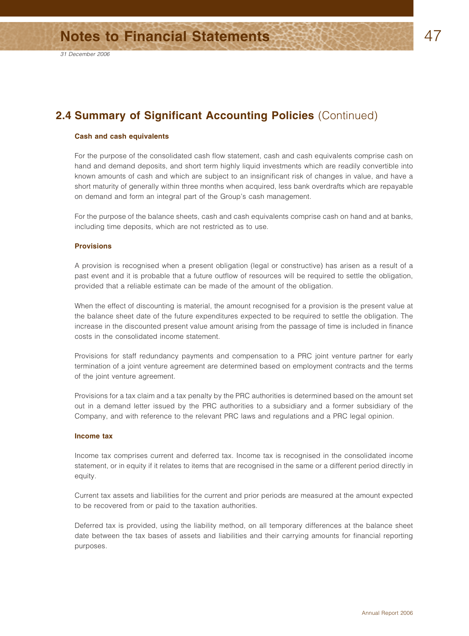#### Cash and cash equivalents

For the purpose of the consolidated cash flow statement, cash and cash equivalents comprise cash on hand and demand deposits, and short term highly liquid investments which are readily convertible into known amounts of cash and which are subject to an insignificant risk of changes in value, and have a short maturity of generally within three months when acquired, less bank overdrafts which are repayable on demand and form an integral part of the Group's cash management.

For the purpose of the balance sheets, cash and cash equivalents comprise cash on hand and at banks, including time deposits, which are not restricted as to use.

#### Provisions

A provision is recognised when a present obligation (legal or constructive) has arisen as a result of a past event and it is probable that a future outflow of resources will be required to settle the obligation, provided that a reliable estimate can be made of the amount of the obligation.

When the effect of discounting is material, the amount recognised for a provision is the present value at the balance sheet date of the future expenditures expected to be required to settle the obligation. The increase in the discounted present value amount arising from the passage of time is included in finance costs in the consolidated income statement.

Provisions for staff redundancy payments and compensation to a PRC joint venture partner for early termination of a joint venture agreement are determined based on employment contracts and the terms of the joint venture agreement.

Provisions for a tax claim and a tax penalty by the PRC authorities is determined based on the amount set out in a demand letter issued by the PRC authorities to a subsidiary and a former subsidiary of the Company, and with reference to the relevant PRC laws and regulations and a PRC legal opinion.

#### Income tax

Income tax comprises current and deferred tax. Income tax is recognised in the consolidated income statement, or in equity if it relates to items that are recognised in the same or a different period directly in equity.

Current tax assets and liabilities for the current and prior periods are measured at the amount expected to be recovered from or paid to the taxation authorities.

Deferred tax is provided, using the liability method, on all temporary differences at the balance sheet date between the tax bases of assets and liabilities and their carrying amounts for financial reporting purposes.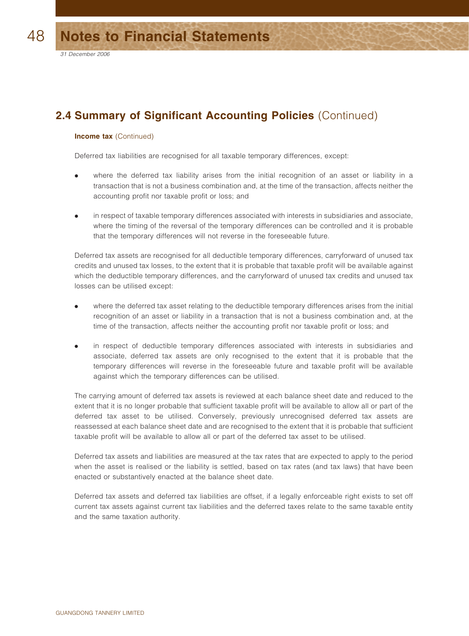#### Income tax (Continued)

Deferred tax liabilities are recognised for all taxable temporary differences, except:

- where the deferred tax liability arises from the initial recognition of an asset or liability in a transaction that is not a business combination and, at the time of the transaction, affects neither the accounting profit nor taxable profit or loss; and
- . in respect of taxable temporary differences associated with interests in subsidiaries and associate, where the timing of the reversal of the temporary differences can be controlled and it is probable that the temporary differences will not reverse in the foreseeable future.

Deferred tax assets are recognised for all deductible temporary differences, carryforward of unused tax credits and unused tax losses, to the extent that it is probable that taxable profit will be available against which the deductible temporary differences, and the carryforward of unused tax credits and unused tax losses can be utilised except:

- . where the deferred tax asset relating to the deductible temporary differences arises from the initial recognition of an asset or liability in a transaction that is not a business combination and, at the time of the transaction, affects neither the accounting profit nor taxable profit or loss; and
- . in respect of deductible temporary differences associated with interests in subsidiaries and associate, deferred tax assets are only recognised to the extent that it is probable that the temporary differences will reverse in the foreseeable future and taxable profit will be available against which the temporary differences can be utilised.

The carrying amount of deferred tax assets is reviewed at each balance sheet date and reduced to the extent that it is no longer probable that sufficient taxable profit will be available to allow all or part of the deferred tax asset to be utilised. Conversely, previously unrecognised deferred tax assets are reassessed at each balance sheet date and are recognised to the extent that it is probable that sufficient taxable profit will be available to allow all or part of the deferred tax asset to be utilised.

Deferred tax assets and liabilities are measured at the tax rates that are expected to apply to the period when the asset is realised or the liability is settled, based on tax rates (and tax laws) that have been enacted or substantively enacted at the balance sheet date.

Deferred tax assets and deferred tax liabilities are offset, if a legally enforceable right exists to set off current tax assets against current tax liabilities and the deferred taxes relate to the same taxable entity and the same taxation authority.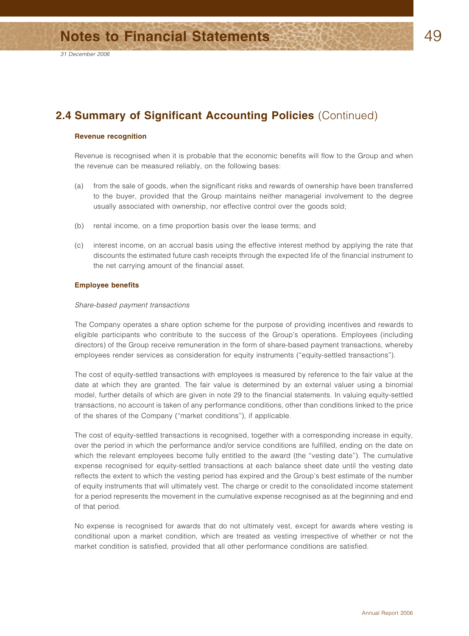#### Revenue recognition

Revenue is recognised when it is probable that the economic benefits will flow to the Group and when the revenue can be measured reliably, on the following bases:

- (a) from the sale of goods, when the significant risks and rewards of ownership have been transferred to the buyer, provided that the Group maintains neither managerial involvement to the degree usually associated with ownership, nor effective control over the goods sold;
- (b) rental income, on a time proportion basis over the lease terms; and
- (c) interest income, on an accrual basis using the effective interest method by applying the rate that discounts the estimated future cash receipts through the expected life of the financial instrument to the net carrying amount of the financial asset.

#### Employee benefits

#### Share-based payment transactions

The Company operates a share option scheme for the purpose of providing incentives and rewards to eligible participants who contribute to the success of the Group's operations. Employees (including directors) of the Group receive remuneration in the form of share-based payment transactions, whereby employees render services as consideration for equity instruments (''equity-settled transactions'').

The cost of equity-settled transactions with employees is measured by reference to the fair value at the date at which they are granted. The fair value is determined by an external valuer using a binomial model, further details of which are given in note 29 to the financial statements. In valuing equity-settled transactions, no account is taken of any performance conditions, other than conditions linked to the price of the shares of the Company (''market conditions''), if applicable.

The cost of equity-settled transactions is recognised, together with a corresponding increase in equity, over the period in which the performance and/or service conditions are fulfilled, ending on the date on which the relevant employees become fully entitled to the award (the "vesting date"). The cumulative expense recognised for equity-settled transactions at each balance sheet date until the vesting date reflects the extent to which the vesting period has expired and the Group's best estimate of the number of equity instruments that will ultimately vest. The charge or credit to the consolidated income statement for a period represents the movement in the cumulative expense recognised as at the beginning and end of that period.

No expense is recognised for awards that do not ultimately vest, except for awards where vesting is conditional upon a market condition, which are treated as vesting irrespective of whether or not the market condition is satisfied, provided that all other performance conditions are satisfied.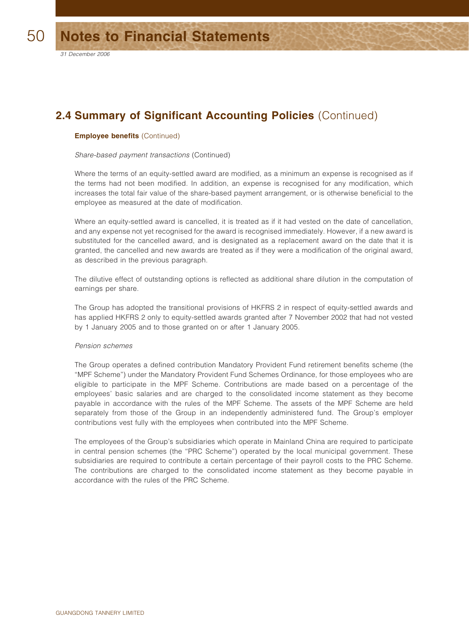#### **Employee benefits (Continued)**

#### Share-based payment transactions (Continued)

Where the terms of an equity-settled award are modified, as a minimum an expense is recognised as if the terms had not been modified. In addition, an expense is recognised for any modification, which increases the total fair value of the share-based payment arrangement, or is otherwise beneficial to the employee as measured at the date of modification.

Where an equity-settled award is cancelled, it is treated as if it had vested on the date of cancellation, and any expense not yet recognised for the award is recognised immediately. However, if a new award is substituted for the cancelled award, and is designated as a replacement award on the date that it is granted, the cancelled and new awards are treated as if they were a modification of the original award, as described in the previous paragraph.

The dilutive effect of outstanding options is reflected as additional share dilution in the computation of earnings per share.

The Group has adopted the transitional provisions of HKFRS 2 in respect of equity-settled awards and has applied HKFRS 2 only to equity-settled awards granted after 7 November 2002 that had not vested by 1 January 2005 and to those granted on or after 1 January 2005.

#### Pension schemes

The Group operates a defined contribution Mandatory Provident Fund retirement benefits scheme (the ''MPF Scheme'') under the Mandatory Provident Fund Schemes Ordinance, for those employees who are eligible to participate in the MPF Scheme. Contributions are made based on a percentage of the employees' basic salaries and are charged to the consolidated income statement as they become payable in accordance with the rules of the MPF Scheme. The assets of the MPF Scheme are held separately from those of the Group in an independently administered fund. The Group's employer contributions vest fully with the employees when contributed into the MPF Scheme.

The employees of the Group's subsidiaries which operate in Mainland China are required to participate in central pension schemes (the "PRC Scheme") operated by the local municipal government. These subsidiaries are required to contribute a certain percentage of their payroll costs to the PRC Scheme. The contributions are charged to the consolidated income statement as they become payable in accordance with the rules of the PRC Scheme.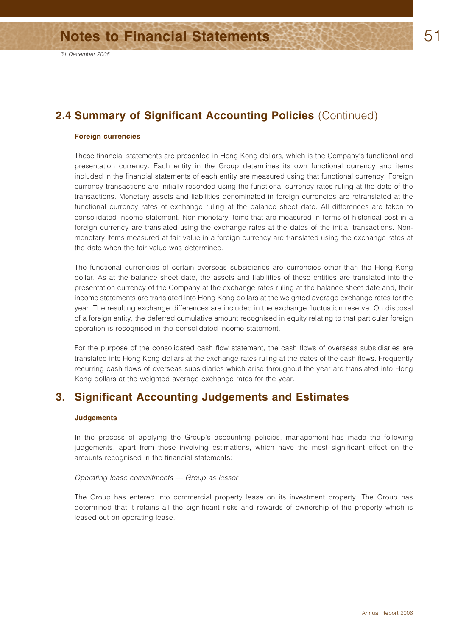#### Foreign currencies

These financial statements are presented in Hong Kong dollars, which is the Company's functional and presentation currency. Each entity in the Group determines its own functional currency and items included in the financial statements of each entity are measured using that functional currency. Foreign currency transactions are initially recorded using the functional currency rates ruling at the date of the transactions. Monetary assets and liabilities denominated in foreign currencies are retranslated at the functional currency rates of exchange ruling at the balance sheet date. All differences are taken to consolidated income statement. Non-monetary items that are measured in terms of historical cost in a foreign currency are translated using the exchange rates at the dates of the initial transactions. Nonmonetary items measured at fair value in a foreign currency are translated using the exchange rates at the date when the fair value was determined.

The functional currencies of certain overseas subsidiaries are currencies other than the Hong Kong dollar. As at the balance sheet date, the assets and liabilities of these entities are translated into the presentation currency of the Company at the exchange rates ruling at the balance sheet date and, their income statements are translated into Hong Kong dollars at the weighted average exchange rates for the year. The resulting exchange differences are included in the exchange fluctuation reserve. On disposal of a foreign entity, the deferred cumulative amount recognised in equity relating to that particular foreign operation is recognised in the consolidated income statement.

For the purpose of the consolidated cash flow statement, the cash flows of overseas subsidiaries are translated into Hong Kong dollars at the exchange rates ruling at the dates of the cash flows. Frequently recurring cash flows of overseas subsidiaries which arise throughout the year are translated into Hong Kong dollars at the weighted average exchange rates for the year.

### 3. Significant Accounting Judgements and Estimates

#### **Judgements**

In the process of applying the Group's accounting policies, management has made the following judgements, apart from those involving estimations, which have the most significant effect on the amounts recognised in the financial statements:

#### Operating lease commitments — Group as lessor

The Group has entered into commercial property lease on its investment property. The Group has determined that it retains all the significant risks and rewards of ownership of the property which is leased out on operating lease.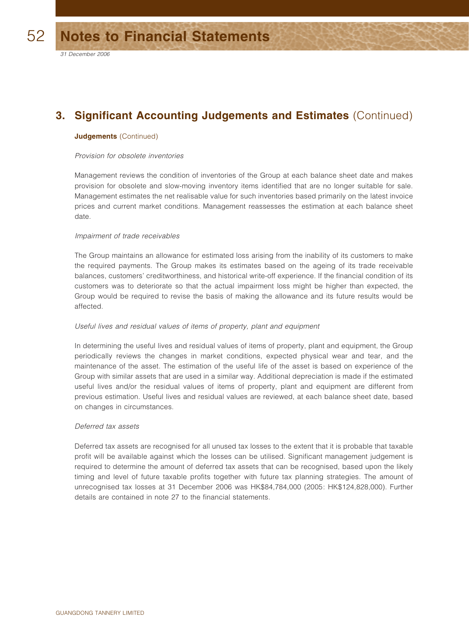### **3. Significant Accounting Judgements and Estimates (Continued)**

#### **Judgements** (Continued)

#### Provision for obsolete inventories

Management reviews the condition of inventories of the Group at each balance sheet date and makes provision for obsolete and slow-moving inventory items identified that are no longer suitable for sale. Management estimates the net realisable value for such inventories based primarily on the latest invoice prices and current market conditions. Management reassesses the estimation at each balance sheet date.

#### Impairment of trade receivables

The Group maintains an allowance for estimated loss arising from the inability of its customers to make the required payments. The Group makes its estimates based on the ageing of its trade receivable balances, customers' creditworthiness, and historical write-off experience. If the financial condition of its customers was to deteriorate so that the actual impairment loss might be higher than expected, the Group would be required to revise the basis of making the allowance and its future results would be affected.

#### Useful lives and residual values of items of property, plant and equipment

In determining the useful lives and residual values of items of property, plant and equipment, the Group periodically reviews the changes in market conditions, expected physical wear and tear, and the maintenance of the asset. The estimation of the useful life of the asset is based on experience of the Group with similar assets that are used in a similar way. Additional depreciation is made if the estimated useful lives and/or the residual values of items of property, plant and equipment are different from previous estimation. Useful lives and residual values are reviewed, at each balance sheet date, based on changes in circumstances.

#### Deferred tax assets

Deferred tax assets are recognised for all unused tax losses to the extent that it is probable that taxable profit will be available against which the losses can be utilised. Significant management judgement is required to determine the amount of deferred tax assets that can be recognised, based upon the likely timing and level of future taxable profits together with future tax planning strategies. The amount of unrecognised tax losses at 31 December 2006 was HK\$84,784,000 (2005: HK\$124,828,000). Further details are contained in note 27 to the financial statements.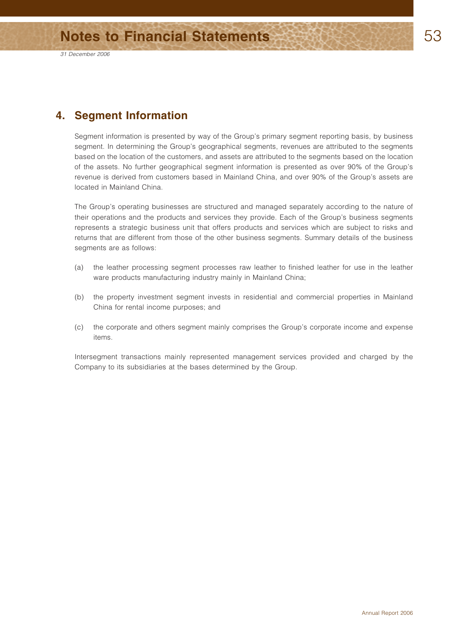### 4. Segment Information

Segment information is presented by way of the Group's primary segment reporting basis, by business segment. In determining the Group's geographical segments, revenues are attributed to the segments based on the location of the customers, and assets are attributed to the segments based on the location of the assets. No further geographical segment information is presented as over 90% of the Group's revenue is derived from customers based in Mainland China, and over 90% of the Group's assets are located in Mainland China.

The Group's operating businesses are structured and managed separately according to the nature of their operations and the products and services they provide. Each of the Group's business segments represents a strategic business unit that offers products and services which are subject to risks and returns that are different from those of the other business segments. Summary details of the business segments are as follows:

- (a) the leather processing segment processes raw leather to finished leather for use in the leather ware products manufacturing industry mainly in Mainland China;
- (b) the property investment segment invests in residential and commercial properties in Mainland China for rental income purposes; and
- (c) the corporate and others segment mainly comprises the Group's corporate income and expense items.

Intersegment transactions mainly represented management services provided and charged by the Company to its subsidiaries at the bases determined by the Group.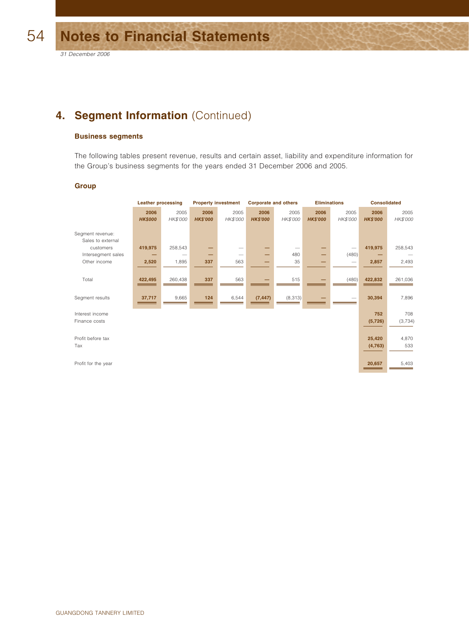### 4. Segment Information (Continued)

#### Business segments

The following tables present revenue, results and certain asset, liability and expenditure information for the Group's business segments for the years ended 31 December 2006 and 2005.

#### **Group**

|                                       | <b>Leather processing</b> |          | <b>Property investment</b> |          | <b>Corporate and others</b> |                 | <b>Eliminations</b> |          | <b>Consolidated</b> |          |
|---------------------------------------|---------------------------|----------|----------------------------|----------|-----------------------------|-----------------|---------------------|----------|---------------------|----------|
|                                       | 2006                      | 2005     | 2006                       | 2005     | 2006                        | 2005            | 2006                | 2005     | 2006                | 2005     |
|                                       | <b>HK\$000</b>            | HK\$'000 | <b>HK\$'000</b>            | HK\$'000 | <b>HK\$'000</b>             | <b>HK\$'000</b> | <b>HK\$'000</b>     | HK\$'000 | <b>HK\$'000</b>     | HK\$'000 |
| Segment revenue:<br>Sales to external |                           |          |                            |          |                             |                 |                     |          |                     |          |
| customers                             | 419,975                   | 258,543  |                            |          |                             |                 |                     |          | 419,975             | 258,543  |
| Intersegment sales                    |                           |          |                            |          |                             | 480             |                     | (480)    |                     |          |
| Other income                          | 2,520                     | 1,895    | 337                        | 563      |                             | 35              |                     | -        | 2,857               | 2,493    |
|                                       |                           |          |                            |          |                             |                 |                     |          |                     |          |
| Total                                 | 422,495                   | 260,438  | 337                        | 563      |                             | 515             |                     | (480)    | 422,832             | 261,036  |
|                                       |                           |          |                            |          |                             |                 |                     |          |                     |          |
| Segment results                       | 37,717                    | 9,665    | 124                        | 6,544    | (7, 447)                    | (8,313)         |                     |          | 30,394              | 7,896    |
|                                       |                           |          |                            |          |                             |                 |                     |          |                     |          |
| Interest income                       |                           |          |                            |          |                             |                 |                     |          | 752                 | 708      |
| Finance costs                         |                           |          |                            |          |                             |                 |                     |          | (5,726)             | (3,734)  |
|                                       |                           |          |                            |          |                             |                 |                     |          |                     |          |
| Profit before tax                     |                           |          |                            |          |                             |                 |                     |          | 25,420              | 4,870    |
| Tax                                   |                           |          |                            |          |                             |                 |                     |          | (4,763)             | 533      |
|                                       |                           |          |                            |          |                             |                 |                     |          |                     |          |
| Profit for the year                   |                           |          |                            |          |                             |                 |                     |          | 20,657              | 5,403    |
|                                       |                           |          |                            |          |                             |                 |                     |          |                     |          |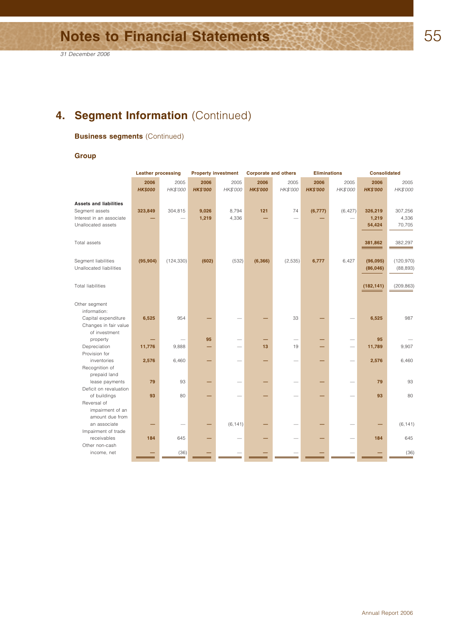### 4. Segment Information (Continued)

### **Business segments (Continued)**

### **Group**

|                                                                                                   | <b>Leather processing</b> |                  | <b>Property investment</b> |                  | <b>Corporate and others</b> |                  | <b>Eliminations</b>     |                  | <b>Consolidated</b>        |                            |
|---------------------------------------------------------------------------------------------------|---------------------------|------------------|----------------------------|------------------|-----------------------------|------------------|-------------------------|------------------|----------------------------|----------------------------|
|                                                                                                   | 2006<br><b>HK\$000</b>    | 2005<br>HK\$'000 | 2006<br><b>HK\$'000</b>    | 2005<br>HK\$'000 | 2006<br><b>HK\$'000</b>     | 2005<br>HK\$'000 | 2006<br><b>HK\$'000</b> | 2005<br>HK\$'000 | 2006<br><b>HK\$'000</b>    | 2005<br>HK\$'000           |
| <b>Assets and liabilities</b><br>Segment assets<br>Interest in an associate<br>Unallocated assets | 323,849                   | 304,815          | 9,026<br>1,219             | 8,794<br>4,336   | 121                         | 74               | (6, 777)                | (6, 427)         | 326,219<br>1,219<br>54,424 | 307,256<br>4,336<br>70,705 |
| Total assets                                                                                      |                           |                  |                            |                  |                             |                  |                         |                  | 381,862                    | 382,297                    |
| Segment liabilities<br>Unallocated liabilities                                                    | (95, 904)                 | (124, 330)       | (602)                      | (532)            | (6, 366)                    | (2,535)          | 6,777                   | 6,427            | (96,095)<br>(86, 046)      | (120, 970)<br>(88, 893)    |
| <b>Total liabilities</b>                                                                          |                           |                  |                            |                  |                             |                  |                         |                  | (182, 141)                 | (209, 863)                 |
| Other segment<br>information:<br>Capital expenditure<br>Changes in fair value                     | 6,525                     | 954              |                            |                  |                             | 33               |                         |                  | 6,525                      | 987                        |
| of investment<br>property<br>Depreciation<br>Provision for                                        | 11,776                    | 9,888            | 95                         |                  | 13                          | 19               |                         |                  | 95<br>11,789               | 9,907                      |
| inventories<br>Recognition of<br>prepaid land                                                     | 2,576                     | 6,460            |                            |                  |                             |                  |                         |                  | 2,576                      | 6,460                      |
| lease payments<br>Deficit on revaluation                                                          | 79                        | 93               |                            |                  |                             |                  |                         |                  | 79                         | 93                         |
| of buildings<br>Reversal of<br>impairment of an<br>amount due from                                | 93                        | 80               |                            |                  |                             |                  |                         |                  | 93                         | 80                         |
| an associate                                                                                      |                           |                  |                            | (6, 141)         |                             |                  |                         |                  |                            | (6, 141)                   |
| Impairment of trade<br>receivables<br>Other non-cash                                              | 184                       | 645              |                            |                  |                             |                  |                         |                  | 184                        | 645                        |
| income, net                                                                                       |                           | (36)             |                            |                  |                             |                  |                         |                  |                            | (36)                       |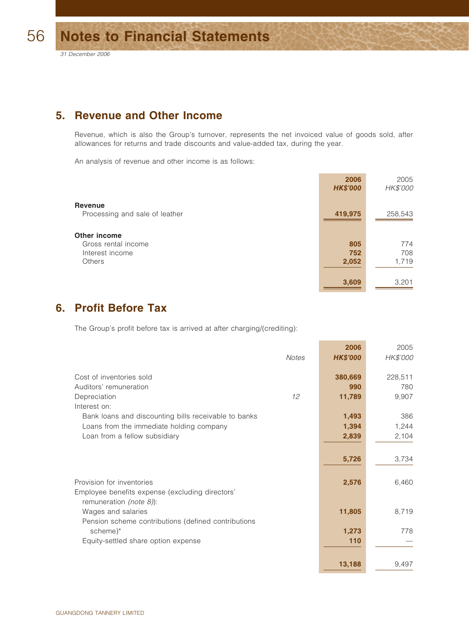### 5. Revenue and Other Income

Revenue, which is also the Group's turnover, represents the net invoiced value of goods sold, after allowances for returns and trade discounts and value-added tax, during the year.

An analysis of revenue and other income is as follows:

|                                                                  | 2006<br><b>HK\$'000</b> | 2005<br>HK\$'000    |
|------------------------------------------------------------------|-------------------------|---------------------|
| <b>Revenue</b><br>Processing and sale of leather                 | 419,975                 | 258,543             |
| Other income<br>Gross rental income<br>Interest income<br>Others | 805<br>752<br>2,052     | 774<br>708<br>1,719 |
|                                                                  | 3,609                   | 3,201               |

### 6. Profit Before Tax

The Group's profit before tax is arrived at after charging/(crediting):

|                                                      |              | 2006            | 2005     |
|------------------------------------------------------|--------------|-----------------|----------|
|                                                      | <b>Notes</b> | <b>HK\$'000</b> | HK\$'000 |
|                                                      |              |                 |          |
| Cost of inventories sold                             |              | 380,669         | 228,511  |
| Auditors' remuneration                               |              | 990             | 780      |
| Depreciation                                         | 12           | 11,789          | 9,907    |
| Interest on:                                         |              |                 |          |
| Bank loans and discounting bills receivable to banks |              | 1,493           | 386      |
| Loans from the immediate holding company             |              | 1,394           | 1,244    |
| Loan from a fellow subsidiary                        |              | 2,839           | 2,104    |
|                                                      |              |                 |          |
|                                                      |              | 5,726           | 3,734    |
|                                                      |              |                 |          |
|                                                      |              |                 |          |
| Provision for inventories                            |              | 2,576           | 6,460    |
| Employee benefits expense (excluding directors'      |              |                 |          |
| remuneration (note 8)):                              |              |                 |          |
| Wages and salaries                                   |              | 11,805          | 8,719    |
| Pension scheme contributions (defined contributions  |              |                 |          |
| scheme)*                                             |              | 1,273           | 778      |
| Equity-settled share option expense                  |              | 110             |          |
|                                                      |              |                 |          |
|                                                      |              | 13,188          | 9,497    |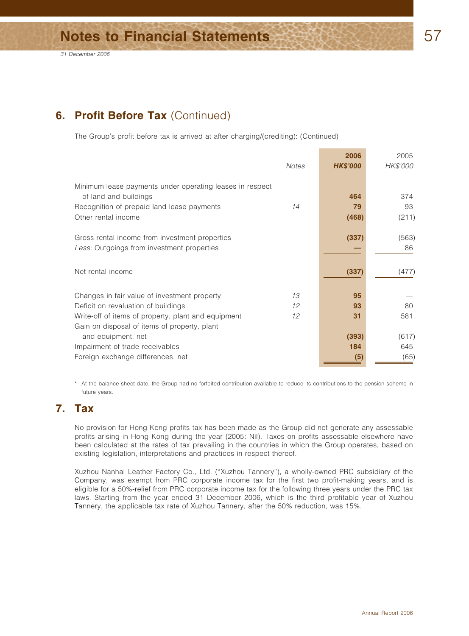31 December 2006

### **6. Profit Before Tax (Continued)**

The Group's profit before tax is arrived at after charging/(crediting): (Continued)

|                                                          |              | 2006            | 2005     |
|----------------------------------------------------------|--------------|-----------------|----------|
|                                                          | <b>Notes</b> | <b>HK\$'000</b> | HK\$'000 |
|                                                          |              |                 |          |
| Minimum lease payments under operating leases in respect |              |                 |          |
| of land and buildings                                    |              | 464             | 374      |
| Recognition of prepaid land lease payments               | 14           | 79              | 93       |
| Other rental income                                      |              | (468)           | (211)    |
|                                                          |              |                 |          |
| Gross rental income from investment properties           |              | (337)           | (563)    |
| Less: Outgoings from investment properties               |              |                 | 86       |
|                                                          |              |                 |          |
| Net rental income                                        |              | (337)           | (477)    |
|                                                          |              |                 |          |
|                                                          |              |                 |          |
| Changes in fair value of investment property             | 13           | 95              |          |
| Deficit on revaluation of buildings                      | 12           | 93              | 80       |
| Write-off of items of property, plant and equipment      | 12           | 31              | 581      |
| Gain on disposal of items of property, plant             |              |                 |          |
| and equipment, net                                       |              | (393)           | (617)    |
| Impairment of trade receivables                          |              | 184             | 645      |
| Foreign exchange differences, net                        |              | (5)             | (65)     |

\* At the balance sheet date, the Group had no forfeited contribution available to reduce its contributions to the pension scheme in future years.

### 7. Tax

No provision for Hong Kong profits tax has been made as the Group did not generate any assessable profits arising in Hong Kong during the year (2005: Nil). Taxes on profits assessable elsewhere have been calculated at the rates of tax prevailing in the countries in which the Group operates, based on existing legislation, interpretations and practices in respect thereof.

Xuzhou Nanhai Leather Factory Co., Ltd. (''Xuzhou Tannery''), a wholly-owned PRC subsidiary of the Company, was exempt from PRC corporate income tax for the first two profit-making years, and is eligible for a 50%-relief from PRC corporate income tax for the following three years under the PRC tax laws. Starting from the year ended 31 December 2006, which is the third profitable year of Xuzhou Tannery, the applicable tax rate of Xuzhou Tannery, after the 50% reduction, was 15%.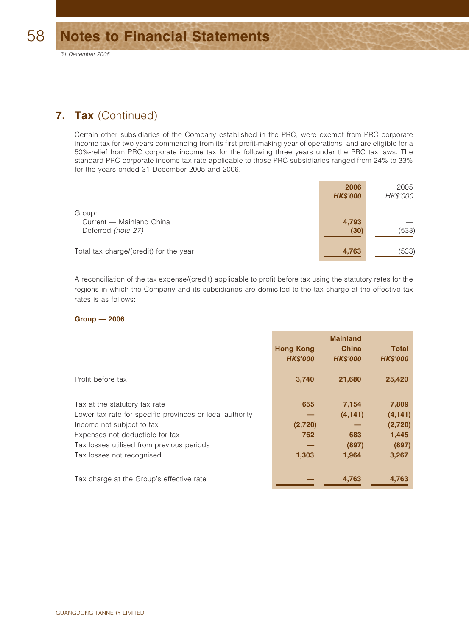### 7. Tax (Continued)

Certain other subsidiaries of the Company established in the PRC, were exempt from PRC corporate income tax for two years commencing from its first profit-making year of operations, and are eligible for a 50%-relief from PRC corporate income tax for the following three years under the PRC tax laws. The standard PRC corporate income tax rate applicable to those PRC subsidiaries ranged from 24% to 33% for the years ended 31 December 2005 and 2006.

|                                                          | 2006<br><b>HK\$'000</b> | 2005<br>HK\$'000 |
|----------------------------------------------------------|-------------------------|------------------|
| Group:<br>Current — Mainland China<br>Deferred (note 27) | 4,793<br>(30)           | (533)            |
| Total tax charge/(credit) for the year                   | 4,763                   | (533)            |

A reconciliation of the tax expense/(credit) applicable to profit before tax using the statutory rates for the regions in which the Company and its subsidiaries are domiciled to the tax charge at the effective tax rates is as follows:

#### Group — 2006

|                                                                                                                                                                                                                                     | <b>Hong Kong</b><br><b>HK\$'000</b> | <b>Mainland</b><br><b>China</b><br><b>HK\$'000</b> | <b>Total</b><br><b>HK\$'000</b>                         |
|-------------------------------------------------------------------------------------------------------------------------------------------------------------------------------------------------------------------------------------|-------------------------------------|----------------------------------------------------|---------------------------------------------------------|
| Profit before tax                                                                                                                                                                                                                   | 3,740                               | 21,680                                             | 25,420                                                  |
| Tax at the statutory tax rate<br>Lower tax rate for specific provinces or local authority<br>Income not subject to tax<br>Expenses not deductible for tax<br>Tax losses utilised from previous periods<br>Tax losses not recognised | 655<br>(2,720)<br>762<br>1,303      | 7,154<br>(4, 141)<br>683<br>(897)<br>1,964         | 7,809<br>(4, 141)<br>(2,720)<br>1,445<br>(897)<br>3,267 |
| Tax charge at the Group's effective rate                                                                                                                                                                                            |                                     | 4.763                                              | 4.763                                                   |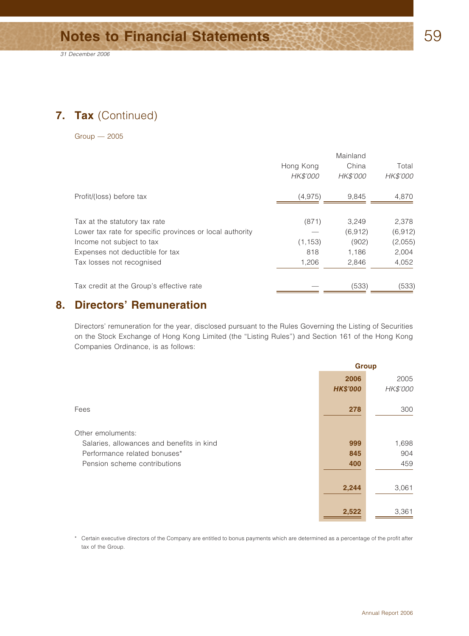### 7. Tax (Continued)

Group — 2005

|                                                          |           | Mainland        |                 |
|----------------------------------------------------------|-----------|-----------------|-----------------|
|                                                          | Hong Kong | China           | Total           |
|                                                          | HK\$'000  | <b>HK\$'000</b> | <b>HK\$'000</b> |
| Profit/(loss) before tax                                 | (4, 975)  | 9,845           | 4,870           |
|                                                          |           |                 |                 |
| Tax at the statutory tax rate                            | (871)     | 3,249           | 2,378           |
| Lower tax rate for specific provinces or local authority |           | (6.912)         | (6, 912)        |
| Income not subject to tax                                | (1, 153)  | (902)           | (2,055)         |
| Expenses not deductible for tax                          | 818       | 1.186           | 2,004           |
| Tax losses not recognised                                | 1,206     | 2,846           | 4,052           |
| Tax credit at the Group's effective rate                 |           | (533)           | (533)           |

### 8. Directors' Remuneration

Directors' remuneration for the year, disclosed pursuant to the Rules Governing the Listing of Securities on the Stock Exchange of Hong Kong Limited (the "Listing Rules") and Section 161 of the Hong Kong Companies Ordinance, is as follows:

|                                           |                         | <b>Group</b>     |  |  |
|-------------------------------------------|-------------------------|------------------|--|--|
|                                           | 2006<br><b>HK\$'000</b> | 2005<br>HK\$'000 |  |  |
| Fees                                      | 278                     | 300              |  |  |
| Other emoluments:                         |                         |                  |  |  |
| Salaries, allowances and benefits in kind | 999                     | 1,698            |  |  |
| Performance related bonuses*              | 845                     | 904              |  |  |
| Pension scheme contributions              | 400                     | 459              |  |  |
|                                           |                         |                  |  |  |
|                                           | 2,244                   | 3,061            |  |  |
|                                           | 2,522                   | 3,361            |  |  |

\* Certain executive directors of the Company are entitled to bonus payments which are determined as a percentage of the profit after tax of the Group.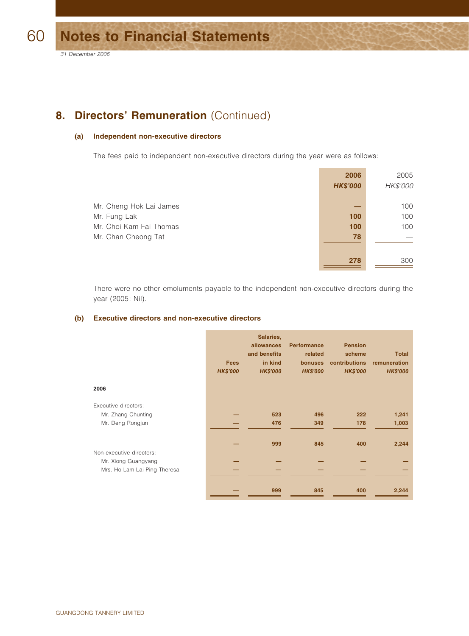### 8. Directors' Remuneration (Continued)

#### (a) Independent non-executive directors

The fees paid to independent non-executive directors during the year were as follows:

|                         | 2006            | 2005     |
|-------------------------|-----------------|----------|
|                         | <b>HK\$'000</b> | HK\$'000 |
|                         |                 |          |
| Mr. Cheng Hok Lai James |                 | 100      |
| Mr. Fung Lak            | 100             | 100      |
| Mr. Choi Kam Fai Thomas | 100             | 100      |
| Mr. Chan Cheong Tat     | 78              |          |
|                         |                 |          |
|                         | 278             | 300      |

There were no other emoluments payable to the independent non-executive directors during the year (2005: Nil).

#### (b) Executive directors and non-executive directors

|                              | <b>Fees</b><br><b>HK\$'000</b> | Salaries,<br>allowances<br>and benefits<br>in kind<br><b>HK\$'000</b> | <b>Performance</b><br>related<br><b>bonuses</b><br><b>HK\$'000</b> | <b>Pension</b><br>scheme<br>contributions<br><b>HK\$'000</b> | <b>Total</b><br>remuneration<br><b>HK\$'000</b> |
|------------------------------|--------------------------------|-----------------------------------------------------------------------|--------------------------------------------------------------------|--------------------------------------------------------------|-------------------------------------------------|
| 2006                         |                                |                                                                       |                                                                    |                                                              |                                                 |
| Executive directors:         |                                |                                                                       |                                                                    |                                                              |                                                 |
| Mr. Zhang Chunting           |                                | 523                                                                   | 496                                                                | 222                                                          | 1,241                                           |
| Mr. Deng Rongjun             |                                | 476                                                                   | 349                                                                | 178                                                          | 1,003                                           |
|                              |                                | 999                                                                   | 845                                                                | 400                                                          | 2,244                                           |
| Non-executive directors:     |                                |                                                                       |                                                                    |                                                              |                                                 |
| Mr. Xiong Guangyang          |                                |                                                                       |                                                                    |                                                              |                                                 |
| Mrs. Ho Lam Lai Ping Theresa |                                |                                                                       |                                                                    |                                                              |                                                 |
|                              |                                | 999                                                                   | 845                                                                | 400                                                          | 2,244                                           |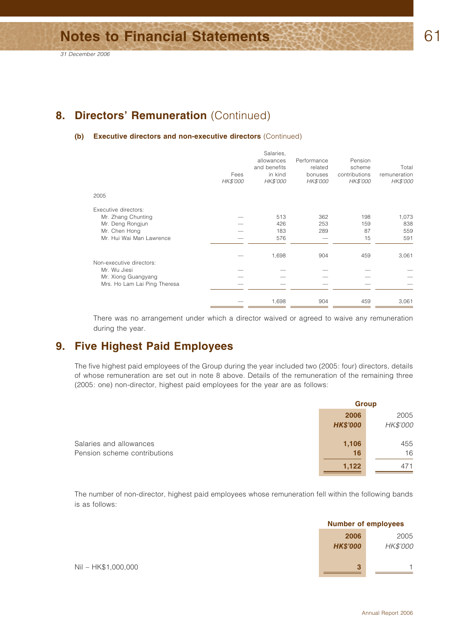31 December 2006

### 8. Directors' Remuneration (Continued)

#### (b) Executive directors and non-executive directors (Continued)

| 2005                                                                                                        | Fees<br>HK\$'000 | Salaries,<br>allowances<br>and benefits<br>in kind<br>HK\$'000 | Performance<br>related<br>bonuses<br>HK\$'000 | Pension<br>scheme<br>contributions<br>HK\$'000 | Total<br>remuneration<br>HK\$'000 |
|-------------------------------------------------------------------------------------------------------------|------------------|----------------------------------------------------------------|-----------------------------------------------|------------------------------------------------|-----------------------------------|
|                                                                                                             |                  |                                                                |                                               |                                                |                                   |
| Executive directors:<br>Mr. Zhang Chunting<br>Mr. Deng Rongjun<br>Mr. Chen Hong<br>Mr. Hui Wai Man Lawrence |                  | 513<br>426<br>183<br>576                                       | 362<br>253<br>289                             | 198<br>159<br>87<br>15                         | 1,073<br>838<br>559<br>591        |
|                                                                                                             |                  | 1,698                                                          | 904                                           | 459                                            | 3,061                             |
| Non-executive directors:<br>Mr. Wu Jiesi<br>Mr. Xiong Guangyang<br>Mrs. Ho Lam Lai Ping Theresa             |                  |                                                                |                                               |                                                |                                   |
|                                                                                                             |                  | 1,698                                                          | 904                                           | 459                                            | 3,061                             |

There was no arrangement under which a director waived or agreed to waive any remuneration during the year.

### 9. Five Highest Paid Employees

The five highest paid employees of the Group during the year included two (2005: four) directors, details of whose remuneration are set out in note 8 above. Details of the remuneration of the remaining three (2005: one) non-director, highest paid employees for the year are as follows:

|                              | <b>Group</b>            |                  |  |
|------------------------------|-------------------------|------------------|--|
|                              | 2006<br><b>HK\$'000</b> | 2005<br>HK\$'000 |  |
| Salaries and allowances      | 1,106                   | 455              |  |
| Pension scheme contributions | 16                      | 16               |  |
|                              | 1,122                   | 471              |  |

The number of non-director, highest paid employees whose remuneration fell within the following bands is as follows: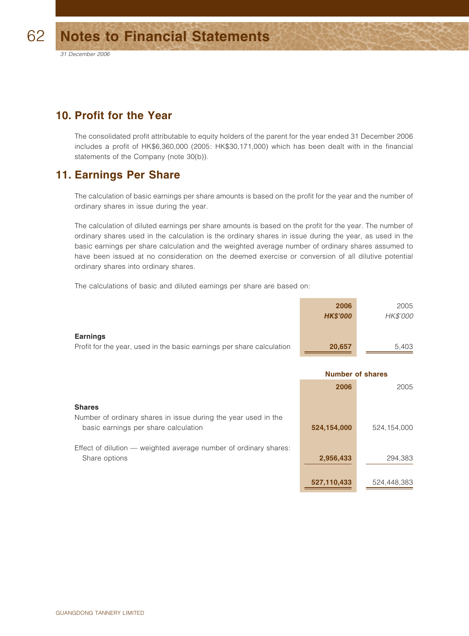### 10. Profit for the Year

The consolidated profit attributable to equity holders of the parent for the year ended 31 December 2006 includes a profit of HK\$6,360,000 (2005: HK\$30,171,000) which has been dealt with in the financial statements of the Company (note 30(b)).

### 11. Earnings Per Share

The calculation of basic earnings per share amounts is based on the profit for the year and the number of ordinary shares in issue during the year.

The calculation of diluted earnings per share amounts is based on the profit for the year. The number of ordinary shares used in the calculation is the ordinary shares in issue during the year, as used in the basic earnings per share calculation and the weighted average number of ordinary shares assumed to have been issued at no consideration on the deemed exercise or conversion of all dilutive potential ordinary shares into ordinary shares.

The calculations of basic and diluted earnings per share are based on:

|                                                                                                                         | 2006<br><b>HK\$'000</b> | 2005<br><i>HK\$'000</i> |
|-------------------------------------------------------------------------------------------------------------------------|-------------------------|-------------------------|
| <b>Earnings</b><br>Profit for the year, used in the basic earnings per share calculation                                | 20,657                  | 5,403                   |
|                                                                                                                         | <b>Number of shares</b> |                         |
|                                                                                                                         | 2006                    | 2005                    |
| <b>Shares</b><br>Number of ordinary shares in issue during the year used in the<br>basic earnings per share calculation | 524,154,000             | 524,154,000             |
| Effect of dilution — weighted average number of ordinary shares:<br>Share options                                       | 2,956,433               | 294,383                 |
|                                                                                                                         | 527,110,433             | 524,448,383             |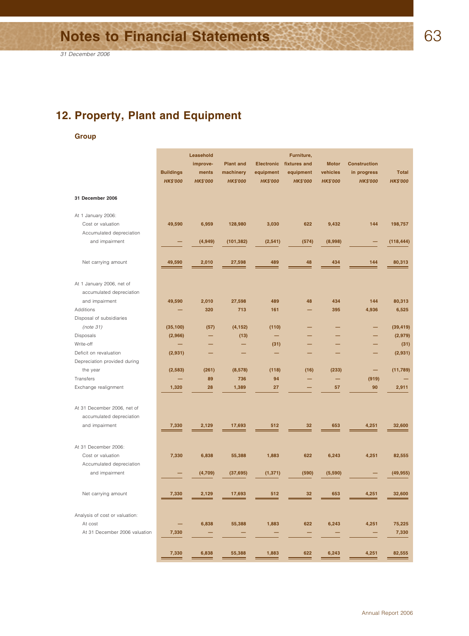### 12. Property, Plant and Equipment

### **Group**

|                                                         | <b>Buildings</b><br><b>HK\$'000</b> | Leasehold<br>improve-<br>ments<br><b>HK\$'000</b> | <b>Plant and</b><br>machinery<br><b>HK\$'000</b> | <b>Electronic</b><br>equipment<br><b>HK\$'000</b> | Furniture,<br>fixtures and<br>equipment<br><b>HK\$'000</b> | <b>Motor</b><br>vehicles<br><b>HK\$'000</b> | <b>Construction</b><br>in progress<br><b>HK\$'000</b> | <b>Total</b><br><b>HK\$'000</b> |
|---------------------------------------------------------|-------------------------------------|---------------------------------------------------|--------------------------------------------------|---------------------------------------------------|------------------------------------------------------------|---------------------------------------------|-------------------------------------------------------|---------------------------------|
| 31 December 2006                                        |                                     |                                                   |                                                  |                                                   |                                                            |                                             |                                                       |                                 |
| At 1 January 2006:                                      |                                     |                                                   |                                                  |                                                   |                                                            |                                             |                                                       |                                 |
| Cost or valuation                                       | 49,590                              | 6,959                                             | 128,980                                          | 3,030                                             | 622                                                        | 9,432                                       | 144                                                   | 198,757                         |
| Accumulated depreciation                                |                                     |                                                   |                                                  |                                                   |                                                            |                                             |                                                       |                                 |
| and impairment                                          |                                     | (4,949)                                           | (101, 382)                                       | (2,541)                                           | (574)                                                      | (8,998)                                     |                                                       | (118, 444)                      |
| Net carrying amount                                     | 49,590                              | 2.010                                             | 27,598                                           | 489                                               | 48                                                         | 434                                         | 144                                                   | 80.313                          |
| At 1 January 2006, net of                               |                                     |                                                   |                                                  |                                                   |                                                            |                                             |                                                       |                                 |
| accumulated depreciation                                |                                     |                                                   |                                                  |                                                   |                                                            |                                             |                                                       |                                 |
| and impairment<br>Additions                             | 49,590                              | 2,010<br>320                                      | 27,598<br>713                                    | 489<br>161                                        | 48                                                         | 434<br>395                                  | 144<br>4,936                                          | 80,313<br>6,525                 |
| Disposal of subsidiaries                                |                                     |                                                   |                                                  |                                                   |                                                            |                                             |                                                       |                                 |
| (note 31)                                               | (35, 100)                           | (57)                                              | (4, 152)                                         | (110)                                             |                                                            |                                             |                                                       | (39, 419)                       |
| Disposals                                               | (2,966)                             | -                                                 | (13)                                             | -                                                 |                                                            |                                             |                                                       | (2,979)                         |
| Write-off                                               |                                     |                                                   |                                                  | (31)                                              |                                                            |                                             |                                                       | (31)                            |
| Deficit on revaluation                                  | (2,931)                             |                                                   | -                                                |                                                   |                                                            |                                             |                                                       | (2,931)                         |
| Depreciation provided during                            |                                     |                                                   |                                                  |                                                   |                                                            |                                             |                                                       |                                 |
| the year                                                | (2, 583)                            | (261)                                             | (8,578)                                          | (118)                                             | (16)                                                       | (233)                                       | -                                                     | (11,789)                        |
| Transfers                                               | -                                   | 89                                                | 736                                              | 94                                                |                                                            | -                                           | (919)                                                 |                                 |
| Exchange realignment                                    | 1,320                               | 28                                                | 1,389                                            | 27                                                |                                                            | 57                                          | 90                                                    | 2,911                           |
| At 31 December 2006, net of<br>accumulated depreciation |                                     |                                                   |                                                  |                                                   |                                                            |                                             |                                                       |                                 |
| and impairment                                          | 7,330                               | 2,129                                             | 17,693                                           | 512                                               | 32                                                         | 653                                         | 4,251                                                 | 32,600                          |
| At 31 December 2006:                                    |                                     |                                                   |                                                  |                                                   |                                                            |                                             |                                                       |                                 |
| Cost or valuation                                       | 7,330                               | 6,838                                             | 55,388                                           | 1,883                                             | 622                                                        | 6,243                                       | 4,251                                                 | 82,555                          |
| Accumulated depreciation                                |                                     |                                                   |                                                  |                                                   |                                                            |                                             |                                                       |                                 |
| and impairment                                          |                                     | (4,709)                                           | (37, 695)                                        | (1, 371)                                          | (590)                                                      | (5,590)                                     |                                                       | (49, 955)                       |
| Net carrying amount                                     | 7,330                               | 2,129                                             | 17,693                                           | 512                                               | 32                                                         | 653                                         | 4,251                                                 | 32,600                          |
| Analysis of cost or valuation:                          |                                     |                                                   |                                                  |                                                   |                                                            |                                             |                                                       |                                 |
| At cost                                                 |                                     | 6,838                                             | 55,388                                           | 1,883                                             | 622                                                        | 6,243                                       | 4,251                                                 | 75,225                          |
| At 31 December 2006 valuation                           | 7,330                               |                                                   |                                                  |                                                   |                                                            |                                             |                                                       | 7,330                           |
|                                                         |                                     |                                                   |                                                  |                                                   |                                                            |                                             |                                                       |                                 |
|                                                         | 7,330                               | 6,838                                             | 55,388                                           | 1,883                                             | 622                                                        | 6,243                                       | 4,251                                                 | 82,555                          |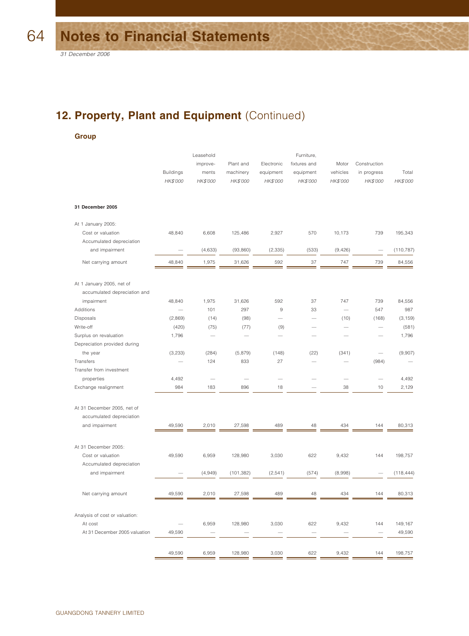### 12. Property, Plant and Equipment (Continued)

**Group** 

|                                                         | <b>Buildings</b><br>HK\$'000 | Leasehold<br>improve-<br>ments<br>HK\$'000 | Plant and<br>machinery<br>HK\$'000 | Electronic<br>equipment<br>HK\$'000 | Furniture,<br>fixtures and<br>equipment<br>HK\$'000 | Motor<br>vehicles<br>HK\$'000 | Construction<br>in progress<br>HK\$'000 | Total<br>HK\$'000 |
|---------------------------------------------------------|------------------------------|--------------------------------------------|------------------------------------|-------------------------------------|-----------------------------------------------------|-------------------------------|-----------------------------------------|-------------------|
| 31 December 2005                                        |                              |                                            |                                    |                                     |                                                     |                               |                                         |                   |
| At 1 January 2005:                                      |                              |                                            |                                    |                                     |                                                     |                               |                                         |                   |
| Cost or valuation                                       | 48,840                       | 6,608                                      | 125,486                            | 2,927                               | 570                                                 | 10,173                        | 739                                     | 195,343           |
| Accumulated depreciation<br>and impairment              |                              | (4,633)                                    | (93, 860)                          | (2, 335)                            | (533)                                               | (9, 426)                      |                                         | (110, 787)        |
| Net carrying amount                                     | 48,840                       | 1,975                                      | 31,626                             | 592                                 | 37                                                  | 747                           | 739                                     | 84,556            |
|                                                         |                              |                                            |                                    |                                     |                                                     |                               |                                         |                   |
| At 1 January 2005, net of                               |                              |                                            |                                    |                                     |                                                     |                               |                                         |                   |
| accumulated depreciation and<br>impairment              | 48,840                       | 1,975                                      | 31,626                             | 592                                 | 37                                                  | 747                           | 739                                     | 84,556            |
| Additions                                               | $\overline{\phantom{0}}$     | 101                                        | 297                                | $\hbox{9}$                          | 33                                                  |                               | 547                                     | 987               |
| Disposals                                               | (2,869)                      | (14)                                       | (98)                               |                                     |                                                     | (10)                          | (168)                                   | (3, 159)          |
| Write-off                                               | (420)                        | (75)                                       | (77)                               | (9)                                 |                                                     |                               |                                         | (581)             |
| Surplus on revaluation                                  | 1,796                        | $\overline{\phantom{0}}$                   | -                                  |                                     |                                                     |                               |                                         | 1,796             |
| Depreciation provided during                            |                              |                                            |                                    |                                     |                                                     |                               |                                         |                   |
| the year                                                | (3, 233)                     | (284)                                      | (5,879)                            | (148)                               | (22)                                                | (341)                         |                                         | (9,907)           |
| Transfers                                               |                              | 124                                        | 833                                | 27                                  |                                                     |                               | (984)                                   |                   |
| Transfer from investment                                |                              |                                            |                                    |                                     |                                                     |                               |                                         |                   |
| properties                                              | 4,492                        |                                            |                                    |                                     |                                                     |                               |                                         | 4,492             |
| Exchange realignment                                    | 984                          | 183                                        | 896                                | 18                                  |                                                     | 38                            | 10                                      | 2,129             |
| At 31 December 2005, net of<br>accumulated depreciation |                              |                                            |                                    |                                     |                                                     |                               |                                         |                   |
| and impairment                                          | 49.590                       | 2,010                                      | 27,598                             | 489                                 | 48                                                  | 434                           | 144                                     | 80,313            |
|                                                         |                              |                                            |                                    |                                     |                                                     |                               |                                         |                   |
| At 31 December 2005:                                    |                              |                                            |                                    |                                     |                                                     |                               |                                         |                   |
| Cost or valuation                                       | 49,590                       | 6,959                                      | 128,980                            | 3,030                               | 622                                                 | 9,432                         | 144                                     | 198,757           |
| Accumulated depreciation                                |                              |                                            |                                    |                                     |                                                     |                               |                                         |                   |
| and impairment                                          |                              | (4,949)                                    | (101, 382)                         | (2, 541)                            | (574)                                               | (8,998)                       |                                         | (118, 444)        |
| Net carrying amount                                     | 49,590                       | 2,010                                      | 27,598                             | 489                                 | 48                                                  | 434                           | 144                                     | 80,313            |
| Analysis of cost or valuation:                          |                              |                                            |                                    |                                     |                                                     |                               |                                         |                   |
| At cost                                                 |                              | 6,959                                      | 128,980                            | 3,030                               | 622                                                 | 9,432                         | 144                                     | 149,167           |
| At 31 December 2005 valuation                           | 49,590                       |                                            |                                    |                                     |                                                     |                               |                                         | 49,590            |
|                                                         |                              |                                            |                                    |                                     |                                                     |                               |                                         |                   |
|                                                         | 49,590                       | 6,959                                      | 128,980                            | 3,030                               | 622                                                 | 9,432                         | 144                                     | 198,757           |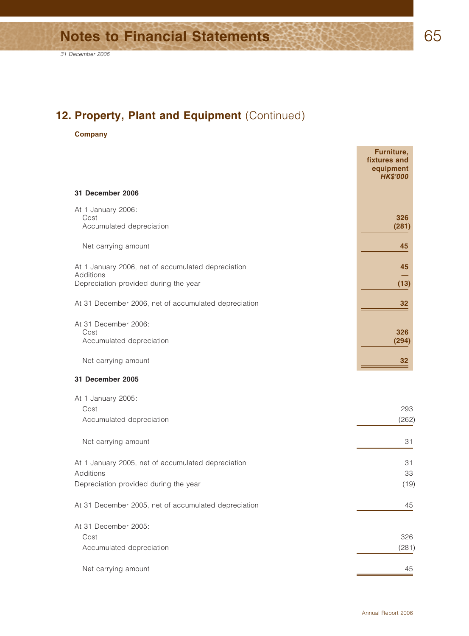### 12. Property, Plant and Equipment (Continued)

### **Company**

|                                                                 | Furniture,<br>fixtures and<br>equipment<br><b>HK\$'000</b> |
|-----------------------------------------------------------------|------------------------------------------------------------|
| 31 December 2006                                                |                                                            |
| At 1 January 2006:                                              |                                                            |
| Cost<br>Accumulated depreciation                                | 326<br>(281)                                               |
| Net carrying amount                                             | 45                                                         |
| At 1 January 2006, net of accumulated depreciation<br>Additions | 45                                                         |
| Depreciation provided during the year                           | (13)                                                       |
| At 31 December 2006, net of accumulated depreciation            | 32                                                         |
| At 31 December 2006:                                            |                                                            |
| Cost<br>Accumulated depreciation                                | 326<br>(294)                                               |
| Net carrying amount                                             | 32                                                         |
| 31 December 2005                                                |                                                            |
| At 1 January 2005:                                              |                                                            |
| Cost                                                            | 293                                                        |
| Accumulated depreciation                                        | (262)                                                      |
| Net carrying amount                                             | 31                                                         |
| At 1 January 2005, net of accumulated depreciation              | 31                                                         |
| Additions<br>Depreciation provided during the year              | 33<br>(19)                                                 |
|                                                                 |                                                            |
| At 31 December 2005, net of accumulated depreciation            | 45                                                         |
| At 31 December 2005:                                            |                                                            |
| Cost<br>Accumulated depreciation                                | 326<br>(281)                                               |
|                                                                 |                                                            |
| Net carrying amount                                             | 45                                                         |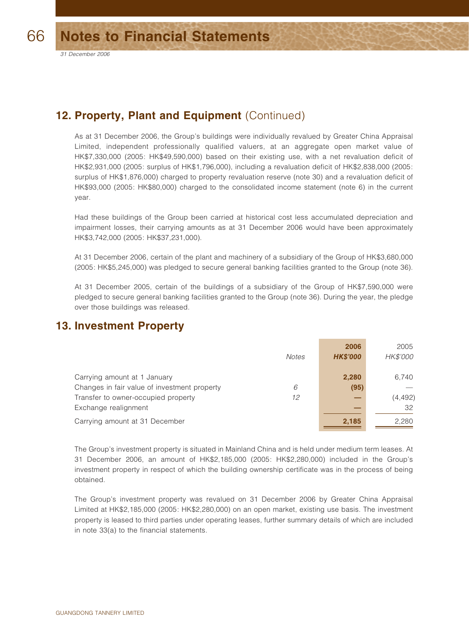### 12. Property, Plant and Equipment (Continued)

As at 31 December 2006, the Group's buildings were individually revalued by Greater China Appraisal Limited, independent professionally qualified valuers, at an aggregate open market value of HK\$7,330,000 (2005: HK\$49,590,000) based on their existing use, with a net revaluation deficit of HK\$2,931,000 (2005: surplus of HK\$1,796,000), including a revaluation deficit of HK\$2,838,000 (2005: surplus of HK\$1,876,000) charged to property revaluation reserve (note 30) and a revaluation deficit of HK\$93,000 (2005: HK\$80,000) charged to the consolidated income statement (note 6) in the current year.

Had these buildings of the Group been carried at historical cost less accumulated depreciation and impairment losses, their carrying amounts as at 31 December 2006 would have been approximately HK\$3,742,000 (2005: HK\$37,231,000).

At 31 December 2006, certain of the plant and machinery of a subsidiary of the Group of HK\$3,680,000 (2005: HK\$5,245,000) was pledged to secure general banking facilities granted to the Group (note 36).

At 31 December 2005, certain of the buildings of a subsidiary of the Group of HK\$7,590,000 were pledged to secure general banking facilities granted to the Group (note 36). During the year, the pledge over those buildings was released.

### 13. Investment Property

| <b>Notes</b>                                      | 2006<br><b>HK\$'000</b> | 2005<br>HK\$'000 |
|---------------------------------------------------|-------------------------|------------------|
| Carrying amount at 1 January                      | 2,280                   | 6,740            |
| Changes in fair value of investment property<br>6 | (95)                    |                  |
| Transfer to owner-occupied property<br>12         |                         | (4, 492)         |
| Exchange realignment                              |                         | 32               |
| Carrying amount at 31 December                    | 2,185                   | 2,280            |

The Group's investment property is situated in Mainland China and is held under medium term leases. At 31 December 2006, an amount of HK\$2,185,000 (2005: HK\$2,280,000) included in the Group's investment property in respect of which the building ownership certificate was in the process of being obtained.

The Group's investment property was revalued on 31 December 2006 by Greater China Appraisal Limited at HK\$2,185,000 (2005: HK\$2,280,000) on an open market, existing use basis. The investment property is leased to third parties under operating leases, further summary details of which are included in note 33(a) to the financial statements.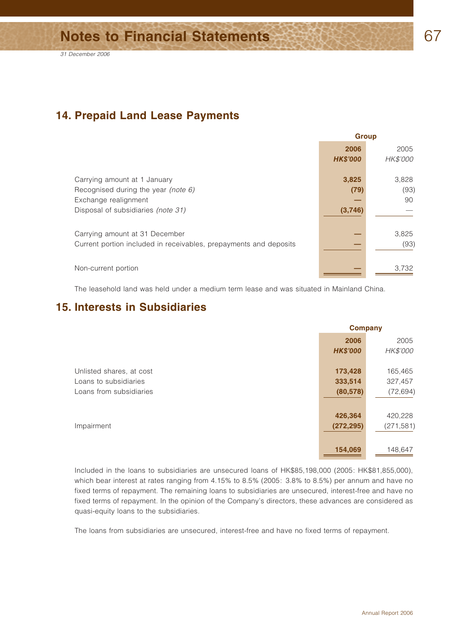### 14. Prepaid Land Lease Payments

|                                                                   | <b>Group</b>    |          |
|-------------------------------------------------------------------|-----------------|----------|
|                                                                   | 2006            | 2005     |
|                                                                   | <b>HK\$'000</b> | HK\$'000 |
|                                                                   |                 |          |
| Carrying amount at 1 January                                      | 3,825           | 3,828    |
| Recognised during the year (note $6$ )                            | (79)            | (93)     |
| Exchange realignment                                              |                 | 90       |
| Disposal of subsidiaries (note 31)                                | (3,746)         |          |
|                                                                   |                 |          |
| Carrying amount at 31 December                                    |                 | 3,825    |
| Current portion included in receivables, prepayments and deposits |                 | (93)     |
|                                                                   |                 |          |
| Non-current portion                                               |                 | 3.732    |

The leasehold land was held under a medium term lease and was situated in Mainland China.

### 15. Interests in Subsidiaries

|                          | <b>Company</b>  |            |
|--------------------------|-----------------|------------|
|                          | 2005<br>2006    |            |
|                          | <b>HK\$'000</b> | HK\$'000   |
|                          |                 |            |
| Unlisted shares, at cost | 173,428         | 165,465    |
| Loans to subsidiaries    | 333,514         | 327,457    |
| Loans from subsidiaries  | (80, 578)       | (72, 694)  |
|                          |                 |            |
|                          | 426,364         | 420,228    |
| Impairment               | (272, 295)      | (271, 581) |
|                          |                 |            |
|                          | 154,069         | 148,647    |

Included in the loans to subsidiaries are unsecured loans of HK\$85,198,000 (2005: HK\$81,855,000), which bear interest at rates ranging from 4.15% to 8.5% (2005: 3.8% to 8.5%) per annum and have no fixed terms of repayment. The remaining loans to subsidiaries are unsecured, interest-free and have no fixed terms of repayment. In the opinion of the Company's directors, these advances are considered as quasi-equity loans to the subsidiaries.

The loans from subsidiaries are unsecured, interest-free and have no fixed terms of repayment.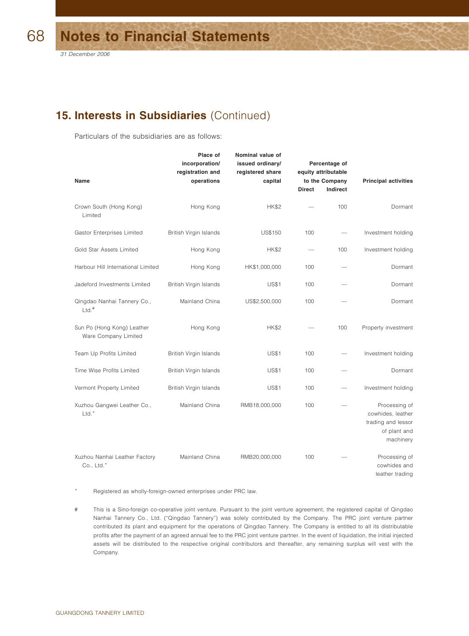### 15. Interests in Subsidiaries (Continued)

Particulars of the subsidiaries are as follows:

| Name                                                      | Place of<br>incorporation/<br>registration and<br>operations | Nominal value of<br>issued ordinary/<br>registered share<br>capital |               | Percentage of<br>equity attributable<br>to the Company | <b>Principal activities</b>                                                           |
|-----------------------------------------------------------|--------------------------------------------------------------|---------------------------------------------------------------------|---------------|--------------------------------------------------------|---------------------------------------------------------------------------------------|
|                                                           |                                                              |                                                                     | <b>Direct</b> | Indirect                                               |                                                                                       |
| Crown South (Hong Kong)<br>Limited                        | Hong Kong                                                    | <b>HK\$2</b>                                                        |               | 100                                                    | Dormant                                                                               |
| Gastor Enterprises Limited                                | <b>British Virgin Islands</b>                                | <b>US\$150</b>                                                      | 100           | $\overline{\phantom{0}}$                               | Investment holding                                                                    |
| Gold Star Assets Limited                                  | Hong Kong                                                    | <b>HK\$2</b>                                                        |               | 100                                                    | Investment holding                                                                    |
| Harbour Hill International Limited                        | Hong Kong                                                    | HK\$1,000,000                                                       | 100           |                                                        | Dormant                                                                               |
| Jadeford Investments Limited                              | <b>British Virgin Islands</b>                                | <b>US\$1</b>                                                        | 100           |                                                        | Dormant                                                                               |
| Qingdao Nanhai Tannery Co.,<br>$Ltd.*$                    | Mainland China                                               | US\$2,500,000                                                       | 100           |                                                        | Dormant                                                                               |
| Sun Po (Hong Kong) Leather<br>Ware Company Limited        | Hong Kong                                                    | <b>HK\$2</b>                                                        |               | 100                                                    | Property investment                                                                   |
| Team Up Profits Limited                                   | <b>British Virgin Islands</b>                                | <b>US\$1</b>                                                        | 100           | $\overline{\phantom{0}}$                               | Investment holding                                                                    |
| Time Wise Profits Limited                                 | <b>British Virgin Islands</b>                                | <b>US\$1</b>                                                        | 100           |                                                        | Dormant                                                                               |
| Vermont Property Limited                                  | <b>British Virgin Islands</b>                                | <b>US\$1</b>                                                        | 100           | $\overline{\phantom{0}}$                               | Investment holding                                                                    |
| Xuzhou Gangwei Leather Co.,<br>$Ltd.$ <sup>+</sup>        | Mainland China                                               | RMB18,000,000                                                       | 100           |                                                        | Processing of<br>cowhides, leather<br>trading and lessor<br>of plant and<br>machinery |
| Xuzhou Nanhai Leather Factory<br>$Co., Ltd.$ <sup>+</sup> | Mainland China                                               | RMB20,000,000                                                       | 100           |                                                        | Processing of<br>cowhides and<br>leather trading                                      |

Registered as wholly-foreign-owned enterprises under PRC law.

# This is a Sino-foreign co-operative joint venture. Pursuant to the joint venture agreement, the registered capital of Qingdao Nanhai Tannery Co., Ltd. (''Qingdao Tannery'') was solely contributed by the Company. The PRC joint venture partner contributed its plant and equipment for the operations of Qingdao Tannery. The Company is entitled to all its distributable profits after the payment of an agreed annual fee to the PRC joint venture partner. In the event of liquidation, the initial injected assets will be distributed to the respective original contributors and thereafter, any remaining surplus will vest with the Company.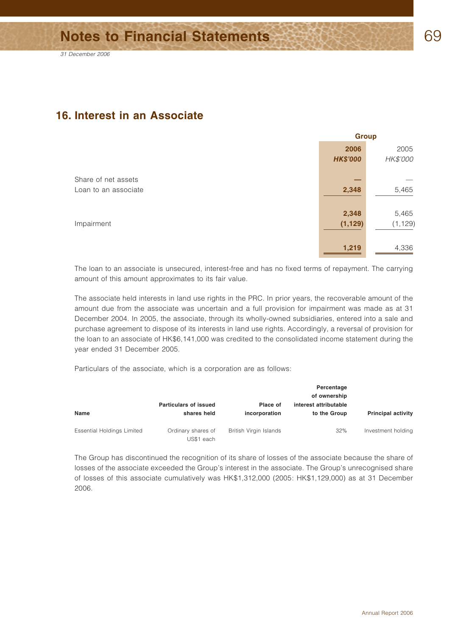### 16. Interest in an Associate

|                      | <b>Group</b>    |          |
|----------------------|-----------------|----------|
|                      | 2006            | 2005     |
|                      | <b>HK\$'000</b> | HK\$'000 |
|                      |                 |          |
| Share of net assets  |                 |          |
| Loan to an associate | 2,348           | 5,465    |
|                      |                 |          |
|                      | 2,348           | 5,465    |
| Impairment           | (1, 129)        | (1, 129) |
|                      |                 |          |
|                      | 1,219           | 4,336    |

The loan to an associate is unsecured, interest-free and has no fixed terms of repayment. The carrying amount of this amount approximates to its fair value.

The associate held interests in land use rights in the PRC. In prior years, the recoverable amount of the amount due from the associate was uncertain and a full provision for impairment was made as at 31 December 2004. In 2005, the associate, through its wholly-owned subsidiaries, entered into a sale and purchase agreement to dispose of its interests in land use rights. Accordingly, a reversal of provision for the loan to an associate of HK\$6,141,000 was credited to the consolidated income statement during the year ended 31 December 2005.

Particulars of the associate, which is a corporation are as follows:

|                            |                                      |                           | Percentage<br>of ownership            |                           |
|----------------------------|--------------------------------------|---------------------------|---------------------------------------|---------------------------|
| Name                       | Particulars of issued<br>shares held | Place of<br>incorporation | interest attributable<br>to the Group | <b>Principal activity</b> |
| Essential Holdings Limited | Ordinary shares of<br>US\$1 each     | British Virgin Islands    | 32%                                   | Investment holding        |

The Group has discontinued the recognition of its share of losses of the associate because the share of losses of the associate exceeded the Group's interest in the associate. The Group's unrecognised share of losses of this associate cumulatively was HK\$1,312,000 (2005: HK\$1,129,000) as at 31 December 2006.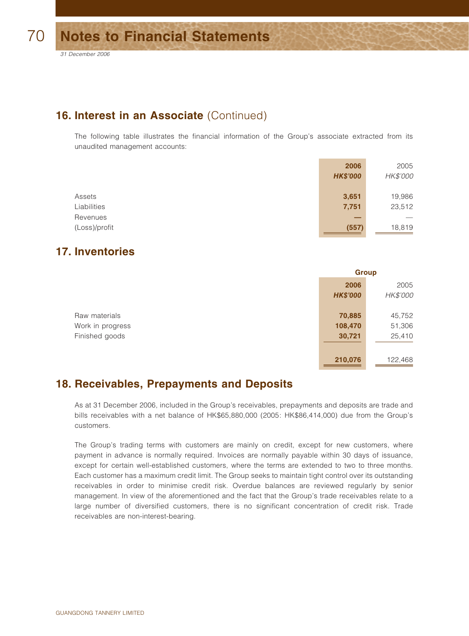### 16. Interest in an Associate (Continued)

The following table illustrates the financial information of the Group's associate extracted from its unaudited management accounts:

|               | 2006            | 2005     |
|---------------|-----------------|----------|
|               | <b>HK\$'000</b> | HK\$'000 |
|               |                 |          |
| Assets        | 3,651           | 19,986   |
| Liabilities   | 7,751           | 23,512   |
| Revenues      |                 |          |
| (Loss)/profit | (557)           | 18,819   |

### 17. Inventories

|                  |                 | <b>Group</b> |  |
|------------------|-----------------|--------------|--|
|                  | 2006            | 2005         |  |
|                  | <b>HK\$'000</b> | HK\$'000     |  |
|                  |                 |              |  |
| Raw materials    | 70,885          | 45,752       |  |
| Work in progress | 108,470         | 51,306       |  |
| Finished goods   | 30,721          | 25,410       |  |
|                  |                 |              |  |
|                  | 210,076         | 122,468      |  |

### 18. Receivables, Prepayments and Deposits

As at 31 December 2006, included in the Group's receivables, prepayments and deposits are trade and bills receivables with a net balance of HK\$65,880,000 (2005: HK\$86,414,000) due from the Group's customers.

The Group's trading terms with customers are mainly on credit, except for new customers, where payment in advance is normally required. Invoices are normally payable within 30 days of issuance, except for certain well-established customers, where the terms are extended to two to three months. Each customer has a maximum credit limit. The Group seeks to maintain tight control over its outstanding receivables in order to minimise credit risk. Overdue balances are reviewed regularly by senior management. In view of the aforementioned and the fact that the Group's trade receivables relate to a large number of diversified customers, there is no significant concentration of credit risk. Trade receivables are non-interest-bearing.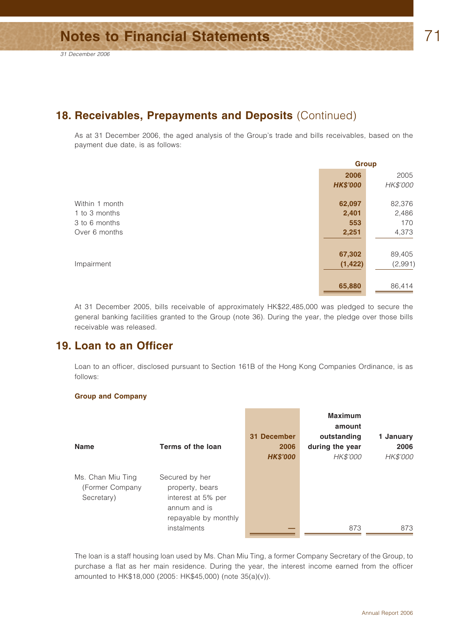### 18. Receivables, Prepayments and Deposits (Continued)

As at 31 December 2006, the aged analysis of the Group's trade and bills receivables, based on the payment due date, is as follows:

|                | <b>Group</b>    |          |
|----------------|-----------------|----------|
|                | 2006<br>2005    |          |
|                | <b>HK\$'000</b> | HK\$'000 |
|                |                 |          |
| Within 1 month | 62,097          | 82,376   |
| 1 to 3 months  | 2,401           | 2,486    |
| 3 to 6 months  | 553             | 170      |
| Over 6 months  | 2,251           | 4,373    |
|                |                 |          |
|                | 67,302          | 89,405   |
| Impairment     | (1, 422)        | (2,991)  |
|                |                 |          |
|                | 65,880          | 86,414   |

At 31 December 2005, bills receivable of approximately HK\$22,485,000 was pledged to secure the general banking facilities granted to the Group (note 36). During the year, the pledge over those bills receivable was released.

### 19. Loan to an Officer

Loan to an officer, disclosed pursuant to Section 161B of the Hong Kong Companies Ordinance, is as follows:

### Group and Company

| <b>Name</b>                                         | Terms of the loan                                                                                              | <b>31 December</b><br>2006<br><b>HK\$'000</b> | <b>Maximum</b><br>amount<br>outstanding<br>during the year<br>HK\$'000 | 1 January<br>2006<br>HK\$'000 |
|-----------------------------------------------------|----------------------------------------------------------------------------------------------------------------|-----------------------------------------------|------------------------------------------------------------------------|-------------------------------|
| Ms. Chan Miu Ting<br>(Former Company)<br>Secretary) | Secured by her<br>property, bears<br>interest at 5% per<br>annum and is<br>repayable by monthly<br>instalments |                                               | 873                                                                    | 873                           |

The loan is a staff housing loan used by Ms. Chan Miu Ting, a former Company Secretary of the Group, to purchase a flat as her main residence. During the year, the interest income earned from the officer amounted to HK\$18,000 (2005: HK\$45,000) (note 35(a)(v)).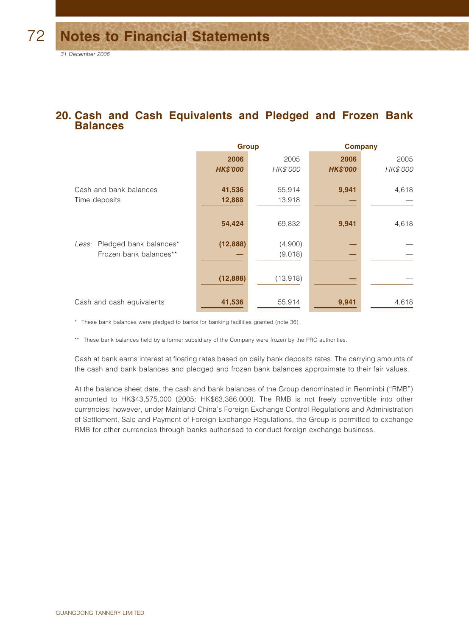## 20. Cash and Cash Equivalents and Pledged and Frozen Bank **Balances**

|                              | <b>Group</b>    |          | <b>Company</b>  |          |
|------------------------------|-----------------|----------|-----------------|----------|
|                              | 2006            | 2005     | 2006            | 2005     |
|                              | <b>HK\$'000</b> | HK\$'000 | <b>HK\$'000</b> | HK\$'000 |
|                              |                 |          |                 |          |
| Cash and bank balances       | 41,536          | 55,914   | 9,941           | 4,618    |
| Time deposits                | 12,888          | 13,918   |                 |          |
|                              |                 |          |                 |          |
|                              | 54,424          | 69,832   | 9,941           | 4,618    |
|                              |                 |          |                 |          |
| Less: Pledged bank balances* | (12,888)        | (4,900)  |                 |          |
| Frozen bank balances**       |                 | (9,018)  |                 |          |
|                              |                 |          |                 |          |
|                              | (12, 888)       | (13,918) |                 |          |
|                              |                 |          |                 |          |
| Cash and cash equivalents    | 41,536          | 55,914   | 9,941           | 4,618    |
|                              |                 |          |                 |          |

\* These bank balances were pledged to banks for banking facilities granted (note 36).

\*\* These bank balances held by a former subsidiary of the Company were frozen by the PRC authorities.

Cash at bank earns interest at floating rates based on daily bank deposits rates. The carrying amounts of the cash and bank balances and pledged and frozen bank balances approximate to their fair values.

At the balance sheet date, the cash and bank balances of the Group denominated in Renminbi (''RMB'') amounted to HK\$43,575,000 (2005: HK\$63,386,000). The RMB is not freely convertible into other currencies; however, under Mainland China's Foreign Exchange Control Regulations and Administration of Settlement, Sale and Payment of Foreign Exchange Regulations, the Group is permitted to exchange RMB for other currencies through banks authorised to conduct foreign exchange business.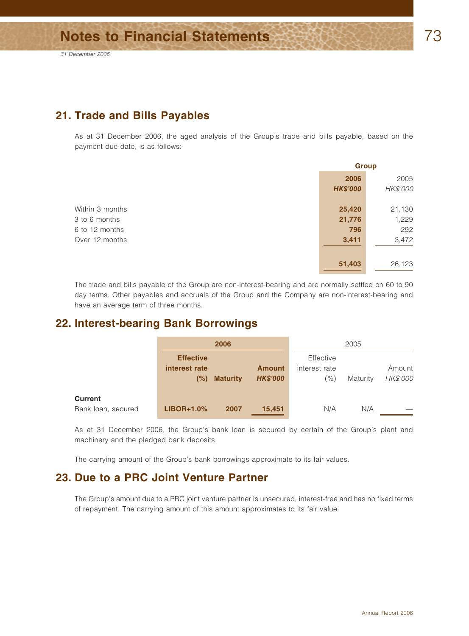# Notes to Financial Statements 73

## 21. Trade and Bills Payables

As at 31 December 2006, the aged analysis of the Group's trade and bills payable, based on the payment due date, is as follows:

|                 | <b>Group</b>    |          |  |
|-----------------|-----------------|----------|--|
|                 | 2006            | 2005     |  |
|                 | <b>HK\$'000</b> | HK\$'000 |  |
|                 |                 |          |  |
| Within 3 months | 25,420          | 21,130   |  |
| 3 to 6 months   | 21,776          | 1,229    |  |
| 6 to 12 months  | 796             | 292      |  |
| Over 12 months  | 3,411           | 3,472    |  |
|                 |                 |          |  |
|                 | 51,403          | 26,123   |  |

The trade and bills payable of the Group are non-interest-bearing and are normally settled on 60 to 90 day terms. Other payables and accruals of the Group and the Company are non-interest-bearing and have an average term of three months.

## 22. Interest-bearing Bank Borrowings

|                                      | 2006                                     |                 |                                  |                                       | 2005     |                    |
|--------------------------------------|------------------------------------------|-----------------|----------------------------------|---------------------------------------|----------|--------------------|
|                                      | <b>Effective</b><br>interest rate<br>(%) | <b>Maturity</b> | <b>Amount</b><br><b>HK\$'000</b> | Effective<br>interest rate<br>$(\% )$ | Maturity | Amount<br>HK\$'000 |
| <b>Current</b><br>Bank loan, secured | $LIBOR+1.0%$                             | 2007            | 15,451                           | N/A                                   | N/A      |                    |

As at 31 December 2006, the Group's bank loan is secured by certain of the Group's plant and machinery and the pledged bank deposits.

The carrying amount of the Group's bank borrowings approximate to its fair values.

### 23. Due to a PRC Joint Venture Partner

The Group's amount due to a PRC joint venture partner is unsecured, interest-free and has no fixed terms of repayment. The carrying amount of this amount approximates to its fair value.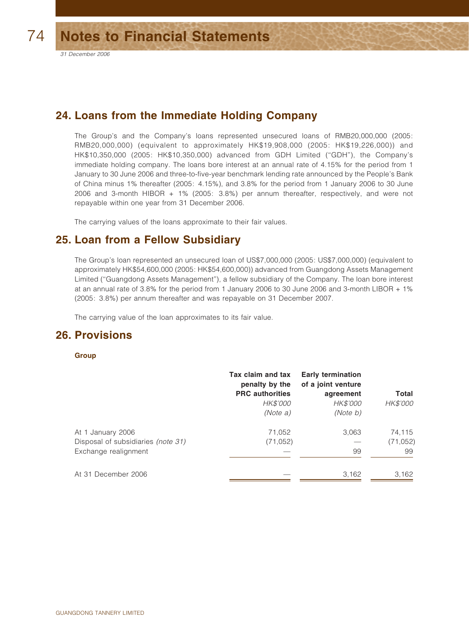## 24. Loans from the Immediate Holding Company

The Group's and the Company's loans represented unsecured loans of RMB20,000,000 (2005: RMB20,000,000) (equivalent to approximately HK\$19,908,000 (2005: HK\$19,226,000)) and HK\$10,350,000 (2005: HK\$10,350,000) advanced from GDH Limited (''GDH''), the Company's immediate holding company. The loans bore interest at an annual rate of 4.15% for the period from 1 January to 30 June 2006 and three-to-five-year benchmark lending rate announced by the People's Bank of China minus 1% thereafter (2005: 4.15%), and 3.8% for the period from 1 January 2006 to 30 June 2006 and 3-month HIBOR + 1% (2005: 3.8%) per annum thereafter, respectively, and were not repayable within one year from 31 December 2006.

The carrying values of the loans approximate to their fair values.

### 25. Loan from a Fellow Subsidiary

The Group's loan represented an unsecured loan of US\$7,000,000 (2005: US\$7,000,000) (equivalent to approximately HK\$54,600,000 (2005: HK\$54,600,000)) advanced from Guangdong Assets Management Limited (''Guangdong Assets Management''), a fellow subsidiary of the Company. The loan bore interest at an annual rate of 3.8% for the period from 1 January 2006 to 30 June 2006 and 3-month LIBOR + 1% (2005: 3.8%) per annum thereafter and was repayable on 31 December 2007.

The carrying value of the loan approximates to its fair value.

### 26. Provisions

#### **Group**

| Tax claim and tax<br>penalty by the | <b>Early termination</b><br>of a joint venture |           |
|-------------------------------------|------------------------------------------------|-----------|
| <b>PRC</b> authorities              | agreement                                      | Total     |
| HK\$'000                            | HK\$'000                                       | HK\$'000  |
| (Note a)                            | (Note b)                                       |           |
| 71.052                              | 3,063                                          | 74,115    |
| (71, 052)                           |                                                | (71, 052) |
|                                     | 99                                             | 99        |
|                                     | 3,162                                          | 3,162     |
|                                     |                                                |           |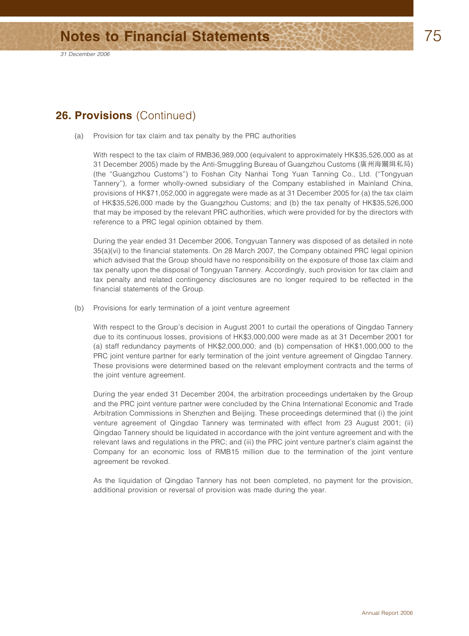# Notes to Financial Statements **1988** 25

## 26. Provisions (Continued)

(a) Provision for tax claim and tax penalty by the PRC authorities

With respect to the tax claim of RMB36,989,000 (equivalent to approximately HK\$35,526,000 as at 31 December 2005) made by the Anti-Smuggling Bureau of Guangzhou Customs (廣州海關緝私局) (the ''Guangzhou Customs'') to Foshan City Nanhai Tong Yuan Tanning Co., Ltd. (''Tongyuan Tannery''), a former wholly-owned subsidiary of the Company established in Mainland China, provisions of HK\$71,052,000 in aggregate were made as at 31 December 2005 for (a) the tax claim of HK\$35,526,000 made by the Guangzhou Customs; and (b) the tax penalty of HK\$35,526,000 that may be imposed by the relevant PRC authorities, which were provided for by the directors with reference to a PRC legal opinion obtained by them.

During the year ended 31 December 2006, Tongyuan Tannery was disposed of as detailed in note 35(a)(vi) to the financial statements. On 28 March 2007, the Company obtained PRC legal opinion which advised that the Group should have no responsibility on the exposure of those tax claim and tax penalty upon the disposal of Tongyuan Tannery. Accordingly, such provision for tax claim and tax penalty and related contingency disclosures are no longer required to be reflected in the financial statements of the Group.

(b) Provisions for early termination of a joint venture agreement

With respect to the Group's decision in August 2001 to curtail the operations of Qingdao Tannery due to its continuous losses, provisions of HK\$3,000,000 were made as at 31 December 2001 for (a) staff redundancy payments of HK\$2,000,000; and (b) compensation of HK\$1,000,000 to the PRC joint venture partner for early termination of the joint venture agreement of Qingdao Tannery. These provisions were determined based on the relevant employment contracts and the terms of the joint venture agreement.

During the year ended 31 December 2004, the arbitration proceedings undertaken by the Group and the PRC joint venture partner were concluded by the China International Economic and Trade Arbitration Commissions in Shenzhen and Beijing. These proceedings determined that (i) the joint venture agreement of Qingdao Tannery was terminated with effect from 23 August 2001; (ii) Qingdao Tannery should be liquidated in accordance with the joint venture agreement and with the relevant laws and regulations in the PRC; and (iii) the PRC joint venture partner's claim against the Company for an economic loss of RMB15 million due to the termination of the joint venture agreement be revoked.

As the liquidation of Qingdao Tannery has not been completed, no payment for the provision, additional provision or reversal of provision was made during the year.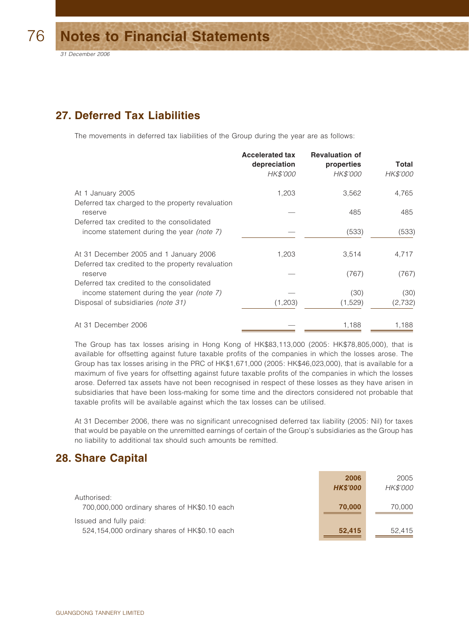## 27. Deferred Tax Liabilities

The movements in deferred tax liabilities of the Group during the year are as follows:

|                                                                                                                                     | <b>Accelerated tax</b><br>depreciation<br><i>HK\$'000</i> | <b>Revaluation of</b><br>properties<br><b>HK\$'000</b> | Total<br><b>HK\$'000</b> |
|-------------------------------------------------------------------------------------------------------------------------------------|-----------------------------------------------------------|--------------------------------------------------------|--------------------------|
| At 1 January 2005<br>Deferred tax charged to the property revaluation                                                               | 1,203                                                     | 3,562                                                  | 4,765                    |
| reserve                                                                                                                             |                                                           | 485                                                    | 485                      |
| Deferred tax credited to the consolidated<br>income statement during the year <i>(note 7)</i>                                       |                                                           | (533)                                                  | (533)                    |
| At 31 December 2005 and 1 January 2006<br>Deferred tax credited to the property revaluation                                         | 1,203                                                     | 3,514                                                  | 4,717                    |
| reserve                                                                                                                             |                                                           | (767)                                                  | (767)                    |
| Deferred tax credited to the consolidated<br>income statement during the year <i>(note 7)</i><br>Disposal of subsidiaries (note 31) | (1,203)                                                   | (30)<br>(1,529)                                        | (30)<br>(2, 732)         |
| At 31 December 2006                                                                                                                 |                                                           | 1,188                                                  | 1,188                    |

The Group has tax losses arising in Hong Kong of HK\$83,113,000 (2005: HK\$78,805,000), that is available for offsetting against future taxable profits of the companies in which the losses arose. The Group has tax losses arising in the PRC of HK\$1,671,000 (2005: HK\$46,023,000), that is available for a maximum of five years for offsetting against future taxable profits of the companies in which the losses arose. Deferred tax assets have not been recognised in respect of these losses as they have arisen in subsidiaries that have been loss-making for some time and the directors considered not probable that taxable profits will be available against which the tax losses can be utilised.

At 31 December 2006, there was no significant unrecognised deferred tax liability (2005: Nil) for taxes that would be payable on the unremitted earnings of certain of the Group's subsidiaries as the Group has no liability to additional tax should such amounts be remitted.

## 28. Share Capital

|                                                                        | 2006            | 2005            |
|------------------------------------------------------------------------|-----------------|-----------------|
|                                                                        | <b>HK\$'000</b> | <b>HK\$'000</b> |
| Authorised:<br>700,000,000 ordinary shares of HK\$0.10 each            | 70,000          | 70.000          |
| Issued and fully paid:<br>524,154,000 ordinary shares of HK\$0.10 each | 52,415          | 52.415          |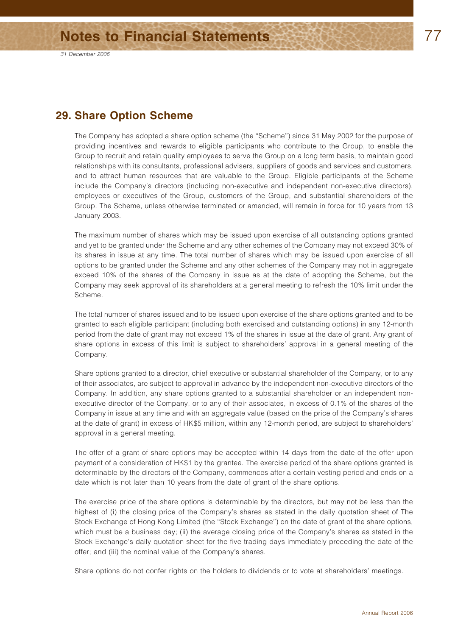## 29. Share Option Scheme

The Company has adopted a share option scheme (the ''Scheme'') since 31 May 2002 for the purpose of providing incentives and rewards to eligible participants who contribute to the Group, to enable the Group to recruit and retain quality employees to serve the Group on a long term basis, to maintain good relationships with its consultants, professional advisers, suppliers of goods and services and customers, and to attract human resources that are valuable to the Group. Eligible participants of the Scheme include the Company's directors (including non-executive and independent non-executive directors), employees or executives of the Group, customers of the Group, and substantial shareholders of the Group. The Scheme, unless otherwise terminated or amended, will remain in force for 10 years from 13 January 2003.

The maximum number of shares which may be issued upon exercise of all outstanding options granted and yet to be granted under the Scheme and any other schemes of the Company may not exceed 30% of its shares in issue at any time. The total number of shares which may be issued upon exercise of all options to be granted under the Scheme and any other schemes of the Company may not in aggregate exceed 10% of the shares of the Company in issue as at the date of adopting the Scheme, but the Company may seek approval of its shareholders at a general meeting to refresh the 10% limit under the Scheme.

The total number of shares issued and to be issued upon exercise of the share options granted and to be granted to each eligible participant (including both exercised and outstanding options) in any 12-month period from the date of grant may not exceed 1% of the shares in issue at the date of grant. Any grant of share options in excess of this limit is subject to shareholders' approval in a general meeting of the Company.

Share options granted to a director, chief executive or substantial shareholder of the Company, or to any of their associates, are subject to approval in advance by the independent non-executive directors of the Company. In addition, any share options granted to a substantial shareholder or an independent nonexecutive director of the Company, or to any of their associates, in excess of 0.1% of the shares of the Company in issue at any time and with an aggregate value (based on the price of the Company's shares at the date of grant) in excess of HK\$5 million, within any 12-month period, are subject to shareholders' approval in a general meeting.

The offer of a grant of share options may be accepted within 14 days from the date of the offer upon payment of a consideration of HK\$1 by the grantee. The exercise period of the share options granted is determinable by the directors of the Company, commences after a certain vesting period and ends on a date which is not later than 10 years from the date of grant of the share options.

The exercise price of the share options is determinable by the directors, but may not be less than the highest of (i) the closing price of the Company's shares as stated in the daily quotation sheet of The Stock Exchange of Hong Kong Limited (the ''Stock Exchange'') on the date of grant of the share options, which must be a business day; (ii) the average closing price of the Company's shares as stated in the Stock Exchange's daily quotation sheet for the five trading days immediately preceding the date of the offer; and (iii) the nominal value of the Company's shares.

Share options do not confer rights on the holders to dividends or to vote at shareholders' meetings.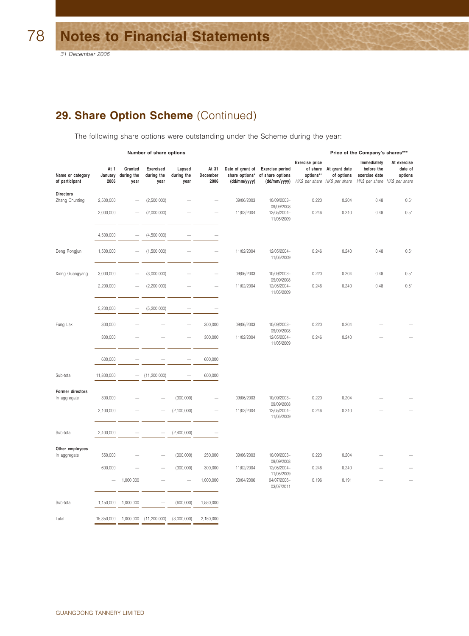## 29. Share Option Scheme (Continued)

The following share options were outstanding under the Scheme during the year:

|                                    |                          |                               | Number of share options         |                              |                           |                                                    |                                                            | Price of the Company's shares***        |                                                              |                                                                             |                                   |
|------------------------------------|--------------------------|-------------------------------|---------------------------------|------------------------------|---------------------------|----------------------------------------------------|------------------------------------------------------------|-----------------------------------------|--------------------------------------------------------------|-----------------------------------------------------------------------------|-----------------------------------|
| Name or category<br>of participant | At 1<br>January<br>2006  | Granted<br>during the<br>year | Exercised<br>during the<br>year | Lapsed<br>during the<br>year | At 31<br>December<br>2006 | Date of grant of<br>share options*<br>(dd/mm/yyyy) | <b>Exercise period</b><br>of share options<br>(dd/mm/yyyy) | Exercise price<br>of share<br>options** | At grant date<br>of options<br>HK\$ per share HK\$ per share | Immediately<br>before the<br>exercise date<br>HK\$ per share HK\$ per share | At exercise<br>date of<br>options |
| <b>Directors</b>                   |                          |                               |                                 |                              |                           |                                                    |                                                            |                                         |                                                              |                                                                             |                                   |
| Zhang Chunting                     | 2,500,000                |                               | (2,500,000)                     |                              |                           | 09/06/2003                                         | 10/09/2003-<br>09/09/2008                                  | 0.220                                   | 0.204                                                        | 0.48                                                                        | 0.51                              |
|                                    | 2,000,000                |                               | (2,000,000)                     |                              |                           | 11/02/2004                                         | 12/05/2004-<br>11/05/2009                                  | 0.246                                   | 0.240                                                        | 0.48                                                                        | 0.51                              |
|                                    | 4,500,000                |                               | (4,500,000)                     |                              |                           |                                                    |                                                            |                                         |                                                              |                                                                             |                                   |
| Deng Rongjun                       | 1,500,000                |                               | (1,500,000)                     |                              |                           | 11/02/2004                                         | 12/05/2004-<br>11/05/2009                                  | 0.246                                   | 0.240                                                        | 0.48                                                                        | 0.51                              |
| Xiong Guangyang                    | 3,000,000                |                               | (3,000,000)                     |                              |                           | 09/06/2003                                         | 10/09/2003-<br>09/09/2008                                  | 0.220                                   | 0.204                                                        | 0.48                                                                        | 0.51                              |
|                                    | 2,200,000                |                               | (2,200,000)                     |                              |                           | 11/02/2004                                         | 12/05/2004-<br>11/05/2009                                  | 0.246                                   | 0.240                                                        | 0.48                                                                        | 0.51                              |
|                                    | 5,200,000                |                               | (5,200,000)                     |                              |                           |                                                    |                                                            |                                         |                                                              |                                                                             |                                   |
| Fung Lak                           | 300,000                  |                               |                                 |                              | 300,000                   | 09/06/2003                                         | 10/09/2003-<br>09/09/2008                                  | 0.220                                   | 0.204                                                        |                                                                             |                                   |
|                                    | 300,000                  |                               |                                 |                              | 300,000                   | 11/02/2004                                         | 12/05/2004-<br>11/05/2009                                  | 0.246                                   | 0.240                                                        |                                                                             |                                   |
|                                    | 600,000                  |                               |                                 |                              | 600,000                   |                                                    |                                                            |                                         |                                                              |                                                                             |                                   |
| Sub-total                          | 11,800,000               | $\qquad \qquad -$             | (11, 200, 000)                  | -                            | 600,000                   |                                                    |                                                            |                                         |                                                              |                                                                             |                                   |
| Former directors<br>In aggregate   | 300,000                  |                               |                                 | (300,000)                    | -                         | 09/06/2003                                         | 10/09/2003-                                                | 0.220                                   | 0.204                                                        |                                                                             |                                   |
|                                    | 2,100,000                |                               |                                 | (2, 100, 000)                | -                         | 11/02/2004                                         | 09/09/2008<br>12/05/2004-<br>11/05/2009                    | 0.246                                   | 0.240                                                        |                                                                             |                                   |
| Sub-total                          | 2,400,000                |                               | -                               | (2,400,000)                  |                           |                                                    |                                                            |                                         |                                                              |                                                                             |                                   |
| Other employees<br>In aggregate    | 550,000                  |                               |                                 | (300,000)                    | 250,000                   | 09/06/2003                                         | 10/09/2003-                                                | 0.220                                   | 0.204                                                        |                                                                             |                                   |
|                                    | 600,000                  |                               |                                 | (300,000)                    | 300,000                   | 11/02/2004                                         | 09/09/2008<br>12/05/2004-                                  | 0.246                                   | 0.240                                                        |                                                                             |                                   |
|                                    | $\overline{\phantom{0}}$ | 1,000,000                     |                                 |                              | 1,000,000                 | 03/04/2006                                         | 11/05/2009<br>04/07/2006-<br>03/07/2011                    | 0.196                                   | 0.191                                                        |                                                                             |                                   |
| Sub-total                          | 1,150,000                | 1,000,000                     |                                 | (600, 000)                   | 1,550,000                 |                                                    |                                                            |                                         |                                                              |                                                                             |                                   |
| Total                              | 15,350,000               | 1,000,000                     | (11, 200, 000)                  | (3,000,000)                  | 2,150,000                 |                                                    |                                                            |                                         |                                                              |                                                                             |                                   |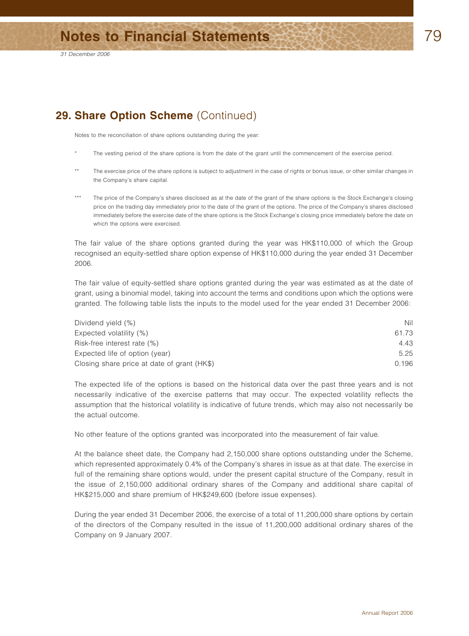# Notes to Financial Statements 79

## 29. Share Option Scheme (Continued)

Notes to the reconciliation of share options outstanding during the year:

- The vesting period of the share options is from the date of the grant until the commencement of the exercise period.
- The exercise price of the share options is subject to adjustment in the case of rights or bonus issue, or other similar changes in the Company's share capital.
- \*\*\* The price of the Company's shares disclosed as at the date of the grant of the share options is the Stock Exchange's closing price on the trading day immediately prior to the date of the grant of the options. The price of the Company's shares disclosed immediately before the exercise date of the share options is the Stock Exchange's closing price immediately before the date on which the options were exercised.

The fair value of the share options granted during the year was HK\$110,000 of which the Group recognised an equity-settled share option expense of HK\$110,000 during the year ended 31 December 2006.

The fair value of equity-settled share options granted during the year was estimated as at the date of grant, using a binomial model, taking into account the terms and conditions upon which the options were granted. The following table lists the inputs to the model used for the year ended 31 December 2006:

| Dividend yield (%)                          | Nil   |
|---------------------------------------------|-------|
| Expected volatility (%)                     | 61.73 |
| Risk-free interest rate (%)                 | 4.43  |
| Expected life of option (year)              | 5.25  |
| Closing share price at date of grant (HK\$) | 0.196 |

The expected life of the options is based on the historical data over the past three years and is not necessarily indicative of the exercise patterns that may occur. The expected volatility reflects the assumption that the historical volatility is indicative of future trends, which may also not necessarily be the actual outcome.

No other feature of the options granted was incorporated into the measurement of fair value.

At the balance sheet date, the Company had 2,150,000 share options outstanding under the Scheme, which represented approximately 0.4% of the Company's shares in issue as at that date. The exercise in full of the remaining share options would, under the present capital structure of the Company, result in the issue of 2,150,000 additional ordinary shares of the Company and additional share capital of HK\$215,000 and share premium of HK\$249,600 (before issue expenses).

During the year ended 31 December 2006, the exercise of a total of 11,200,000 share options by certain of the directors of the Company resulted in the issue of 11,200,000 additional ordinary shares of the Company on 9 January 2007.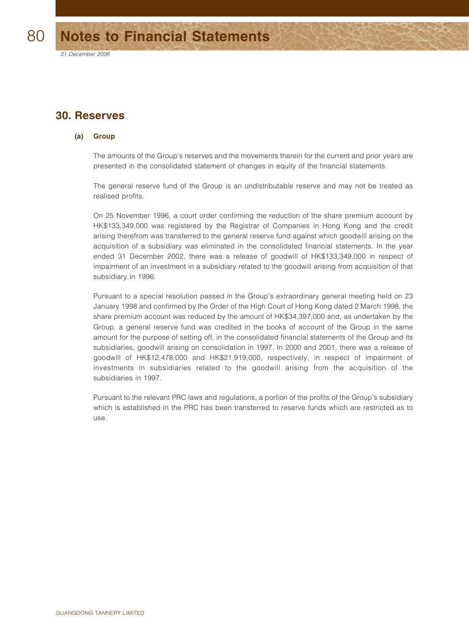# 80 Notes to Financial Statements

31 December 2006

## 30. Reserves

#### (a) Group

The amounts of the Group's reserves and the movements therein for the current and prior years are presented in the consolidated statement of changes in equity of the financial statements.

The general reserve fund of the Group is an undistributable reserve and may not be treated as realised profits.

On 25 November 1996, a court order confirming the reduction of the share premium account by HK\$133,349,000 was registered by the Registrar of Companies in Hong Kong and the credit arising therefrom was transferred to the general reserve fund against which goodwill arising on the acquisition of a subsidiary was eliminated in the consolidated financial statements. In the year ended 31 December 2002, there was a release of goodwill of HK\$133,349,000 in respect of impairment of an investment in a subsidiary related to the goodwill arising from acquisition of that subsidiary in 1996.

Pursuant to a special resolution passed in the Group's extraordinary general meeting held on 23 January 1998 and confirmed by the Order of the High Court of Hong Kong dated 2 March 1998, the share premium account was reduced by the amount of HK\$34,397,000 and, as undertaken by the Group, a general reserve fund was credited in the books of account of the Group in the same amount for the purpose of setting off, in the consolidated financial statements of the Group and its subsidiaries, goodwill arising on consolidation in 1997. In 2000 and 2001, there was a release of goodwill of HK\$12,478,000 and HK\$21,919,000, respectively, in respect of impairment of investments in subsidiaries related to the goodwill arising from the acquisition of the subsidiaries in 1997.

Pursuant to the relevant PRC laws and regulations, a portion of the profits of the Group's subsidiary which is established in the PRC has been transferred to reserve funds which are restricted as to use.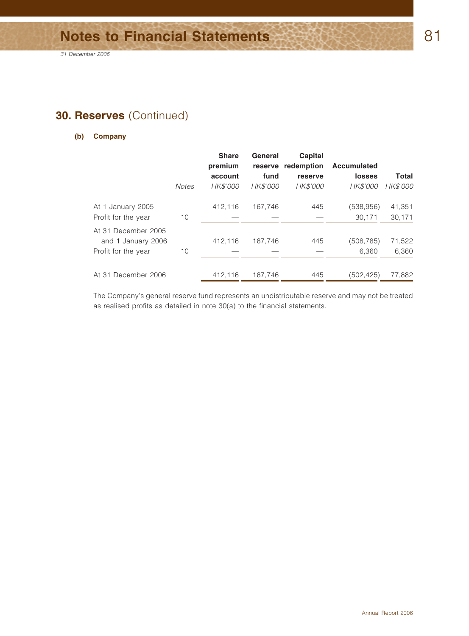## 30. Reserves (Continued)

#### (b) Company

|                                                                  | <b>Notes</b> | <b>Share</b><br>premium<br>account<br>HK\$'000 | General<br>fund<br>HK\$'000 | Capital<br>reserve redemption<br>reserve<br>HK\$'000 | <b>Accumulated</b><br>losses<br>HK\$'000 | Total<br>HK\$'000 |
|------------------------------------------------------------------|--------------|------------------------------------------------|-----------------------------|------------------------------------------------------|------------------------------------------|-------------------|
| At 1 January 2005<br>Profit for the year                         | 10           | 412.116                                        | 167.746                     | 445                                                  | (538,956)<br>30.171                      | 41,351<br>30,171  |
| At 31 December 2005<br>and 1 January 2006<br>Profit for the year | 10           | 412.116                                        | 167.746                     | 445                                                  | (508,785)<br>6,360                       | 71,522<br>6,360   |
| At 31 December 2006                                              |              | 412.116                                        | 167.746                     | 445                                                  | (502.425)                                | 77,882            |

The Company's general reserve fund represents an undistributable reserve and may not be treated as realised profits as detailed in note 30(a) to the financial statements.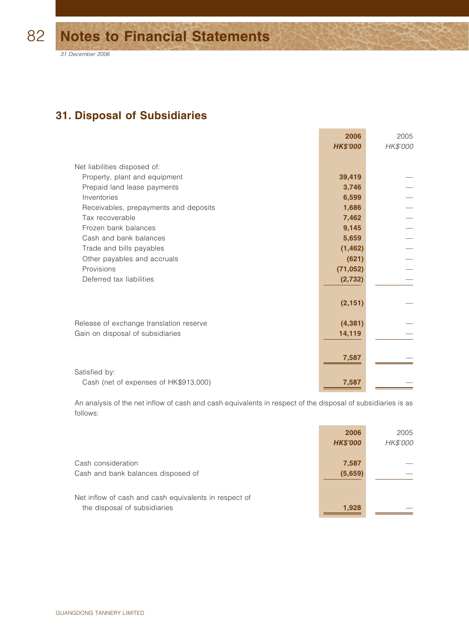## 31. Disposal of Subsidiaries

|                                         | 2006<br><b>HK\$'000</b> | 2005<br>HK\$'000 |
|-----------------------------------------|-------------------------|------------------|
| Net liabilities disposed of:            |                         |                  |
| Property, plant and equipment           | 39,419                  |                  |
| Prepaid land lease payments             | 3,746                   |                  |
| Inventories                             | 6,599                   |                  |
| Receivables, prepayments and deposits   | 1,686                   |                  |
| Tax recoverable                         | 7,462                   |                  |
| Frozen bank balances                    | 9,145                   |                  |
| Cash and bank balances                  | 5,659                   |                  |
| Trade and bills payables                | (1, 462)                |                  |
| Other payables and accruals             | (621)                   |                  |
| Provisions                              | (71, 052)               |                  |
| Deferred tax liabilities                | (2, 732)                |                  |
|                                         | (2, 151)                |                  |
| Release of exchange translation reserve | (4, 381)                |                  |
| Gain on disposal of subsidiaries        | 14,119                  |                  |
|                                         | 7,587                   |                  |
| Satisfied by:                           |                         |                  |
| Cash (net of expenses of HK\$913,000)   | 7,587                   |                  |

An analysis of the net inflow of cash and cash equivalents in respect of the disposal of subsidiaries is as follows:

|                                                                                       | 2006<br><b>HK\$'000</b> | 2005<br>HK\$'000 |
|---------------------------------------------------------------------------------------|-------------------------|------------------|
| Cash consideration<br>Cash and bank balances disposed of                              | 7,587<br>(5,659)        |                  |
| Net inflow of cash and cash equivalents in respect of<br>the disposal of subsidiaries | 1,928                   |                  |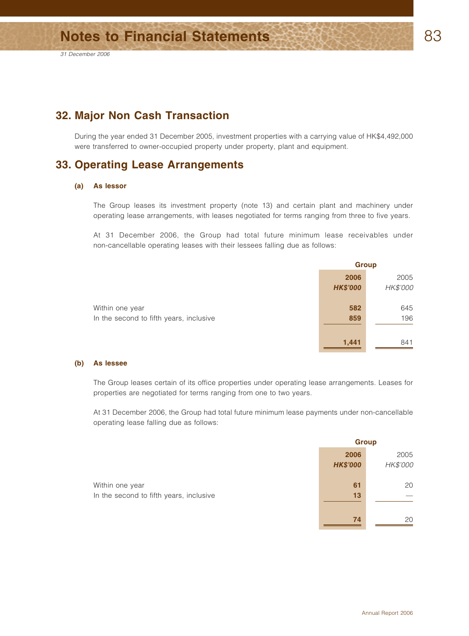## 32. Major Non Cash Transaction

During the year ended 31 December 2005, investment properties with a carrying value of HK\$4,492,000 were transferred to owner-occupied property under property, plant and equipment.

### 33. Operating Lease Arrangements

#### (a) As lessor

The Group leases its investment property (note 13) and certain plant and machinery under operating lease arrangements, with leases negotiated for terms ranging from three to five years.

At 31 December 2006, the Group had total future minimum lease receivables under non-cancellable operating leases with their lessees falling due as follows:

|                                         | <b>Group</b>    |          |  |
|-----------------------------------------|-----------------|----------|--|
|                                         | 2006            | 2005     |  |
|                                         | <b>HK\$'000</b> | HK\$'000 |  |
|                                         |                 |          |  |
| Within one year                         | 582             | 645      |  |
| In the second to fifth years, inclusive | 859             | 196      |  |
|                                         |                 |          |  |
|                                         | 1,441           | 841      |  |

#### (b) As lessee

The Group leases certain of its office properties under operating lease arrangements. Leases for properties are negotiated for terms ranging from one to two years.

At 31 December 2006, the Group had total future minimum lease payments under non-cancellable operating lease falling due as follows:

|                                         | <b>Group</b>    |          |  |
|-----------------------------------------|-----------------|----------|--|
|                                         | 2006            | 2005     |  |
|                                         | <b>HK\$'000</b> | HK\$'000 |  |
|                                         |                 |          |  |
| Within one year                         | 61              | 20       |  |
| In the second to fifth years, inclusive | 13              |          |  |
|                                         |                 |          |  |
|                                         | 74              | 20       |  |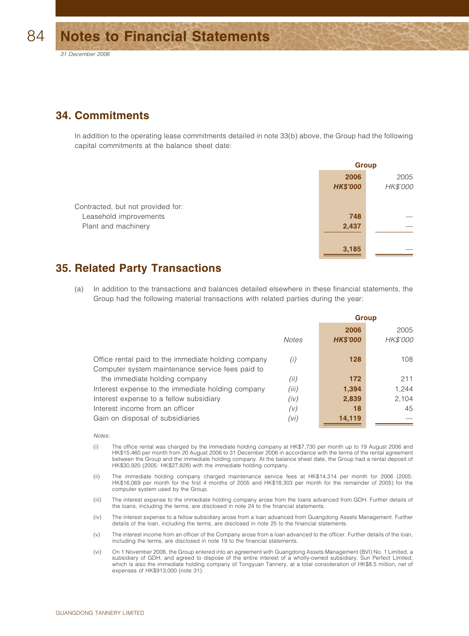## 34. Commitments

In addition to the operating lease commitments detailed in note 33(b) above, the Group had the following capital commitments at the balance sheet date:

|                                   | <b>Group</b>    |          |
|-----------------------------------|-----------------|----------|
|                                   | 2006            | 2005     |
|                                   | <b>HK\$'000</b> | HK\$'000 |
| Contracted, but not provided for: |                 |          |
| Leasehold improvements            | 748             |          |
| Plant and machinery               | 2,437           |          |
|                                   |                 |          |
|                                   | 3,185           |          |

## 35. Related Party Transactions

(a) In addition to the transactions and balances detailed elsewhere in these financial statements, the Group had the following material transactions with related parties during the year:

|                                                     |              | <b>Group</b>            |                         |  |
|-----------------------------------------------------|--------------|-------------------------|-------------------------|--|
|                                                     | <b>Notes</b> | 2006<br><b>HK\$'000</b> | 2005<br><b>HK\$'000</b> |  |
|                                                     |              |                         |                         |  |
| Office rental paid to the immediate holding company | (i)          | 128                     | 108                     |  |
| Computer system maintenance service fees paid to    |              |                         |                         |  |
| the immediate holding company                       | (ii)         | 172                     | 211                     |  |
| Interest expense to the immediate holding company   | (iii)        | 1,394                   | 1,244                   |  |
| Interest expense to a fellow subsidiary             | (iv)         | 2,839                   | 2,104                   |  |
| Interest income from an officer                     | (V)          | 18                      | 45                      |  |
| Gain on disposal of subsidiaries                    | (vi)         | 14,119                  |                         |  |

Notes:

- (i) The office rental was charged by the immediate holding company at HK\$7,730 per month up to 19 August 2006 and HK\$15,460 per month from 20 August 2006 to 31 December 2006 in accordance with the terms of the rental agreement between the Group and the immediate holding company. At the balance sheet date, the Group had a rental deposit of HK\$30,920 (2005: HK\$27,828) with the immediate holding company.
- (ii) The immediate holding company charged maintenance service fees at HK\$14,314 per month for 2006 (2005: HK\$16,069 per month for the first 4 months of 2005 and HK\$18,303 per month for the remainder of 2005) for the computer system used by the Group.
- (iii) The interest expense to the immediate holding company arose from the loans advanced from GDH. Further details of the loans, including the terms, are disclosed in note 24 to the financial statements.
- (iv) The interest expense to a fellow subsidiary arose from a loan advanced from Guangdong Assets Management. Further details of the loan, including the terms, are disclosed in note 25 to the financial statements.
- (v) The interest income from an officer of the Company arose from a loan advanced to the officer. Further details of the loan, including the terms, are disclosed in note 19 to the financial statements.
- vi) On 1 November 2006, the Group entered into an agreement with Guangdong Assets Management (BVI) No. 1 Limited, a)<br>subsidiary of GDH, and agreed to dispose of the entire interest of a wholly-owned subsidiary, Sun Perfect which is also the immediate holding company of Tongyuan Tannery, at a total consideration of HK\$8.5 million, net of expenses of HK\$913,000 (note 31).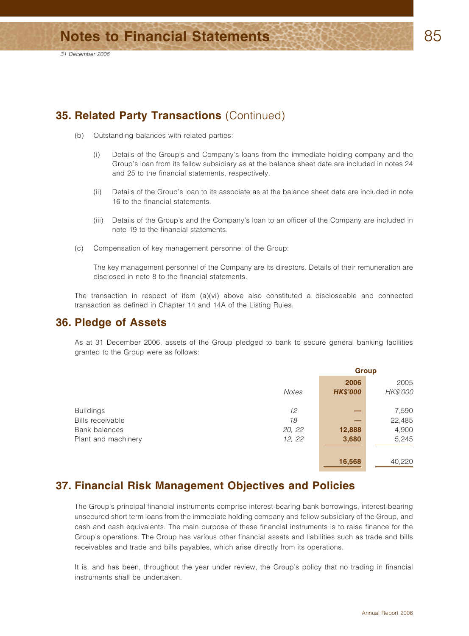# Notes to Financial Statements **85** 85

## **35. Related Party Transactions (Continued)**

- (b) Outstanding balances with related parties:
	- (i) Details of the Group's and Company's loans from the immediate holding company and the Group's loan from its fellow subsidiary as at the balance sheet date are included in notes 24 and 25 to the financial statements, respectively.
	- (ii) Details of the Group's loan to its associate as at the balance sheet date are included in note 16 to the financial statements.
	- (iii) Details of the Group's and the Company's loan to an officer of the Company are included in note 19 to the financial statements.
- (c) Compensation of key management personnel of the Group:

The key management personnel of the Company are its directors. Details of their remuneration are disclosed in note 8 to the financial statements.

The transaction in respect of item  $(a)(vi)$  above also constituted a discloseable and connected transaction as defined in Chapter 14 and 14A of the Listing Rules.

### 36. Pledge of Assets

As at 31 December 2006, assets of the Group pledged to bank to secure general banking facilities granted to the Group were as follows:

|                               |                 | <b>Group</b> |  |
|-------------------------------|-----------------|--------------|--|
|                               | 2006            | 2005         |  |
| <b>Notes</b>                  | <b>HK\$'000</b> | HK\$'000     |  |
|                               |                 |              |  |
| <b>Buildings</b><br>12        |                 | 7,590        |  |
| Bills receivable<br>18        |                 | 22,485       |  |
| Bank balances<br>20, 22       | 12,888          | 4,900        |  |
| 12, 22<br>Plant and machinery | 3,680           | 5,245        |  |
|                               |                 |              |  |
|                               | 16,568          | 40,220       |  |

## 37. Financial Risk Management Objectives and Policies

The Group's principal financial instruments comprise interest-bearing bank borrowings, interest-bearing unsecured short term loans from the immediate holding company and fellow subsidiary of the Group, and cash and cash equivalents. The main purpose of these financial instruments is to raise finance for the Group's operations. The Group has various other financial assets and liabilities such as trade and bills receivables and trade and bills payables, which arise directly from its operations.

It is, and has been, throughout the year under review, the Group's policy that no trading in financial instruments shall be undertaken.